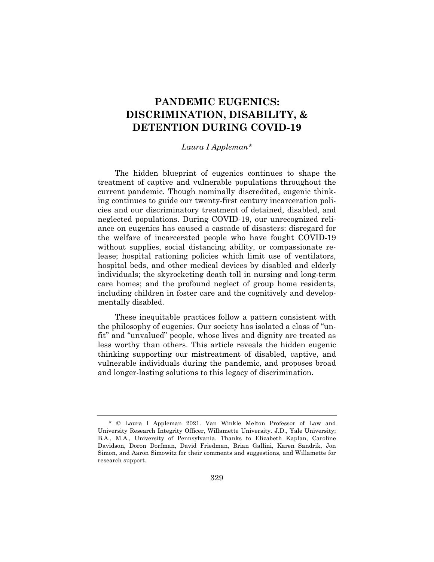# **PANDEMIC EUGENICS: DISCRIMINATION, DISABILITY, & DETENTION DURING COVID-19**

### *Laura I Appleman\**

The hidden blueprint of eugenics continues to shape the treatment of captive and vulnerable populations throughout the current pandemic. Though nominally discredited, eugenic thinking continues to guide our twenty-first century incarceration policies and our discriminatory treatment of detained, disabled, and neglected populations. During COVID-19, our unrecognized reliance on eugenics has caused a cascade of disasters: disregard for the welfare of incarcerated people who have fought COVID-19 without supplies, social distancing ability, or compassionate release; hospital rationing policies which limit use of ventilators, hospital beds, and other medical devices by disabled and elderly individuals; the skyrocketing death toll in nursing and long-term care homes; and the profound neglect of group home residents, including children in foster care and the cognitively and developmentally disabled.

These inequitable practices follow a pattern consistent with the philosophy of eugenics. Our society has isolated a class of "unfit" and "unvalued" people, whose lives and dignity are treated as less worthy than others. This article reveals the hidden eugenic thinking supporting our mistreatment of disabled, captive, and vulnerable individuals during the pandemic, and proposes broad and longer-lasting solutions to this legacy of discrimination.

<sup>\* ©</sup> Laura I Appleman 2021. Van Winkle Melton Professor of Law and University Research Integrity Officer, Willamette University. J.D., Yale University; B.A., M.A., University of Pennsylvania. Thanks to Elizabeth Kaplan, Caroline Davidson, Doron Dorfman, David Friedman, Brian Gallini, Karen Sandrik, Jon Simon, and Aaron Simowitz for their comments and suggestions, and Willamette for research support.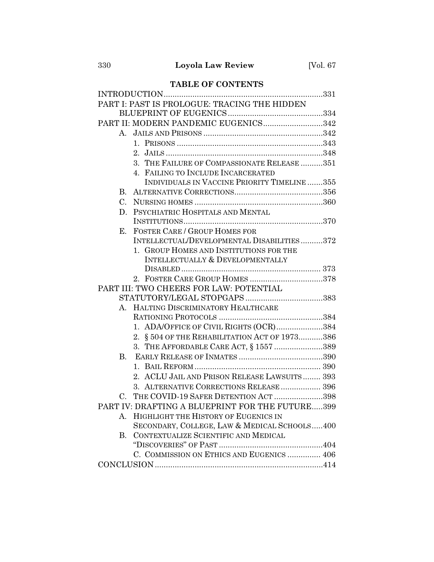## **TABLE OF CONTENTS**

| PART I: PAST IS PROLOGUE: TRACING THE HIDDEN    |
|-------------------------------------------------|
|                                                 |
| PART II: MODERN PANDEMIC EUGENICS342            |
|                                                 |
|                                                 |
|                                                 |
| 3. THE FAILURE OF COMPASSIONATE RELEASE 351     |
| 4. FAILING TO INCLUDE INCARCERATED              |
| INDIVIDUALS IN VACCINE PRIORITY TIMELINE 355    |
| B.                                              |
| $C_{\cdot}$                                     |
| PSYCHIATRIC HOSPITALS AND MENTAL<br>D.          |
|                                                 |
| <b>FOSTER CARE / GROUP HOMES FOR</b><br>E.      |
| INTELLECTUAL/DEVELOPMENTAL DISABILITIES372      |
| 1. GROUP HOMES AND INSTITUTIONS FOR THE         |
| INTELLECTUALLY & DEVELOPMENTALLY                |
|                                                 |
|                                                 |
| PART III: TWO CHEERS FOR LAW: POTENTIAL         |
|                                                 |
| A. HALTING DISCRIMINATORY HEALTHCARE            |
|                                                 |
| 1. ADA/OFFICE OF CIVIL RIGHTS (OCR)384          |
| 2. § 504 OF THE REHABILITATION ACT OF 1973386   |
| 3. THE AFFORDABLE CARE ACT, § 1557 389          |
|                                                 |
|                                                 |
| 2. ACLU JAIL AND PRISON RELEASE LAWSUITS 393    |
| 3. ALTERNATIVE CORRECTIONS RELEASE  396         |
| C. THE COVID-19 SAFER DETENTION ACT 398         |
| PART IV: DRAFTING A BLUEPRINT FOR THE FUTURE399 |
| HIGHLIGHT THE HISTORY OF EUGENICS IN<br>Α.      |
| SECONDARY, COLLEGE, LAW & MEDICAL SCHOOLS400    |
| CONTEXTUALIZE SCIENTIFIC AND MEDICAL<br>В.      |
|                                                 |
| C. COMMISSION ON ETHICS AND EUGENICS  406       |
|                                                 |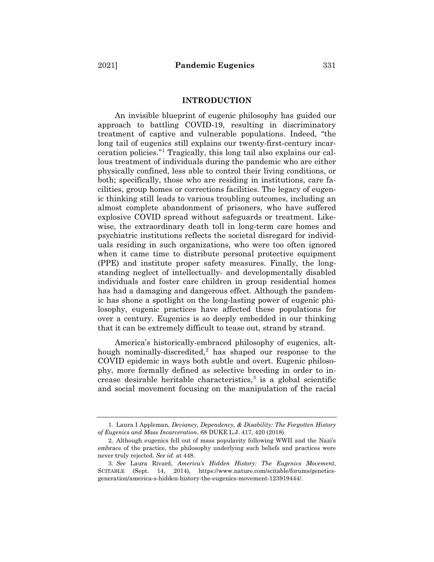#### **INTRODUCTION**

An invisible blueprint of eugenic philosophy has guided our approach to battling COVID-19, resulting in discriminatory treatment of captive and vulnerable populations. Indeed, "the long tail of eugenics still explains our twenty-first-century incarceration policies."1 Tragically, this long tail also explains our callous treatment of individuals during the pandemic who are either physically confined, less able to control their living conditions, or both; specifically, those who are residing in institutions, care facilities, group homes or corrections facilities. The legacy of eugenic thinking still leads to various troubling outcomes, including an almost complete abandonment of prisoners, who have suffered explosive COVID spread without safeguards or treatment. Likewise, the extraordinary death toll in long-term care homes and psychiatric institutions reflects the societal disregard for individuals residing in such organizations, who were too often ignored when it came time to distribute personal protective equipment (PPE) and institute proper safety measures. Finally, the longstanding neglect of intellectually- and developmentally disabled individuals and foster care children in group residential homes has had a damaging and dangerous effect. Although the pandemic has shone a spotlight on the long-lasting power of eugenic philosophy, eugenic practices have affected these populations for over a century. Eugenics is so deeply embedded in our thinking that it can be extremely difficult to tease out, strand by strand.

America's historically-embraced philosophy of eugenics, although nominally-discredited, $2$  has shaped our response to the COVID epidemic in ways both subtle and overt. Eugenic philosophy, more formally defined as selective breeding in order to increase desirable heritable characteristics, $3$  is a global scientific and social movement focusing on the manipulation of the racial

<sup>1.</sup> Laura I Appleman, *Deviancy, Dependency, & Disability: The Forgotten History of Eugenics and Mass Incarceration*, 68 DUKE L.J. 417, 420 (2018).

<sup>2.</sup> Although eugenics fell out of mass popularity following WWII and the Nazi's embrace of the practice, the philosophy underlying such beliefs and practices were never truly rejected. *See id.* at 448.

<sup>3.</sup> *See* Laura Rivard, *America's Hidden History: The Eugenics Movement*, SCITABLE (Sept. 14, 2014), https://www.nature.com/scitable/forums/geneticsgeneration/america-s-hidden-history-the-eugenics-movement-123919444/.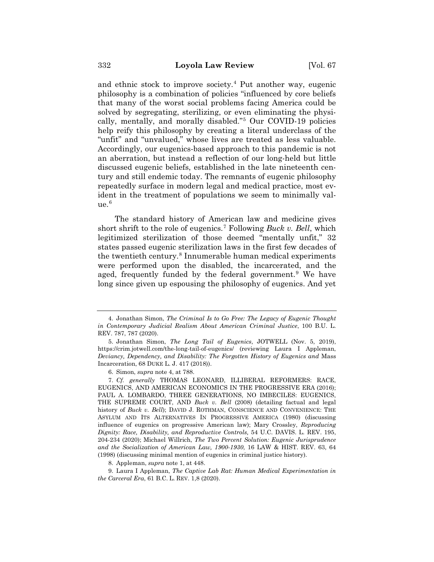and ethnic stock to improve society.<sup>4</sup> Put another way, eugenic philosophy is a combination of policies "influenced by core beliefs that many of the worst social problems facing America could be solved by segregating, sterilizing, or even eliminating the physically, mentally, and morally disabled."5 Our COVID-19 policies help reify this philosophy by creating a literal underclass of the "unfit" and "unvalued," whose lives are treated as less valuable. Accordingly, our eugenics-based approach to this pandemic is not an aberration, but instead a reflection of our long-held but little discussed eugenic beliefs, established in the late nineteenth century and still endemic today. The remnants of eugenic philosophy repeatedly surface in modern legal and medical practice, most evident in the treatment of populations we seem to minimally val $ue<sup>6</sup>$ 

The standard history of American law and medicine gives short shrift to the role of eugenics.7 Following *Buck v. Bell*, which legitimized sterilization of those deemed "mentally unfit," 32 states passed eugenic sterilization laws in the first few decades of the twentieth century.8 Innumerable human medical experiments were performed upon the disabled, the incarcerated, and the aged, frequently funded by the federal government.<sup>9</sup> We have long since given up espousing the philosophy of eugenics. And yet

6. Simon, *supra* note 4, at 788.

8. Appleman, *supra* note 1, at 448.

9. Laura I Appleman, *The Captive Lab Rat: Human Medical Experimentation in the Carceral Era*, 61 B.C. L. REV. 1,8 (2020).

<sup>4.</sup> Jonathan Simon, *The Criminal Is to Go Free: The Legacy of Eugenic Thought in Contemporary Judicial Realism About American Criminal Justice*, 100 B.U. L. REV. 787, 787 (2020).

<sup>5.</sup> Jonathan Simon, *The Long Tail of Eugenics*, JOTWELL (Nov. 5, 2019), https://crim.jotwell.com/the-long-tail-of-eugenics/ (reviewing Laura I Appleman, *Deviancy, Dependency, and Disability: The Forgotten History of Eugenics and* Mass Incarceration, 68 DUKE L. J. 417 (2018)).

<sup>7.</sup> *Cf. generally* THOMAS LEONARD, ILLIBERAL REFORMERS: RACE, EUGENICS, AND AMERICAN ECONOMICS IN THE PROGRESSIVE ERA (2016); PAUL A. LOMBARDO, THREE GENERATIONS, NO IMBECILES: EUGENICS, THE SUPREME COURT, AND *Buck v. Bell* (2008) (detailing factual and legal history of *Buck v. Bell*); DAVID J. ROTHMAN, CONSCIENCE AND CONVENIENCE: THE ASYLUM AND ITS ALTERNATIVES IN PROGRESSIVE AMERICA (1980) (discussing influence of eugenics on progressive American law); Mary Crossley, *Reproducing Dignity: Race, Disability, and Reproductive Controls,* 54 U.C. DAVIS. L. REV. 195, 204-234 (2020); Michael Willrich, *The Two Percent Solution: Eugenic Jurisprudence and the Socialization of American Law, 1900-1930*, 16 LAW & HIST. REV. 63, 64 (1998) (discussing minimal mention of eugenics in criminal justice history).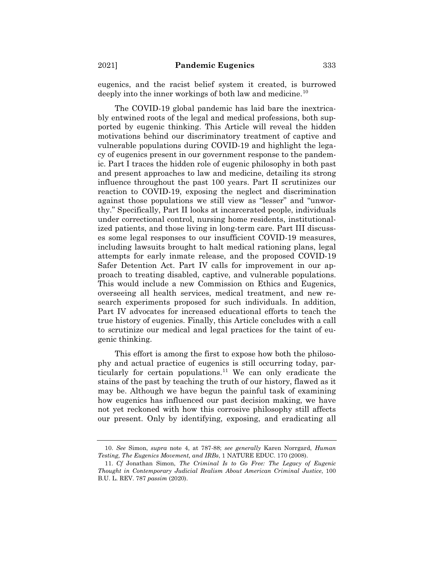eugenics, and the racist belief system it created, is burrowed deeply into the inner workings of both law and medicine.<sup>10</sup>

The COVID-19 global pandemic has laid bare the inextricably entwined roots of the legal and medical professions, both supported by eugenic thinking. This Article will reveal the hidden motivations behind our discriminatory treatment of captive and vulnerable populations during COVID-19 and highlight the legacy of eugenics present in our government response to the pandemic. Part I traces the hidden role of eugenic philosophy in both past and present approaches to law and medicine, detailing its strong influence throughout the past 100 years. Part II scrutinizes our reaction to COVID-19, exposing the neglect and discrimination against those populations we still view as "lesser" and "unworthy." Specifically, Part II looks at incarcerated people, individuals under correctional control, nursing home residents, institutionalized patients, and those living in long-term care. Part III discusses some legal responses to our insufficient COVID-19 measures, including lawsuits brought to halt medical rationing plans, legal attempts for early inmate release, and the proposed COVID-19 Safer Detention Act. Part IV calls for improvement in our approach to treating disabled, captive, and vulnerable populations. This would include a new Commission on Ethics and Eugenics, overseeing all health services, medical treatment, and new research experiments proposed for such individuals. In addition, Part IV advocates for increased educational efforts to teach the true history of eugenics. Finally, this Article concludes with a call to scrutinize our medical and legal practices for the taint of eugenic thinking.

This effort is among the first to expose how both the philosophy and actual practice of eugenics is still occurring today, particularly for certain populations.<sup>11</sup> We can only eradicate the stains of the past by teaching the truth of our history, flawed as it may be. Although we have begun the painful task of examining how eugenics has influenced our past decision making, we have not yet reckoned with how this corrosive philosophy still affects our present. Only by identifying, exposing, and eradicating all

<sup>10.</sup> *See* Simon, *supra* note 4, at 787-88; *see generally* Karen Norrgard, *Human Testing, The Eugenics Movement, and IRBs*, 1 NATURE EDUC. 170 (2008).

<sup>11.</sup> *Cf* Jonathan Simon, *The Criminal Is to Go Free: The Legacy of Eugenic Thought in Contemporary Judicial Realism About American Criminal Justice*, 100 B.U. L. REV. 787 *passim* (2020).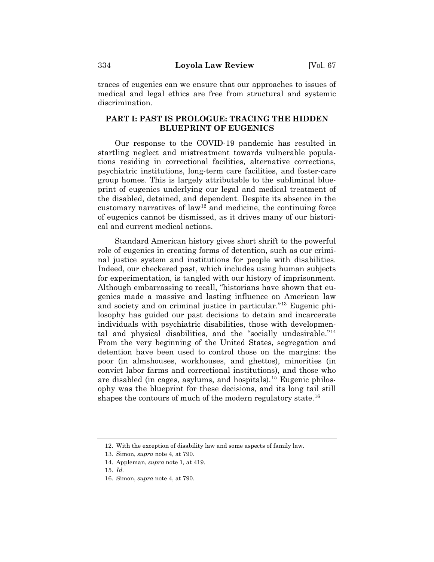traces of eugenics can we ensure that our approaches to issues of medical and legal ethics are free from structural and systemic discrimination.

## **PART I: PAST IS PROLOGUE: TRACING THE HIDDEN BLUEPRINT OF EUGENICS**

Our response to the COVID-19 pandemic has resulted in startling neglect and mistreatment towards vulnerable populations residing in correctional facilities, alternative corrections, psychiatric institutions, long-term care facilities, and foster-care group homes. This is largely attributable to the subliminal blueprint of eugenics underlying our legal and medical treatment of the disabled, detained, and dependent. Despite its absence in the customary narratives of  $law<sup>12</sup>$  and medicine, the continuing force of eugenics cannot be dismissed, as it drives many of our historical and current medical actions.

Standard American history gives short shrift to the powerful role of eugenics in creating forms of detention, such as our criminal justice system and institutions for people with disabilities. Indeed, our checkered past, which includes using human subjects for experimentation, is tangled with our history of imprisonment. Although embarrassing to recall, "historians have shown that eugenics made a massive and lasting influence on American law and society and on criminal justice in particular."13 Eugenic philosophy has guided our past decisions to detain and incarcerate individuals with psychiatric disabilities, those with developmental and physical disabilities, and the "socially undesirable."14 From the very beginning of the United States, segregation and detention have been used to control those on the margins: the poor (in almshouses, workhouses, and ghettos), minorities (in convict labor farms and correctional institutions), and those who are disabled (in cages, asylums, and hospitals).15 Eugenic philosophy was the blueprint for these decisions, and its long tail still shapes the contours of much of the modern regulatory state.<sup>16</sup>

<sup>12.</sup> With the exception of disability law and some aspects of family law.

<sup>13.</sup> Simon, *supra* note 4, at 790.

<sup>14.</sup> Appleman, *supra* note 1*,* at 419.

<sup>15.</sup> *Id.*

<sup>16.</sup> Simon, *supra* note 4, at 790.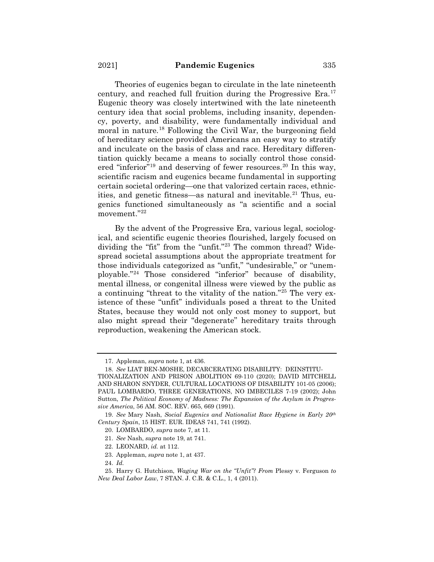Theories of eugenics began to circulate in the late nineteenth century, and reached full fruition during the Progressive Era. $17$ Eugenic theory was closely intertwined with the late nineteenth century idea that social problems, including insanity, dependency, poverty, and disability, were fundamentally individual and moral in nature.18 Following the Civil War, the burgeoning field of hereditary science provided Americans an easy way to stratify and inculcate on the basis of class and race. Hereditary differentiation quickly became a means to socially control those considered "inferior"<sup>19</sup> and deserving of fewer resources.<sup>20</sup> In this way, scientific racism and eugenics became fundamental in supporting certain societal ordering—one that valorized certain races, ethnicities, and genetic fitness—as natural and inevitable.<sup>21</sup> Thus, eugenics functioned simultaneously as "a scientific and a social movement."22

By the advent of the Progressive Era, various legal, sociological, and scientific eugenic theories flourished, largely focused on dividing the "fit" from the "unfit."23 The common thread? Widespread societal assumptions about the appropriate treatment for those individuals categorized as "unfit," "undesirable," or "unemployable."24 Those considered "inferior" because of disability, mental illness, or congenital illness were viewed by the public as a continuing "threat to the vitality of the nation."25 The very existence of these "unfit" individuals posed a threat to the United States, because they would not only cost money to support, but also might spread their "degenerate" hereditary traits through reproduction, weakening the American stock.

<sup>17.</sup> Appleman, *supra* note 1*,* at 436.

<sup>18.</sup> *See* LIAT BEN-MOSHE, DECARCERATING DISABILITY: DEINSTITU-

TIONALIZATION AND PRISON ABOLITION 69-110 (2020); DAVID MITCHELL AND SHARON SNYDER, CULTURAL LOCATIONS OF DISABILITY 101-05 (2006); PAUL LOMBARDO, THREE GENERATIONS, NO IMBECILES 7-19 (2002); John Sutton, *The Political Economy of Madness: The Expansion of the Asylum in Progressive America*, 56 AM. SOC. REV. 665, 669 (1991).

<sup>19.</sup> *See* Mary Nash, *Social Eugenics and Nationalist Race Hygiene in Early 20th Century Spain*, 15 HIST. EUR. IDEAS 741, 741 (1992).

<sup>20.</sup> LOMBARDO, *supra* note 7, at 11.

<sup>21.</sup> *See* Nash, *supra* note 19, at 741.

<sup>22.</sup> LEONARD, *id.* at 112.

<sup>23.</sup> Appleman, *supra* note 1, at 437.

<sup>24.</sup> *Id.*

<sup>25.</sup> Harry G. Hutchison, *Waging War on the "Unfit"? From* Plessy v. Ferguson *to New Deal Labor Law*, 7 STAN. J. C.R. & C.L., 1, 4 (2011).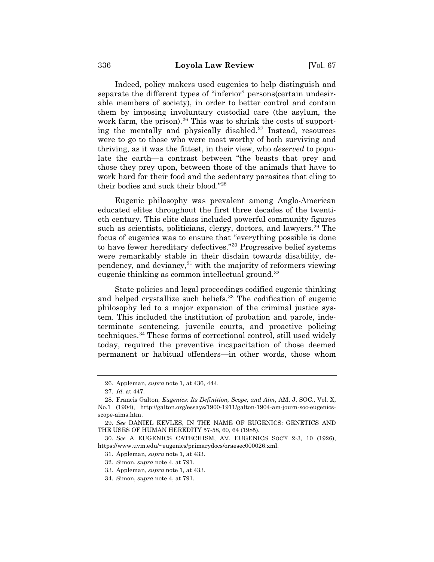Indeed, policy makers used eugenics to help distinguish and separate the different types of "inferior" persons(certain undesirable members of society), in order to better control and contain them by imposing involuntary custodial care (the asylum, the work farm, the prison).  $26$  This was to shrink the costs of supporting the mentally and physically disabled.<sup>27</sup> Instead, resources were to go to those who were most worthy of both surviving and thriving, as it was the fittest, in their view, who *deserved* to populate the earth—a contrast between "the beasts that prey and those they prey upon, between those of the animals that have to work hard for their food and the sedentary parasites that cling to their bodies and suck their blood."28

Eugenic philosophy was prevalent among Anglo-American educated elites throughout the first three decades of the twentieth century. This elite class included powerful community figures such as scientists, politicians, clergy, doctors, and lawyers.<sup>29</sup> The focus of eugenics was to ensure that "everything possible is done to have fewer hereditary defectives."30 Progressive belief systems were remarkably stable in their disdain towards disability, dependency, and deviancy, $31$  with the majority of reformers viewing eugenic thinking as common intellectual ground.<sup>32</sup>

State policies and legal proceedings codified eugenic thinking and helped crystallize such beliefs.<sup>33</sup> The codification of eugenic philosophy led to a major expansion of the criminal justice system. This included the institution of probation and parole, indeterminate sentencing, juvenile courts, and proactive policing techniques.<sup>34</sup> These forms of correctional control, still used widely today, required the preventive incapacitation of those deemed permanent or habitual offenders—in other words, those whom

<sup>26.</sup> Appleman, *supra* note 1*,* at 436, 444.

<sup>27.</sup> *Id.* at 447.

<sup>28.</sup> Francis Galton, *Eugenics: Its Definition, Scope, and Aim*, AM. J. SOC., Vol. X, No.1 (1904), http://galton.org/essays/1900-1911/galton-1904-am-journ-soc-eugenicsscope-aims.htm.

<sup>29.</sup> *See* DANIEL KEVLES, IN THE NAME OF EUGENICS: GENETICS AND THE USES OF HUMAN HEREDITY 57-58, 60, 64 (1985)*.*

<sup>30.</sup> *See* A EUGENICS CATECHISM, AM. EUGENICS SOC'Y 2-3, 10 (1926), https://www.uvm.edu/~eugenics/primarydocs/oraesec000026.xml.

<sup>31.</sup> Appleman, *supra* note 1*,* at 433.

<sup>32.</sup> Simon, *supra* note 4, at 791.

<sup>33.</sup> Appleman, *supra* note 1*,* at 433.

<sup>34.</sup> Simon, *supra* note 4, at 791.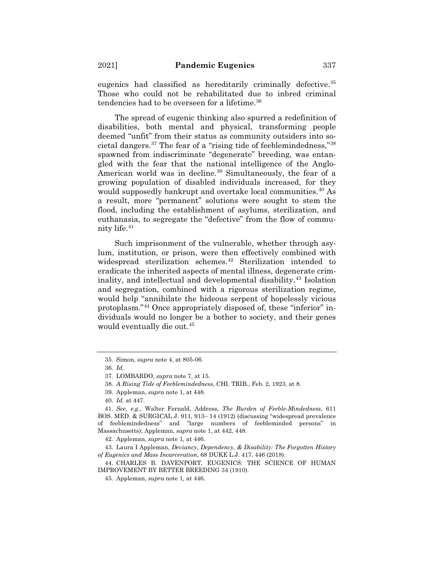eugenics had classified as hereditarily criminally defective.<sup>35</sup> Those who could not be rehabilitated due to inbred criminal tendencies had to be overseen for a lifetime.<sup>36</sup>

The spread of eugenic thinking also spurred a redefinition of disabilities, both mental and physical, transforming people deemed "unfit" from their status as community outsiders into societal dangers.37 The fear of a "rising tide of feeblemindedness,"38 spawned from indiscriminate "degenerate" breeding, was entangled with the fear that the national intelligence of the Anglo-American world was in decline.<sup>39</sup> Simultaneously, the fear of a growing population of disabled individuals increased, for they would supposedly bankrupt and overtake local communities.<sup>40</sup> As a result, more "permanent" solutions were sought to stem the flood, including the establishment of asylums, sterilization, and euthanasia, to segregate the "defective" from the flow of community life.41

Such imprisonment of the vulnerable, whether through asylum, institution, or prison, were then effectively combined with widespread sterilization schemes.<sup>42</sup> Sterilization intended to eradicate the inherited aspects of mental illness, degenerate criminality, and intellectual and developmental disability.<sup>43</sup> Isolation and segregation, combined with a rigorous sterilization regime, would help "annihilate the hideous serpent of hopelessly vicious protoplasm."44 Once appropriately disposed of, these "inferior" individuals would no longer be a bother to society, and their genes would eventually die out.45

<sup>35.</sup> Simon, *supra* note 4, at 805-06.

<sup>36.</sup> *Id.*

<sup>37.</sup> LOMBARDO, *supra* note 7, at 15.

<sup>38.</sup> *A Rising Tide of Feeblemindedness*, CHI. TRIB., Feb. 2, 1923, at 8.

<sup>39.</sup> Appleman, *supra* note 1, at 448.

<sup>40.</sup> *Id.* at 447.

<sup>41.</sup> *See, e.g.*, Walter Fernald, Address, *The Burden of Feeble-Mindedness*, 611 BOS. MED. & SURGICAL J. 911, 913– 14 (1912) (discussing "widespread prevalence of feeblemindedness" and "large numbers of feebleminded persons" in Massachusetts); Appleman, *supra* note 1, at 442, 448.

<sup>42.</sup> Appleman, *supra* note 1*,* at 446.

<sup>43.</sup> Laura I Appleman, *Deviancy, Dependency, & Disability: The Forgotten History of Eugenics and Mass Incarceration*, 68 DUKE L.J. 417, 446 (2018).

<sup>44.</sup> CHARLES B. DAVENPORT, EUGENICS: THE SCIENCE OF HUMAN IMPROVEMENT BY BETTER BREEDING 34 (1910).

<sup>45.</sup> Appleman, *supra* note 1*,* at 446.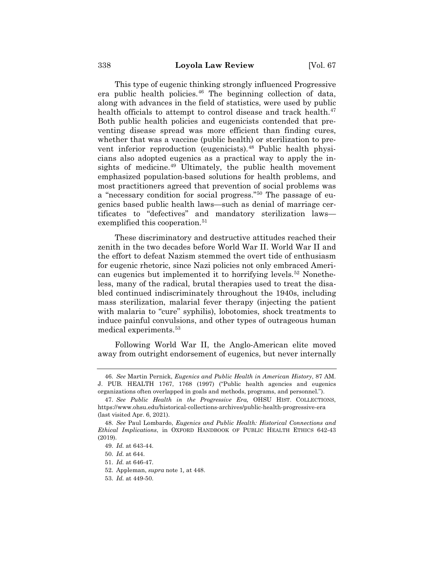This type of eugenic thinking strongly influenced Progressive era public health policies. $46$  The beginning collection of data, along with advances in the field of statistics, were used by public health officials to attempt to control disease and track health. $47$ Both public health policies and eugenicists contended that preventing disease spread was more efficient than finding cures, whether that was a vaccine (public health) or sterilization to prevent inferior reproduction (eugenicists).<sup>48</sup> Public health physicians also adopted eugenics as a practical way to apply the insights of medicine.<sup>49</sup> Ultimately, the public health movement emphasized population-based solutions for health problems, and most practitioners agreed that prevention of social problems was a "necessary condition for social progress."50 The passage of eugenics based public health laws—such as denial of marriage certificates to "defectives" and mandatory sterilization laws exemplified this cooperation.<sup>51</sup>

These discriminatory and destructive attitudes reached their zenith in the two decades before World War II. World War II and the effort to defeat Nazism stemmed the overt tide of enthusiasm for eugenic rhetoric, since Nazi policies not only embraced American eugenics but implemented it to horrifying levels.<sup>52</sup> Nonetheless, many of the radical, brutal therapies used to treat the disabled continued indiscriminately throughout the 1940s, including mass sterilization, malarial fever therapy (injecting the patient with malaria to "cure" syphilis), lobotomies, shock treatments to induce painful convulsions, and other types of outrageous human medical experiments.<sup>53</sup>

Following World War II, the Anglo-American elite moved away from outright endorsement of eugenics, but never internally

<sup>46.</sup> *See* Martin Pernick, *Eugenics and Public Health in American History*, 87 AM. J. PUB. HEALTH 1767, 1768 (1997) ("Public health agencies and eugenics organizations often overlapped in goals and methods, programs, and personnel.").

<sup>47.</sup> *See Public Health in the Progressive Era,* OHSU HIST. COLLECTIONS, https://www.ohsu.edu/historical-collections-archives/public-health-progressive-era (last visited Apr. 6, 2021).

<sup>48.</sup> *See* Paul Lombardo, *Eugenics and Public Health: Historical Connections and Ethical Implications*, in OXFORD HANDBOOK OF PUBLIC HEALTH ETHICS 642-43 (2019).

<sup>49.</sup> *Id.* at 643-44.

<sup>50.</sup> *Id.* at 644.

<sup>51.</sup> *Id.* at 646-47.

<sup>52.</sup> Appleman, *supra* note 1*,* at 448.

<sup>53.</sup> *Id.* at 449-50.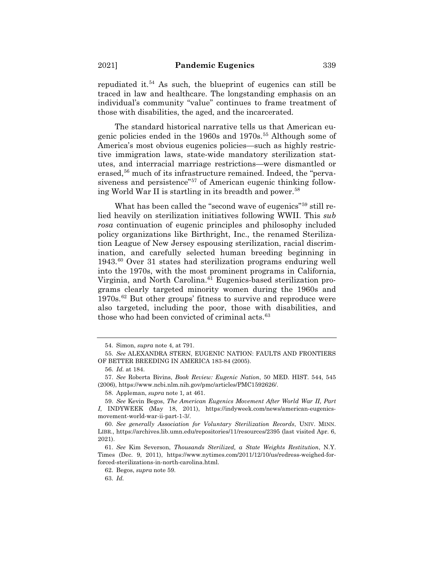repudiated it.<sup>54</sup> As such, the blueprint of eugenics can still be traced in law and healthcare. The longstanding emphasis on an individual's community "value" continues to frame treatment of those with disabilities, the aged, and the incarcerated.

The standard historical narrative tells us that American eugenic policies ended in the 1960s and 1970s.55 Although some of America's most obvious eugenics policies—such as highly restrictive immigration laws, state-wide mandatory sterilization statutes, and interracial marriage restrictions—were dismantled or erased,<sup>56</sup> much of its infrastructure remained. Indeed, the "pervasiveness and persistence<sup>"57</sup> of American eugenic thinking following World War II is startling in its breadth and power.<sup>58</sup>

What has been called the "second wave of eugenics"<sup>59</sup> still relied heavily on sterilization initiatives following WWII. This *sub rosa* continuation of eugenic principles and philosophy included policy organizations like Birthright, Inc., the renamed Sterilization League of New Jersey espousing sterilization, racial discrimination, and carefully selected human breeding beginning in 1943.60 Over 31 states had sterilization programs enduring well into the 1970s, with the most prominent programs in California, Virginia, and North Carolina.<sup>61</sup> Eugenics-based sterilization programs clearly targeted minority women during the 1960s and  $1970s<sup>62</sup>$  But other groups' fitness to survive and reproduce were also targeted, including the poor, those with disabilities, and those who had been convicted of criminal acts. $63$ 

58. Appleman, *supra* note 1*,* at 461.

<sup>54.</sup> Simon, *supra* note 4, at 791.

<sup>55.</sup> *See* ALEXANDRA STERN, EUGENIC NATION: FAULTS AND FRONTIERS OF BETTER BREEDING IN AMERICA 183-84 (2005).

<sup>56.</sup> *Id.* at 184.

<sup>57.</sup> *See* Roberta Bivins, *Book Review: Eugenic Nation*, 50 MED. HIST. 544, 545 (2006), https://www.ncbi.nlm.nih.gov/pmc/articles/PMC1592626/.

<sup>59.</sup> *See* Kevin Begos, *The American Eugenics Movement After World War II, Part I*, INDYWEEK (May 18, 2011), https://indyweek.com/news/american-eugenicsmovement-world-war-ii-part-1-3/.

<sup>60.</sup> *See generally Association for Voluntary Sterilization Records*, UNIV. MINN. LIBR., https://archives.lib.umn.edu/repositories/11/resources/2395 (last visited Apr. 6, 2021).

<sup>61.</sup> *See* Kim Severson, *Thousands Sterilized, a State Weights Restitution*, N.Y. Times (Dec. 9, 2011), https://www.nytimes.com/2011/12/10/us/redress-weighed-forforced-sterilizations-in-north-carolina.html.

<sup>62.</sup> Begos, *supra* note 59.

<sup>63.</sup> *Id.*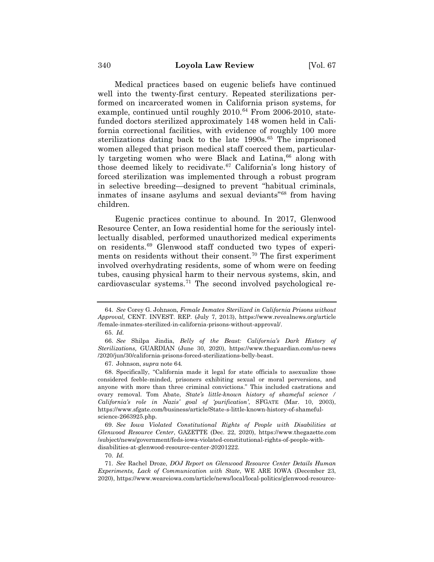Medical practices based on eugenic beliefs have continued well into the twenty-first century. Repeated sterilizations performed on incarcerated women in California prison systems, for example, continued until roughly  $2010<sup>64</sup>$  From  $2006-2010$ , statefunded doctors sterilized approximately 148 women held in California correctional facilities, with evidence of roughly 100 more sterilizations dating back to the late  $1990s^{65}$ . The imprisoned women alleged that prison medical staff coerced them, particularly targeting women who were Black and Latina,<sup>66</sup> along with those deemed likely to recidivate.<sup>67</sup> California's long history of forced sterilization was implemented through a robust program in selective breeding—designed to prevent "habitual criminals, inmates of insane asylums and sexual deviants"68 from having children.

Eugenic practices continue to abound. In 2017, Glenwood Resource Center, an Iowa residential home for the seriously intellectually disabled, performed unauthorized medical experiments on residents.69 Glenwood staff conducted two types of experiments on residents without their consent.70 The first experiment involved overhydrating residents, some of whom were on feeding tubes, causing physical harm to their nervous systems, skin, and cardiovascular systems.71 The second involved psychological re-

67. Johnson, *supra* note 64*.*

69. *See Iowa Violated Constitutional Rights of People with Disabilities at Glenwood Resource Center*, GAZETTE (Dec. 22, 2020), https://www.thegazette.com /subject/news/government/feds-iowa-violated-constitutional-rights-of-people-withdisabilities-at-glenwood-resource-center-20201222.

70. *Id.*

<sup>64.</sup> *See* Corey G. Johnson, *Female Inmates Sterilized in California Prisons without Approval,* CENT. INVEST. REP. (July 7, 2013), https://www.revealnews.org/article /female-inmates-sterilized-in-california-prisons-without-approval/.

<sup>65.</sup> *Id.*

<sup>66.</sup> *See* Shilpa Jindia, *Belly of the Beast: California's Dark History of Sterilizations,* GUARDIAN (June 30, 2020), https://www.theguardian.com/us-news /2020/jun/30/california-prisons-forced-sterilizations-belly-beast.

<sup>68.</sup> Specifically, "California made it legal for state officials to asexualize those considered feeble-minded, prisoners exhibiting sexual or moral perversions, and anyone with more than three criminal convictions." This included castrations and ovary removal. Tom Abate, *State's little-known history of shameful science / California's role in Nazis' goal of 'purification'*, SFGATE (Mar. 10, 2003), https://www.sfgate.com/business/article/State-s-little-known-history-of-shamefulscience-2663925.php.

<sup>71.</sup> *See* Rachel Droze, *DOJ Report on Glenwood Resource Center Details Human Experiments, Lack of Communication with State*, WE ARE IOWA (December 23, 2020), https://www.weareiowa.com/article/news/local/local-politics/glenwood-resource-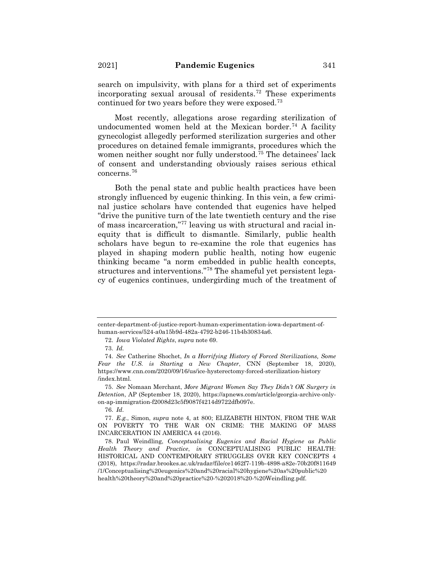search on impulsivity, with plans for a third set of experiments incorporating sexual arousal of residents.<sup>72</sup> These experiments continued for two years before they were exposed.73

Most recently, allegations arose regarding sterilization of undocumented women held at the Mexican border.<sup>74</sup> A facility gynecologist allegedly performed sterilization surgeries and other procedures on detained female immigrants, procedures which the women neither sought nor fully understood.<sup> $75$ </sup> The detainees' lack of consent and understanding obviously raises serious ethical concerns.76

Both the penal state and public health practices have been strongly influenced by eugenic thinking. In this vein, a few criminal justice scholars have contended that eugenics have helped "drive the punitive turn of the late twentieth century and the rise of mass incarceration,"77 leaving us with structural and racial inequity that is difficult to dismantle. Similarly, public health scholars have begun to re-examine the role that eugenics has played in shaping modern public health, noting how eugenic thinking became "a norm embedded in public health concepts, structures and interventions."78 The shameful yet persistent legacy of eugenics continues, undergirding much of the treatment of

center-department-of-justice-report-human-experimentation-iowa-department-ofhuman-services/524-a0a15b9d-482a-4792-b246-11b4b30834a6.

<sup>72.</sup> *Iowa Violated Rights*, *supra* note 69.

<sup>73.</sup> *Id.*

<sup>74.</sup> *See* Catherine Shochet, *In a Horrifying History of Forced Sterilizations, Some Fear the U.S. is Starting a New Chapter*, CNN (September 18, 2020), https://www.cnn.com/2020/09/16/us/ice-hysterectomy-forced-sterilization-history /index.html.

<sup>75.</sup> *See* Nomaan Merchant, *More Migrant Women Say They Didn't OK Surgery in Detention*, AP (September 18, 2020), https://apnews.com/article/georgia-archive-onlyon-ap-immigration-f2008d23c5f9087f4214d9722dfb097e.

<sup>76.</sup> *Id.*

<sup>77.</sup> *E.g.*, Simon, *supra* note 4, at 800; ELIZABETH HINTON, FROM THE WAR ON POVERTY TO THE WAR ON CRIME: THE MAKING OF MASS INCARCERATION IN AMERICA 44 (2016).

<sup>78.</sup> Paul Weindling, *Conceptualising Eugenics and Racial Hygiene as Public Health Theory and Practice*, *in* CONCEPTUALISING PUBLIC HEALTH: HISTORICAL AND CONTEMPORARY STRUGGLES OVER KEY CONCEPTS 4 (2018), https://radar.brookes.ac.uk/radar/file/ce1462f7-119b-4898-a82e-70b20f811649 /1/Conceptualising%20eugenics%20and%20racial%20hygiene%20as%20public%20 health%20theory%20and%20practice%20-%202018%20-%20Weindling.pdf.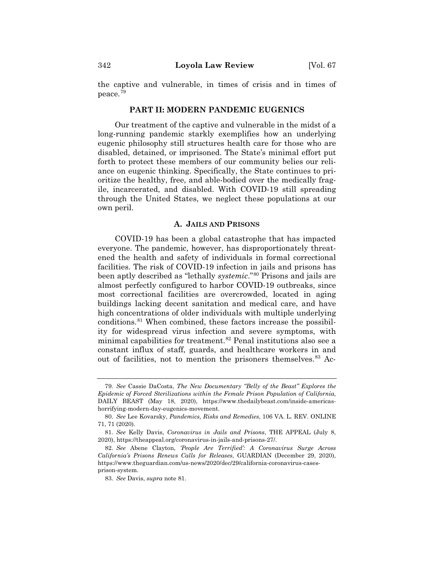the captive and vulnerable, in times of crisis and in times of peace.79

## **PART II: MODERN PANDEMIC EUGENICS**

Our treatment of the captive and vulnerable in the midst of a long-running pandemic starkly exemplifies how an underlying eugenic philosophy still structures health care for those who are disabled, detained, or imprisoned. The State's minimal effort put forth to protect these members of our community belies our reliance on eugenic thinking. Specifically, the State continues to prioritize the healthy, free, and able-bodied over the medically fragile, incarcerated, and disabled. With COVID-19 still spreading through the United States, we neglect these populations at our own peril.

#### **A. JAILS AND PRISONS**

COVID-19 has been a global catastrophe that has impacted everyone. The pandemic, however, has disproportionately threatened the health and safety of individuals in formal correctional facilities. The risk of COVID-19 infection in jails and prisons has been aptly described as "lethally *systemic*."80 Prisons and jails are almost perfectly configured to harbor COVID-19 outbreaks, since most correctional facilities are overcrowded, located in aging buildings lacking decent sanitation and medical care, and have high concentrations of older individuals with multiple underlying conditions.81 When combined, these factors increase the possibility for widespread virus infection and severe symptoms, with minimal capabilities for treatment.<sup>82</sup> Penal institutions also see a constant influx of staff, guards, and healthcare workers in and out of facilities, not to mention the prisoners themselves.<sup>83</sup> Ac-

<sup>79.</sup> *See* Cassie DaCosta, *The New Documentary "Belly of the Beast" Explores the Epidemic of Forced Sterilizations within the Female Prison Population of California*, DAILY BEAST (May 18, 2020), https://www.thedailybeast.com/inside-americashorrifying-modern-day-eugenics-movement.

<sup>80.</sup> *See* Lee Kovarsky, *Pandemics, Risks and Remedies*, 106 VA. L. REV. ONLINE 71, 71 (2020)*.*

<sup>81.</sup> *See* Kelly Davis, *Coronavirus in Jails and Prisons*, THE APPEAL (July 8, 2020), https://theappeal.org/coronavirus-in-jails-and-prisons-27/.

<sup>82.</sup> *See* Abene Clayton, *'People Are Terrified': A Coronavirus Surge Across California's Prisons Renews Calls for Releases*, GUARDIAN (December 29, 2020), https://www.theguardian.com/us-news/2020/dec/29/california-coronavirus-casesprison-system.

<sup>83.</sup> *See* Davis, *supra* note 81.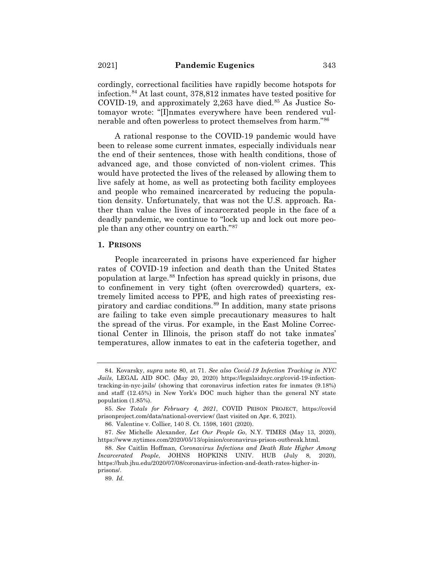cordingly, correctional facilities have rapidly become hotspots for infection.84 At last count, 378,812 inmates have tested positive for COVID-19, and approximately  $2,263$  have died.<sup>85</sup> As Justice Sotomayor wrote: "[I]nmates everywhere have been rendered vulnerable and often powerless to protect themselves from harm."86

A rational response to the COVID-19 pandemic would have been to release some current inmates, especially individuals near the end of their sentences, those with health conditions, those of advanced age, and those convicted of non-violent crimes. This would have protected the lives of the released by allowing them to live safely at home, as well as protecting both facility employees and people who remained incarcerated by reducing the population density. Unfortunately, that was not the U.S. approach. Rather than value the lives of incarcerated people in the face of a deadly pandemic, we continue to "lock up and lock out more people than any other country on earth."87

#### **1. PRISONS**

People incarcerated in prisons have experienced far higher rates of COVID-19 infection and death than the United States population at large.88 Infection has spread quickly in prisons, due to confinement in very tight (often overcrowded) quarters, extremely limited access to PPE, and high rates of preexisting respiratory and cardiac conditions.89 In addition, many state prisons are failing to take even simple precautionary measures to halt the spread of the virus. For example, in the East Moline Correctional Center in Illinois, the prison staff do not take inmates' temperatures, allow inmates to eat in the cafeteria together, and

<sup>84.</sup> Kovarsky, *supra* note 80, at 71. *See also Covid-19 Infection Tracking in NYC Jails*, LEGAL AID SOC. (May 20, 2020) https://legalaidnyc.org/covid-19-infectiontracking-in-nyc-jails/ (showing that coronavirus infection rates for inmates (9.18%) and staff (12.45%) in New York's DOC much higher than the general NY state population (1.85%).

<sup>85.</sup> *See Totals for February 4, 2021*, COVID PRISON PROJECT, https://covid prisonproject.com/data/national-overview/ (last visited on Apr. 6, 2021).

<sup>86.</sup> Valentine v. Collier*,* 140 S. Ct. 1598, 1601 (2020).

<sup>87.</sup> *See* Michelle Alexander, *Let Our People Go*, N.Y. TIMES (May 13, 2020), https://www.nytimes.com/2020/05/13/opinion/coronavirus-prison-outbreak.html.

<sup>88.</sup> *See* Caitlin Hoffman, *Coronavirus Infections and Death Rate Higher Among Incarcerated People*, JOHNS HOPKINS UNIV. HUB (July 8, 2020), https://hub.jhu.edu/2020/07/08/coronavirus-infection-and-death-rates-higher-inprisons/.

<sup>89.</sup> *Id.*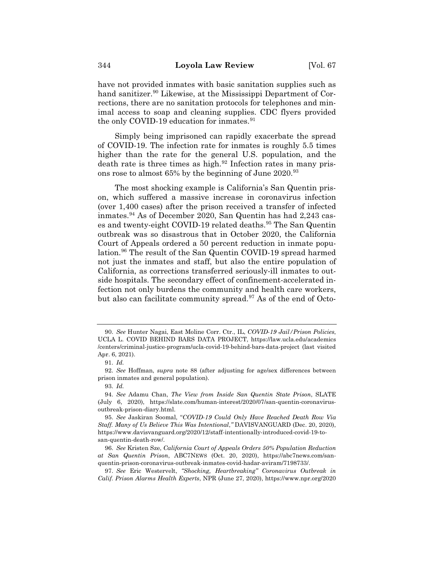have not provided inmates with basic sanitation supplies such as hand sanitizer.<sup>90</sup> Likewise, at the Mississippi Department of Corrections, there are no sanitation protocols for telephones and minimal access to soap and cleaning supplies. CDC flyers provided the only COVID-19 education for inmates.<sup>91</sup>

Simply being imprisoned can rapidly exacerbate the spread of COVID-19. The infection rate for inmates is roughly 5.5 times higher than the rate for the general U.S. population, and the death rate is three times as high. $92$  Infection rates in many prisons rose to almost 65% by the beginning of June 2020.<sup>93</sup>

The most shocking example is California's San Quentin prison, which suffered a massive increase in coronavirus infection (over 1,400 cases) after the prison received a transfer of infected inmates.94 As of December 2020, San Quentin has had 2,243 cases and twenty-eight COVID-19 related deaths.<sup>95</sup> The San Quentin outbreak was so disastrous that in October 2020, the California Court of Appeals ordered a 50 percent reduction in inmate population.<sup>96</sup> The result of the San Quentin COVID-19 spread harmed not just the inmates and staff, but also the entire population of California, as corrections transferred seriously-ill inmates to outside hospitals. The secondary effect of confinement-accelerated infection not only burdens the community and health care workers, but also can facilitate community spread.<sup>97</sup> As of the end of Octo-

<sup>90.</sup> *See* Hunter Nagai, East Moline Corr. Ctr., IL, *COVID-19 Jail/Prison Policies*, UCLA L. COVID BEHIND BARS DATA PROJECT, https://law.ucla.edu/academics /centers/criminal-justice-program/ucla-covid-19-behind-bars-data-project (last visited Apr. 6, 2021).

<sup>91.</sup> *Id.*

<sup>92.</sup> *See* Hoffman, *supra* note 88 (after adjusting for age/sex differences between prison inmates and general population).

<sup>93.</sup> *Id.*

<sup>94.</sup> *See* Adamu Chan, *The View from Inside San Quentin State Prison*, SLATE (July 6, 2020), https://slate.com/human-interest/2020/07/san-quentin-coronavirusoutbreak-prison-diary.html.

<sup>95.</sup> *See* Jaskiran Soomal, "*COVID-19 Could Only Have Reached Death Row Via Staff. Many of Us Believe This Was Intentional*,*"* DAVISVANGUARD (Dec. 20, 2020), https://www.davisvanguard.org/2020/12/staff-intentionally-introduced-covid-19-tosan-quentin-death-row/.

<sup>96.</sup> *See* Kristen Sze, *California Court of Appeals Orders 50% Population Reduction at San Quentin Prison*, ABC7NEWS (Oct. 20, 2020), https://abc7news.com/sanquentin-prison-coronavirus-outbreak-inmates-covid-hadar-aviram/7198733/.

<sup>97.</sup> *See* Eric Westervelt, *"Shocking, Heartbreaking" Coronavirus Outbreak in Calif. Prison Alarms Health Experts*, NPR (June 27, 2020), https://www.npr.org/2020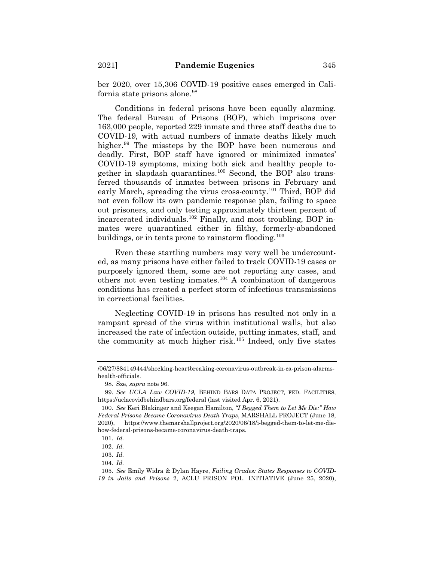ber 2020, over 15,306 COVID-19 positive cases emerged in California state prisons alone.<sup>98</sup>

Conditions in federal prisons have been equally alarming. The federal Bureau of Prisons (BOP), which imprisons over 163,000 people, reported 229 inmate and three staff deaths due to COVID-19, with actual numbers of inmate deaths likely much higher.<sup>99</sup> The missteps by the BOP have been numerous and deadly. First, BOP staff have ignored or minimized inmates' COVID-19 symptoms, mixing both sick and healthy people together in slapdash quarantines.100 Second, the BOP also transferred thousands of inmates between prisons in February and early March, spreading the virus cross-county.<sup>101</sup> Third, BOP did not even follow its own pandemic response plan, failing to space out prisoners, and only testing approximately thirteen percent of incarcerated individuals.102 Finally, and most troubling, BOP inmates were quarantined either in filthy, formerly-abandoned buildings, or in tents prone to rainstorm flooding.<sup>103</sup>

Even these startling numbers may very well be undercounted, as many prisons have either failed to track COVID-19 cases or purposely ignored them, some are not reporting any cases, and others not even testing inmates.<sup>104</sup> A combination of dangerous conditions has created a perfect storm of infectious transmissions in correctional facilities.

Neglecting COVID-19 in prisons has resulted not only in a rampant spread of the virus within institutional walls, but also increased the rate of infection outside, putting inmates, staff, and the community at much higher risk.105 Indeed, only five states

<sup>/06/27/884149444/</sup>shocking-heartbreaking-coronavirus-outbreak-in-ca-prison-alarmshealth-officials.

<sup>98.</sup> Sze, *supra* note 96.

<sup>99.</sup> *See UCLA Law COVID-19,* BEHIND BARS DATA PROJECT*,* FED. FACILITIES, https://uclacovidbehindbars.org/federal (last visited Apr. 6, 2021).

<sup>100.</sup> *See* Keri Blakinger and Keegan Hamilton, *"I Begged Them to Let Me Die:" How Federal Prisons Became Coronavirus Death Traps*, MARSHALL PROJECT (June 18, 2020), https://www.themarshallproject.org/2020/06/18/i-begged-them-to-let-me-diehow-federal-prisons-became-coronavirus-death-traps.

<sup>101.</sup> *Id.*

<sup>102.</sup> *Id.*

<sup>103.</sup> *Id.*

<sup>104.</sup> *Id.*

<sup>105.</sup> *See* Emily Widra & Dylan Hayre, *Failing Grades: States Responses to COVID-19 in Jails and Prisons* 2, ACLU PRISON POL. INITIATIVE (June 25, 2020),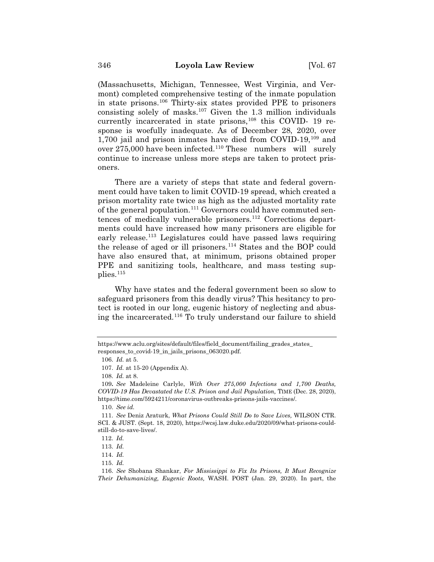(Massachusetts, Michigan, Tennessee, West Virginia, and Vermont) completed comprehensive testing of the inmate population in state prisons.106 Thirty-six states provided PPE to prisoners consisting solely of masks.<sup>107</sup> Given the 1.3 million individuals currently incarcerated in state prisons,<sup>108</sup> this COVID- 19 response is woefully inadequate. As of December 28, 2020, over 1,700 jail and prison inmates have died from COVID-19, $^{109}$  and over 275,000 have been infected.<sup>110</sup> These numbers will surely continue to increase unless more steps are taken to protect prisoners.

There are a variety of steps that state and federal government could have taken to limit COVID-19 spread, which created a prison mortality rate twice as high as the adjusted mortality rate of the general population.<sup>111</sup> Governors could have commuted sentences of medically vulnerable prisoners.112 Corrections departments could have increased how many prisoners are eligible for early release.<sup>113</sup> Legislatures could have passed laws requiring the release of aged or ill prisoners.<sup>114</sup> States and the BOP could have also ensured that, at minimum, prisons obtained proper PPE and sanitizing tools, healthcare, and mass testing supplies.115

Why have states and the federal government been so slow to safeguard prisoners from this deadly virus? This hesitancy to protect is rooted in our long, eugenic history of neglecting and abusing the incarcerated.116 To truly understand our failure to shield

https://www.aclu.org/sites/default/files/field\_document/failing\_grades\_states\_ responses\_to\_covid-19\_in\_jails\_prisons\_063020.pdf.

<sup>106.</sup> *Id.* at 5.

<sup>107.</sup> *Id.* at 15-20 (Appendix A).

<sup>108.</sup> *Id.* at 8.

<sup>109</sup>**.** *See* Madeleine Carlyle, *With Over 275,000 Infections and 1,700 Deaths, COVID-19 Has Devastated the U.S. Prison and Jail Population,* TIME (Dec. 28, 2020), https://time.com/5924211/coronavirus-outbreaks-prisons-jails-vaccines/.

<sup>110.</sup> *See id.*

<sup>111.</sup> *See* Deniz Araturk, *What Prisons Could Still Do to Save Lives,* WILSON CTR. SCI. & JUST. (Sept. 18, 2020), https://wcsj.law.duke.edu/2020/09/what-prisons-couldstill-do-to-save-lives/.

<sup>112.</sup> *Id.*

<sup>113.</sup> *Id.*

<sup>114.</sup> *Id.*

<sup>115.</sup> *Id.*

<sup>116.</sup> *See* Shobana Shankar, *For Mississippi to Fix Its Prisons, It Must Recognize Their Dehumanizing, Eugenic Roots,* WASH. POST (Jan. 29, 2020). In part, the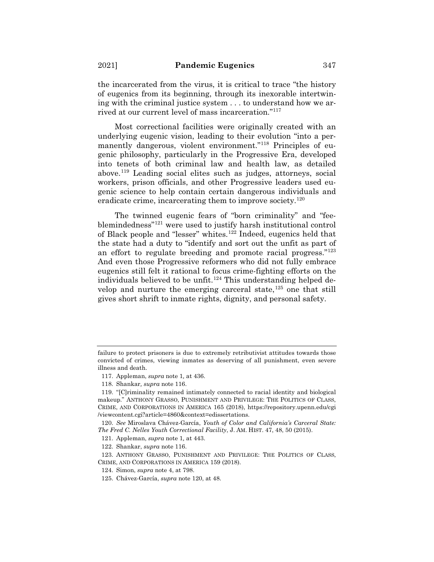the incarcerated from the virus, it is critical to trace "the history of eugenics from its beginning, through its inexorable intertwining with the criminal justice system . . . to understand how we arrived at our current level of mass incarceration."117

Most correctional facilities were originally created with an underlying eugenic vision, leading to their evolution "into a permanently dangerous, violent environment."<sup>118</sup> Principles of eugenic philosophy, particularly in the Progressive Era, developed into tenets of both criminal law and health law, as detailed above.119 Leading social elites such as judges, attorneys, social workers, prison officials, and other Progressive leaders used eugenic science to help contain certain dangerous individuals and eradicate crime, incarcerating them to improve society.<sup>120</sup>

The twinned eugenic fears of "born criminality" and "feeblemindedness"121 were used to justify harsh institutional control of Black people and "lesser" whites.122 Indeed, eugenics held that the state had a duty to "identify and sort out the unfit as part of an effort to regulate breeding and promote racial progress."123 And even those Progressive reformers who did not fully embrace eugenics still felt it rational to focus crime-fighting efforts on the individuals believed to be unfit.<sup>124</sup> This understanding helped develop and nurture the emerging carceral state,  $125$  one that still gives short shrift to inmate rights, dignity, and personal safety.

failure to protect prisoners is due to extremely retributivist attitudes towards those convicted of crimes, viewing inmates as deserving of all punishment, even severe illness and death.

<sup>117.</sup> Appleman, *supra* note 1*,* at 436.

<sup>118.</sup> Shankar*, supra* note 116.

<sup>119. &</sup>quot;[C]riminality remained intimately connected to racial identity and biological makeup." ANTHONY GRASSO, PUNISHMENT AND PRIVILEGE: THE POLITICS OF CLASS, CRIME, AND CORPORATIONS IN AMERICA 165 (2018), https://repository.upenn.edu/cgi /viewcontent.cgi?article=4860&context=edissertations.

<sup>120.</sup> *See* Miroslava Chávez-García, *Youth of Color and California's Carceral State: The Fred C. Nelles Youth Correctional Facility*, J. AM. HIST. 47, 48, 50 (2015).

<sup>121.</sup> Appleman, *supra* note 1*,* at 443.

<sup>122.</sup> Shankar, *supra* note 116.

<sup>123.</sup> ANTHONY GRASSO, PUNISHMENT AND PRIVILEGE: THE POLITICS OF CLASS, CRIME, AND CORPORATIONS IN AMERICA 159 (2018).

<sup>124.</sup> Simon, *supra* note 4, at 798.

<sup>125.</sup> Chávez-García, *supra* note 120, at 48.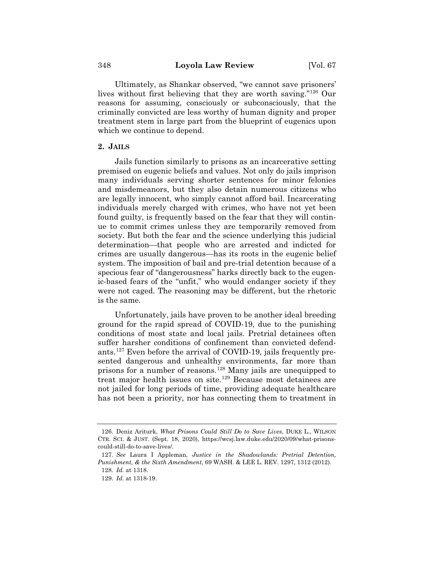Ultimately, as Shankar observed, "we cannot save prisoners' lives without first believing that they are worth saving."126 Our reasons for assuming, consciously or subconsciously, that the criminally convicted are less worthy of human dignity and proper treatment stem in large part from the blueprint of eugenics upon which we continue to depend.

#### **2. JAILS**

Jails function similarly to prisons as an incarcerative setting premised on eugenic beliefs and values. Not only do jails imprison many individuals serving shorter sentences for minor felonies and misdemeanors, but they also detain numerous citizens who are legally innocent, who simply cannot afford bail. Incarcerating individuals merely charged with crimes, who have not yet been found guilty, is frequently based on the fear that they will continue to commit crimes unless they are temporarily removed from society. But both the fear and the science underlying this judicial determination—that people who are arrested and indicted for crimes are usually dangerous—has its roots in the eugenic belief system. The imposition of bail and pre-trial detention because of a specious fear of "dangerousness" harks directly back to the eugenic-based fears of the "unfit," who would endanger society if they were not caged. The reasoning may be different, but the rhetoric is the same.

Unfortunately, jails have proven to be another ideal breeding ground for the rapid spread of COVID-19, due to the punishing conditions of most state and local jails. Pretrial detainees often suffer harsher conditions of confinement than convicted defendants.127 Even before the arrival of COVID-19, jails frequently presented dangerous and unhealthy environments, far more than prisons for a number of reasons.128 Many jails are unequipped to treat major health issues on site.129 Because most detainees are not jailed for long periods of time, providing adequate healthcare has not been a priority, nor has connecting them to treatment in

<sup>126.</sup> Deniz Ariturk, *What Prisons Could Still Do to Save Lives*, DUKE L., WILSON CTR. SCI.&JUST. (Sept. 18, 2020), https://wcsj.law.duke.edu/2020/09/what-prisonscould-still-do-to-save-lives/.

<sup>127.</sup> *See* Laura I Appleman, *Justice in the Shadowlands: Pretrial Detention, Punishment, & the Sixth Amendment*, 69 WASH. & LEE L. REV. 1297, 1312 (2012).

<sup>128.</sup> *Id.* at 1318.

<sup>129.</sup> *Id.* at 1318-19.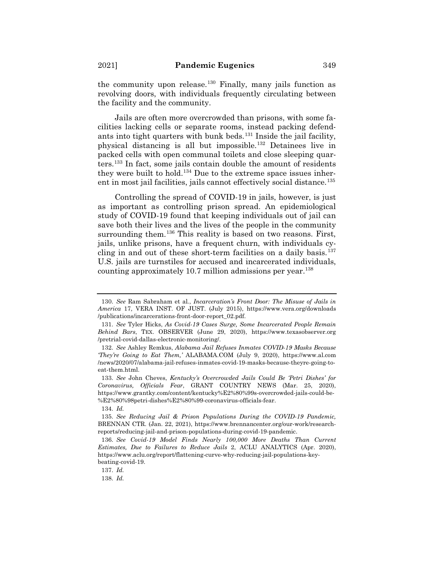the community upon release.<sup>130</sup> Finally, many jails function as revolving doors, with individuals frequently circulating between the facility and the community.

Jails are often more overcrowded than prisons, with some facilities lacking cells or separate rooms, instead packing defendants into tight quarters with bunk beds.<sup>131</sup> Inside the jail facility, physical distancing is all but impossible.132 Detainees live in packed cells with open communal toilets and close sleeping quarters.133 In fact, some jails contain double the amount of residents they were built to hold.134 Due to the extreme space issues inherent in most jail facilities, jails cannot effectively social distance.<sup>135</sup>

Controlling the spread of COVID-19 in jails, however, is just as important as controlling prison spread. An epidemiological study of COVID-19 found that keeping individuals out of jail can save both their lives and the lives of the people in the community surrounding them.<sup>136</sup> This reality is based on two reasons. First, jails, unlike prisons, have a frequent churn, with individuals cycling in and out of these short-term facilities on a daily basis.<sup>137</sup> U.S. jails are turnstiles for accused and incarcerated individuals, counting approximately 10.7 million admissions per year.138

137. *Id.*

138. *Id.*

<sup>130.</sup> *See* Ram Sabraham et al*.*, *Incarceration's Front Door: The Misuse of Jails in America* 17, VERA INST. OF JUST. (July 2015), https://www.vera.org/downloads /publications/incarcerations-front-door-report\_02.pdf.

<sup>131.</sup> *See* Tyler Hicks, *As Covid-19 Cases Surge, Some Incarcerated People Remain Behind Bars*, TEX. OBSERVER (June 29, 2020), https://www.texasobserver.org /pretrial-covid-dallas-electronic-monitoring/.

<sup>132.</sup> *See* Ashley Remkus, *Alabama Jail Refuses Inmates COVID-19 Masks Because 'They're Going to Eat Them,'* ALABAMA.COM (July 9, 2020), https://www.al.com /news/2020/07/alabama-jail-refuses-inmates-covid-19-masks-because-theyre-going-toeat-them.html.

<sup>133.</sup> *See* John Cheves, *Kentucky's Overcrowded Jails Could Be 'Petri Dishes' for Coronavirus, Officials Fear*, GRANT COUNTRY NEWS (Mar. 25, 2020), https://www.grantky.com/content/kentucky%E2%80%99s-overcrowded-jails-could-be- %E2%80%98petri-dishes%E2%80%99-coronavirus-officials-fear.

<sup>134.</sup> *Id.*

<sup>135.</sup> *See Reducing Jail & Prison Populations During the COVID-19 Pandemic,*  BRENNAN CTR. (Jan. 22, 2021), https://www.brennancenter.org/our-work/researchreports/reducing-jail-and-prison-populations-during-covid-19-pandemic.

<sup>136.</sup> *See Covid-19 Model Finds Nearly 100,000 More Deaths Than Current Estimates, Due to Failures to Reduce Jails* 2, ACLU ANALYTICS (Apr. 2020), https://www.aclu.org/report/flattening-curve-why-reducing-jail-populations-keybeating-covid-19.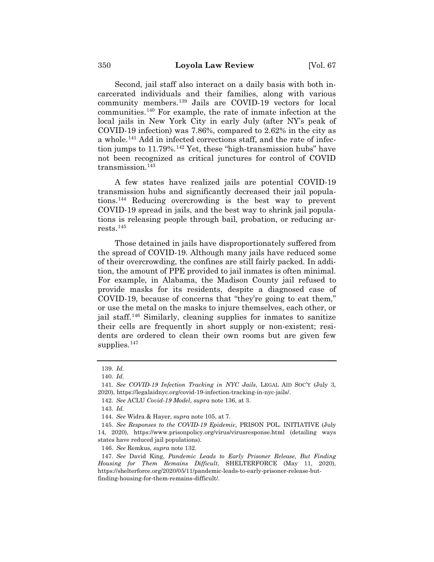Second, jail staff also interact on a daily basis with both incarcerated individuals and their families, along with various community members.139 Jails are COVID-19 vectors for local communities.140 For example, the rate of inmate infection at the local jails in New York City in early July (after NY's peak of COVID-19 infection) was 7.86%, compared to 2.62% in the city as a whole.141 Add in infected corrections staff, and the rate of infection jumps to  $11.79\%$ .<sup>142</sup> Yet, these "high-transmission hubs" have not been recognized as critical junctures for control of COVID transmission. $143$ 

A few states have realized jails are potential COVID-19 transmission hubs and significantly decreased their jail populations.144 Reducing overcrowding is the best way to prevent COVID-19 spread in jails, and the best way to shrink jail populations is releasing people through bail, probation, or reducing arrests.145

Those detained in jails have disproportionately suffered from the spread of COVID-19. Although many jails have reduced some of their overcrowding, the confines are still fairly packed. In addition, the amount of PPE provided to jail inmates is often minimal. For example, in Alabama, the Madison County jail refused to provide masks for its residents, despite a diagnosed case of COVID-19, because of concerns that "they're going to eat them," or use the metal on the masks to injure themselves, each other, or jail staff.146 Similarly, cleaning supplies for inmates to sanitize their cells are frequently in short supply or non-existent; residents are ordered to clean their own rooms but are given few supplies. $147$ 

<sup>139.</sup> *Id.*

<sup>140.</sup> *Id.*

<sup>141</sup>*. See COVID-19 Infection Tracking in NYC Jails*, LEGAL AID SOC'Y (July 3, 2020), https://legalaidnyc.org/covid-19-infection-tracking-in-nyc-jails/.

<sup>142.</sup> *See* ACLU *Covid-19 Model*, *supra* note 136, at 3.

<sup>143.</sup> *Id.*

<sup>144.</sup> *See* Widra & Hayer, *supra* note 105, at 7.

<sup>145.</sup> *See Responses to the COVID-19 Epidemic,* PRISON POL. INITIATIVE (July 14, 2020), https://www.prisonpolicy.org/virus/virusresponse.html (detailing ways states have reduced jail populations).

<sup>146.</sup> *See* Remkus, *supra* note 132.

<sup>147.</sup> *See* David King, *Pandemic Leads to Early Prisoner Release, But Finding Housing for Them Remains Difficult*, SHELTERFORCE (May 11, 2020), https://shelterforce.org/2020/05/11/pandemic-leads-to-early-prisoner-release-butfinding-housing-for-them-remains-difficult/.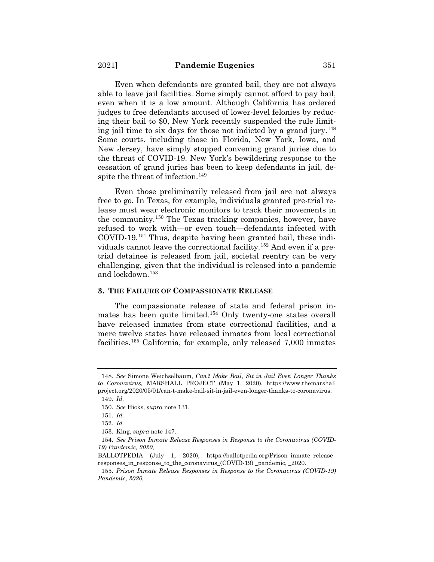Even when defendants are granted bail, they are not always able to leave jail facilities. Some simply cannot afford to pay bail, even when it is a low amount. Although California has ordered judges to free defendants accused of lower-level felonies by reducing their bail to \$0, New York recently suspended the rule limiting jail time to six days for those not indicted by a grand jury.148 Some courts, including those in Florida, New York, Iowa, and New Jersey, have simply stopped convening grand juries due to the threat of COVID-19. New York's bewildering response to the cessation of grand juries has been to keep defendants in jail, despite the threat of infection.<sup>149</sup>

Even those preliminarily released from jail are not always free to go. In Texas, for example, individuals granted pre-trial release must wear electronic monitors to track their movements in the community.150 The Texas tracking companies, however, have refused to work with—or even touch—defendants infected with COVID-19.151 Thus, despite having been granted bail, these individuals cannot leave the correctional facility.152 And even if a pretrial detainee is released from jail, societal reentry can be very challenging, given that the individual is released into a pandemic and lockdown.153

#### **3. THE FAILURE OF COMPASSIONATE RELEASE**

The compassionate release of state and federal prison inmates has been quite limited.<sup>154</sup> Only twenty-one states overall have released inmates from state correctional facilities, and a mere twelve states have released inmates from local correctional facilities.155 California, for example, only released 7,000 inmates

<sup>148.</sup> *See* Simone Weichselbaum, *Can't Make Bail, Sit in Jail Even Longer Thanks to Coronavirus,* MARSHALL PROJECT (May 1, 2020), https://www.themarshall project.org/2020/05/01/can-t-make-bail-sit-in-jail-even-longer-thanks-to-coronavirus.

<sup>149.</sup> *Id.*

<sup>150.</sup> *See* Hicks, *supra* note 131.

<sup>151.</sup> *Id.*

<sup>152.</sup> *Id.*

<sup>153.</sup> King, *supra* note 147.

<sup>154.</sup> *See Prison Inmate Release Responses in Response to the Coronavirus (COVID-19) Pandemic, 2020,*

BALLOTPEDIA (July 1, 2020), https://ballotpedia.org/Prison\_inmate\_release\_ responses\_in\_response\_to\_the\_coronavirus\_(COVID-19) \_pandemic, \_2020.

<sup>155.</sup> *Prison Inmate Release Responses in Response to the Coronavirus (COVID-19) Pandemic, 2020,*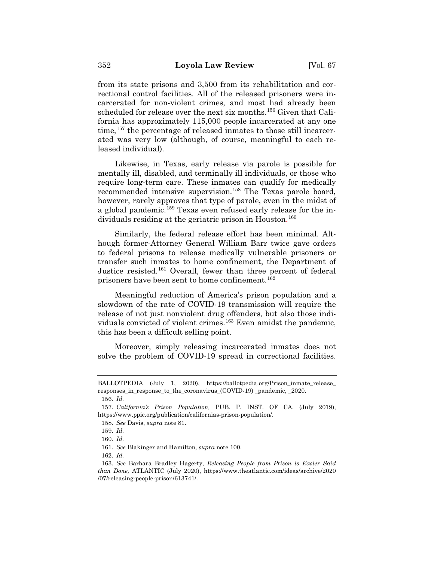from its state prisons and 3,500 from its rehabilitation and correctional control facilities. All of the released prisoners were incarcerated for non-violent crimes, and most had already been scheduled for release over the next six months.<sup>156</sup> Given that California has approximately 115,000 people incarcerated at any one time,<sup>157</sup> the percentage of released inmates to those still incarcerated was very low (although, of course, meaningful to each released individual).

Likewise, in Texas, early release via parole is possible for mentally ill, disabled, and terminally ill individuals, or those who require long-term care. These inmates can qualify for medically recommended intensive supervision.<sup>158</sup> The Texas parole board, however, rarely approves that type of parole, even in the midst of a global pandemic.159 Texas even refused early release for the individuals residing at the geriatric prison in Houston. 160

Similarly, the federal release effort has been minimal. Although former-Attorney General William Barr twice gave orders to federal prisons to release medically vulnerable prisoners or transfer such inmates to home confinement, the Department of Justice resisted.161 Overall, fewer than three percent of federal prisoners have been sent to home confinement.<sup>162</sup>

Meaningful reduction of America's prison population and a slowdown of the rate of COVID-19 transmission will require the release of not just nonviolent drug offenders, but also those individuals convicted of violent crimes.163 Even amidst the pandemic, this has been a difficult selling point.

Moreover, simply releasing incarcerated inmates does not solve the problem of COVID-19 spread in correctional facilities.

BALLOTPEDIA (July 1, 2020), https://ballotpedia.org/Prison\_inmate\_release\_ responses\_in\_response\_to\_the\_coronavirus\_(COVID-19) \_pandemic, \_2020.

<sup>156.</sup> *Id.*

<sup>157.</sup> *California's Prison Population,* PUB. P. INST. OF CA. (July 2019), https://www.ppic.org/publication/californias-prison-population/.

<sup>158.</sup> *See* Davis, *supra* note 81.

<sup>159.</sup> *Id.*

<sup>160.</sup> *Id.*

<sup>161.</sup> *See* Blakinger and Hamilton*, supra* note 100.

<sup>162.</sup> *Id.*

<sup>163.</sup> *See* Barbara Bradley Hagerty, *Releasing People from Prison is Easier Said than Done,* ATLANTIC (July 2020), https://www.theatlantic.com/ideas/archive/2020 /07/releasing-people-prison/613741/.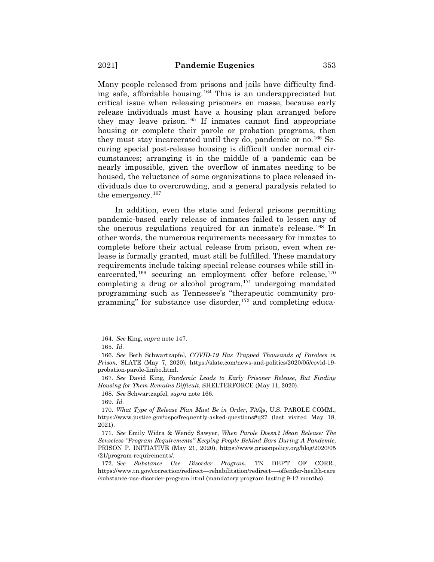Many people released from prisons and jails have difficulty finding safe, affordable housing.164 This is an underappreciated but critical issue when releasing prisoners en masse, because early release individuals must have a housing plan arranged before they may leave prison.165 If inmates cannot find appropriate housing or complete their parole or probation programs, then they must stay incarcerated until they do, pandemic or no.166 Securing special post-release housing is difficult under normal circumstances; arranging it in the middle of a pandemic can be nearly impossible, given the overflow of inmates needing to be housed, the reluctance of some organizations to place released individuals due to overcrowding, and a general paralysis related to the emergency.<sup>167</sup>

In addition, even the state and federal prisons permitting pandemic-based early release of inmates failed to lessen any of the onerous regulations required for an inmate's release.<sup>168</sup> In other words, the numerous requirements necessary for inmates to complete before their actual release from prison, even when release is formally granted, must still be fulfilled. These mandatory requirements include taking special release courses while still incarcerated,<sup>169</sup> securing an employment offer before release,<sup>170</sup> completing a drug or alcohol program, $171$  undergoing mandated programming such as Tennessee's "therapeutic community programming" for substance use disorder,  $172$  and completing educa-

168. *See* Schwartzapfel, *supra* note 166.

<sup>164.</sup> *See* King, *supra* note 147.

<sup>165.</sup> *Id.*

<sup>166.</sup> *See* Beth Schwartzapfel, *COVID-19 Has Trapped Thousands of Parolees in Prison,* SLATE (May 7, 2020), https://slate.com/news-and-politics/2020/05/covid-19 probation-parole-limbo.html.

<sup>167.</sup> *See* David King, *Pandemic Leads to Early Prisoner Release, But Finding Housing for Them Remains Difficult*, SHELTERFORCE (May 11, 2020).

<sup>169.</sup> *Id.*

<sup>170.</sup> *What Type of Release Plan Must Be in Order*, FAQs, U.S. PAROLE COMM., https://www.justice.gov/uspc/frequently-asked-questions#q27 (last visited May 18, 2021).

<sup>171.</sup> *See* Emily Widra & Wendy Sawyer, *When Parole Doesn't Mean Release: The Senseless "Program Requirements" Keeping People Behind Bars During A Pandemic,*  PRISON P. INITIATIVE (May 21, 2020), https://www.prisonpolicy.org/blog/2020/05 /21/program-requirements/.

<sup>172.</sup> *See Substance Use Disorder Program*, TN DEP'T OF CORR., https://www.tn.gov/correction/redirect—rehabilitation/redirect—-offender-health-care /substance-use-disorder-program.html (mandatory program lasting 9-12 months).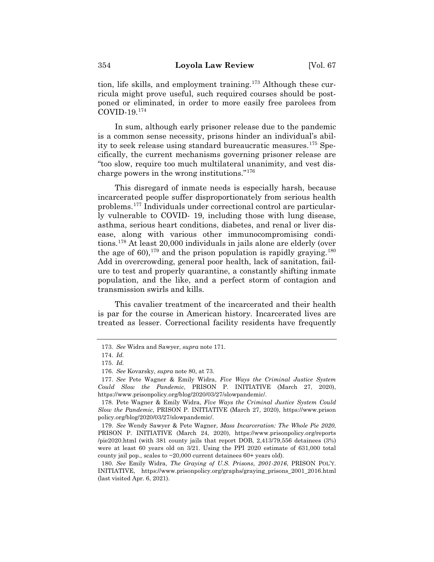tion, life skills, and employment training.173 Although these curricula might prove useful, such required courses should be postponed or eliminated, in order to more easily free parolees from COVID-19.174

In sum, although early prisoner release due to the pandemic is a common sense necessity, prisons hinder an individual's ability to seek release using standard bureaucratic measures.175 Specifically, the current mechanisms governing prisoner release are "too slow, require too much multilateral unanimity, and vest discharge powers in the wrong institutions."176

This disregard of inmate needs is especially harsh, because incarcerated people suffer disproportionately from serious health problems.177 Individuals under correctional control are particularly vulnerable to COVID- 19, including those with lung disease, asthma, serious heart conditions, diabetes, and renal or liver disease, along with various other immunocompromising conditions.178 At least 20,000 individuals in jails alone are elderly (over the age of 60),  $179$  and the prison population is rapidly graving.  $180$ Add in overcrowding, general poor health, lack of sanitation, failure to test and properly quarantine, a constantly shifting inmate population, and the like, and a perfect storm of contagion and transmission swirls and kills.

This cavalier treatment of the incarcerated and their health is par for the course in American history. Incarcerated lives are treated as lesser. Correctional facility residents have frequently

<sup>173.</sup> *See* Widra and Sawyer, *supra* note 171.

<sup>174.</sup> *Id.*

<sup>175.</sup> *Id.*

<sup>176.</sup> *See* Kovarsky, *supra* note 80, at 73.

<sup>177.</sup> *See* Pete Wagner & Emily Widra, *Five Ways the Criminal Justice System Could Slow the Pandemic*, PRISON P. INITIATIVE (March 27, 2020), https://www.prisonpolicy.org/blog/2020/03/27/slowpandemic/.

<sup>178.</sup> Pete Wagner & Emily Widra, *Five Ways the Criminal Justice System Could Slow the Pandemic*, PRISON P. INITIATIVE (March 27, 2020), https://www.prison policy.org/blog/2020/03/27/slowpandemic/.

<sup>179.</sup> *See* Wendy Sawyer & Pete Wagner, *Mass Incarceration: The Whole Pie 2020*, PRISON P. INITIATIVE (March 24, 2020), https://www.prisonpolicy.org/reports /pie2020.html (with 381 county jails that report DOB, 2,413/79,556 detainees (3%) were at least 60 years old on 3/21. Using the PPI 2020 estimate of 631,000 total county jail pop., scales to ~20,000 current detainees 60+ years old).

<sup>180.</sup> *See* Emily Widra, *The Graying of U.S. Prisons, 2001-2016*, PRISON POL'Y. INITIATIVE, https://www.prisonpolicy.org/graphs/graying\_prisons\_2001\_2016.html (last visited Apr. 6, 2021).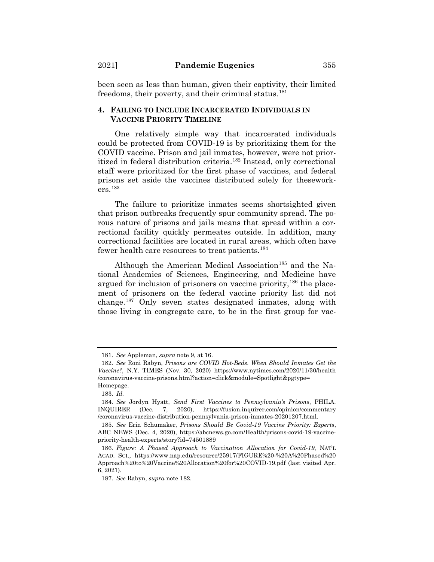been seen as less than human, given their captivity, their limited freedoms, their poverty, and their criminal status. $181$ 

## **4. FAILING TO INCLUDE INCARCERATED INDIVIDUALS IN VACCINE PRIORITY TIMELINE**

One relatively simple way that incarcerated individuals could be protected from COVID-19 is by prioritizing them for the COVID vaccine. Prison and jail inmates, however, were not prioritized in federal distribution criteria.182 Instead, only correctional staff were prioritized for the first phase of vaccines, and federal prisons set aside the vaccines distributed solely for theseworkers.183

The failure to prioritize inmates seems shortsighted given that prison outbreaks frequently spur community spread. The porous nature of prisons and jails means that spread within a correctional facility quickly permeates outside. In addition, many correctional facilities are located in rural areas, which often have fewer health care resources to treat patients.<sup>184</sup>

Although the American Medical Association<sup>185</sup> and the National Academies of Sciences, Engineering, and Medicine have argued for inclusion of prisoners on vaccine priority,<sup>186</sup> the placement of prisoners on the federal vaccine priority list did not change.187 Only seven states designated inmates, along with those living in congregate care, to be in the first group for vac-

<sup>181.</sup> *See* Appleman, *supra* note 9, at 16.

<sup>182.</sup> *See* Roni Rabyn, *Prisons are COVID Hot-Beds. When Should Inmates Get the Vaccine?*, N.Y. TIMES (Nov. 30, 2020) https://www.nytimes.com/2020/11/30/health /coronavirus-vaccine-prisons.html?action=click&module=Spotlight&pgtype= Homepage.

<sup>183.</sup> *Id.*

<sup>184.</sup> *See* Jordyn Hyatt, *Send First Vaccines to Pennsylvania's Prisons*, PHILA. INQUIRER (Dec. 7, 2020), https://fusion.inquirer.com/opinion/commentary /coronavirus-vaccine-distribution-pennsylvania-prison-inmates-20201207.html.

<sup>185.</sup> *See* Erin Schumaker, *Prisons Should Be Covid-19 Vaccine Priority: Experts*, ABC NEWS (Dec. 4, 2020), https://abcnews.go.com/Health/prisons-covid-19-vaccinepriority-health-experts/story?id=74501889

<sup>186.</sup> *Figure: A Phased Approach to Vaccination Allocation for Covid-19*, NAT'L ACAD. SCI., https://www.nap.edu/resource/25917/FIGURE%20-%20A%20Phased%20 Approach%20to%20Vaccine%20Allocation%20for%20COVID-19.pdf (last visited Apr. 6, 2021).

<sup>187.</sup> *See* Rabyn, *supra* note 182.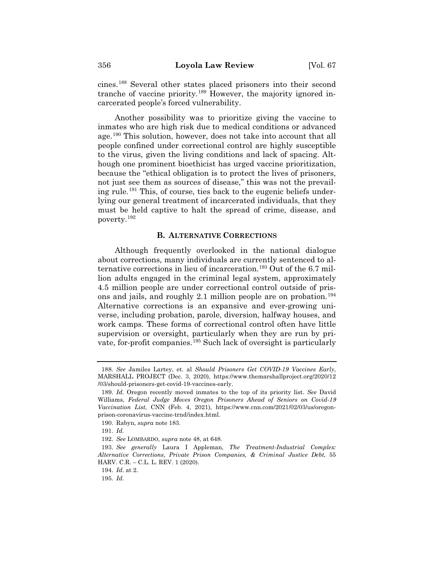cines.188 Several other states placed prisoners into their second tranche of vaccine priority.189 However, the majority ignored incarcerated people's forced vulnerability.

Another possibility was to prioritize giving the vaccine to inmates who are high risk due to medical conditions or advanced age.190 This solution, however, does not take into account that all people confined under correctional control are highly susceptible to the virus, given the living conditions and lack of spacing. Although one prominent bioethicist has urged vaccine prioritization, because the "ethical obligation is to protect the lives of prisoners, not just see them as sources of disease," this was not the prevailing rule.191 This, of course, ties back to the eugenic beliefs underlying our general treatment of incarcerated individuals, that they must be held captive to halt the spread of crime, disease, and poverty.192

#### **B. ALTERNATIVE CORRECTIONS**

Although frequently overlooked in the national dialogue about corrections, many individuals are currently sentenced to alternative corrections in lieu of incarceration.193 Out of the 6.7 million adults engaged in the criminal legal system, approximately 4.5 million people are under correctional control outside of prisons and jails, and roughly 2.1 million people are on probation.<sup>194</sup> Alternative corrections is an expansive and ever-growing universe, including probation, parole, diversion, halfway houses, and work camps. These forms of correctional control often have little supervision or oversight, particularly when they are run by private, for-profit companies.<sup>195</sup> Such lack of oversight is particularly

<sup>188.</sup> *See* Jamiles Lartey, et. al *Should Prisoners Get COVID-19 Vaccines Early*, MARSHALL PROJECT (Dec. 3, 2020), https://www.themarshallproject.org/2020/12 /03/should-prisoners-get-covid-19-vaccines-early.

<sup>189.</sup> *Id.* Oregon recently moved inmates to the top of its priority list. *See* David Williams, *Federal Judge Moves Oregon Prisoners Ahead of Seniors on Covid-19 Vaccination List*, CNN (Feb. 4, 2021), https://www.cnn.com/2021/02/03/us/oregonprison-coronavirus-vaccine-trnd/index.html.

<sup>190.</sup> Rabyn, *supra* note 183.

<sup>191.</sup> *Id.*

<sup>192.</sup> *See* LOMBARDO, *supra* note 48, at 648*.*

<sup>193.</sup> *See generally* Laura I Appleman, *The Treatment-Industrial Complex: Alternative Corrections, Private Prison Companies, & Criminal Justice Debt*, 55 HARV. C.R. – C.L. L. REV. 1 (2020).

<sup>194.</sup> *Id*. at 2.

<sup>195.</sup> *Id*.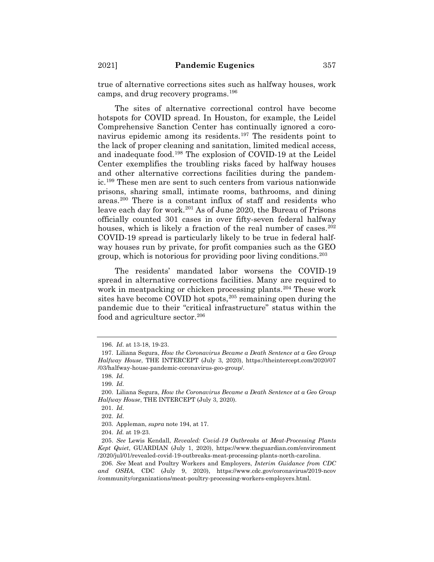true of alternative corrections sites such as halfway houses, work camps, and drug recovery programs.196

The sites of alternative correctional control have become hotspots for COVID spread. In Houston, for example, the Leidel Comprehensive Sanction Center has continually ignored a coronavirus epidemic among its residents.<sup>197</sup> The residents point to the lack of proper cleaning and sanitation, limited medical access, and inadequate food.198 The explosion of COVID-19 at the Leidel Center exemplifies the troubling risks faced by halfway houses and other alternative corrections facilities during the pandemic.199 These men are sent to such centers from various nationwide prisons, sharing small, intimate rooms, bathrooms, and dining areas.200 There is a constant influx of staff and residents who leave each day for work.<sup>201</sup> As of June 2020, the Bureau of Prisons officially counted 301 cases in over fifty-seven federal halfway houses, which is likely a fraction of the real number of cases.<sup>202</sup> COVID-19 spread is particularly likely to be true in federal halfway houses run by private, for profit companies such as the GEO group, which is notorious for providing poor living conditions.203

The residents' mandated labor worsens the COVID-19 spread in alternative corrections facilities. Many are required to work in meatpacking or chicken processing plants.<sup>204</sup> These work sites have become COVID hot spots,<sup>205</sup> remaining open during the pandemic due to their "critical infrastructure" status within the food and agriculture sector.<sup>206</sup>

<sup>196.</sup> *Id*. at 13-18, 19-23.

<sup>197.</sup> Liliana Segura, *How the Coronavirus Became a Death Sentence at a Geo Group Halfway House*, THE INTERCEPT (July 3, 2020), https://theintercept.com/2020/07 /03/halfway-house-pandemic-coronavirus-geo-group/.

<sup>198.</sup> *Id*.

<sup>199.</sup> *Id*.

<sup>200.</sup> Liliana Segura, *How the Coronavirus Became a Death Sentence at a Geo Group Halfway House*, THE INTERCEPT (July 3, 2020).

<sup>201.</sup> *Id*.

<sup>202.</sup> *Id*.

<sup>203.</sup> Appleman, *supra* note 194, at 17.

<sup>204.</sup> *Id.* at 19-23.

<sup>205.</sup> *See* Lewis Kendall, *Revealed: Covid-19 Outbreaks at Meat-Processing Plants Kept Quiet*, GUARDIAN (July 1, 2020), https://www.theguardian.com/environment /2020/jul/01/revealed-covid-19-outbreaks-meat-processing-plants-north-carolina.

<sup>206.</sup> *See* Meat and Poultry Workers and Employers, *Interim Guidance from CDC and OSHA*, CDC (July 9, 2020), https://www.cdc.gov/coronavirus/2019-ncov /community/organizations/meat-poultry-processing-workers-employers.html.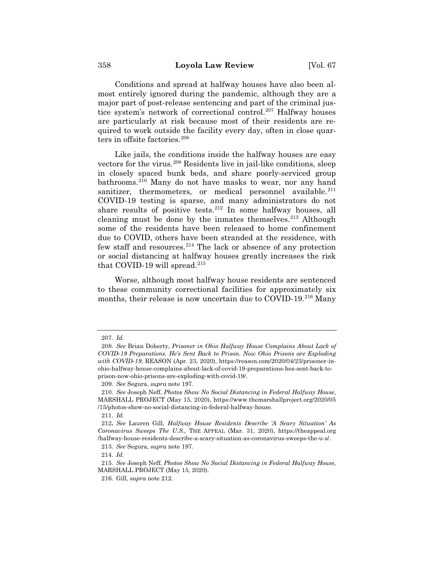Conditions and spread at halfway houses have also been almost entirely ignored during the pandemic, although they are a major part of post-release sentencing and part of the criminal justice system's network of correctional control.207 Halfway houses are particularly at risk because most of their residents are required to work outside the facility every day, often in close quarters in offsite factories.<sup>208</sup>

Like jails, the conditions inside the halfway houses are easy vectors for the virus.<sup>209</sup> Residents live in jail-like conditions, sleep in closely spaced bunk beds, and share poorly-serviced group bathrooms.210 Many do not have masks to wear, nor any hand sanitizer, thermometers, or medical personnel available.<sup>211</sup> COVID-19 testing is sparse, and many administrators do not share results of positive tests.<sup>212</sup> In some halfway houses, all cleaning must be done by the inmates themselves. $2^{13}$  Although some of the residents have been released to home confinement due to COVID, others have been stranded at the residence, with few staff and resources.<sup>214</sup> The lack or absence of any protection or social distancing at halfway houses greatly increases the risk that COVID-19 will spread.<sup>215</sup>

Worse, although most halfway house residents are sentenced to these community correctional facilities for approximately six months, their release is now uncertain due to COVID-19.<sup>216</sup> Many

214. *Id.*

<sup>207.</sup> *Id.*

<sup>208.</sup> *See* Brian Doherty, *Prisoner in Ohio Halfway House Complains About Lack of COVID-19 Preparations. He's Sent Back to Prison. Now Ohio Prisons are Exploding with COVID-19*, REASON (Apr. 23, 2020), https://reason.com/2020/04/23/prisoner-inohio-halfway-house-complains-about-lack-of-covid-19-preparations-hes-sent-back-toprison-now-ohio-prisons-are-exploding-with-covid-19/.

<sup>209.</sup> *See* Segura, *supra* note 197*.*

<sup>210.</sup> *See* Joseph Neff, *Photos Show No Social Distancing in Federal Halfway House,*  MARSHALL PROJECT (May 15, 2020), https://www.themarshallproject.org/2020/05 /15/photos-show-no-social-distancing-in-federal-halfway-house.

<sup>211.</sup> *Id.*

<sup>212</sup>**.** *See* Lauren Gill, *Halfway House Residents Describe 'A Scary Situation' As Coronavirus Sweeps The U.S.,* THE APPEAL (Mar. 31, 2020), https://theappeal.org /halfway-house-residents-describe-a-scary-situation-as-coronavirus-sweeps-the-u-s/.

<sup>213.</sup> *See* Segura*, supra* note 197*.*

<sup>215.</sup> *See* Joseph Neff, *Photos Show No Social Distancing in Federal Halfway House,*  MARSHALL PROJECT (May 15, 2020).

<sup>216.</sup> Gill, *supra* note 212.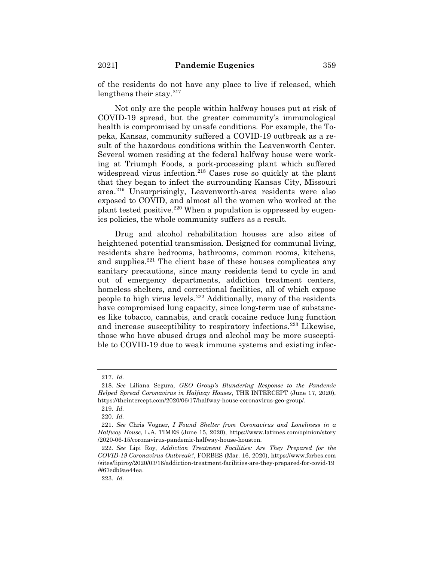of the residents do not have any place to live if released, which lengthens their stay. $2^{17}$ 

Not only are the people within halfway houses put at risk of COVID-19 spread, but the greater community's immunological health is compromised by unsafe conditions. For example, the Topeka, Kansas, community suffered a COVID-19 outbreak as a result of the hazardous conditions within the Leavenworth Center. Several women residing at the federal halfway house were working at Triumph Foods, a pork-processing plant which suffered widespread virus infection.218 Cases rose so quickly at the plant that they began to infect the surrounding Kansas City, Missouri area.219 Unsurprisingly, Leavenworth-area residents were also exposed to COVID, and almost all the women who worked at the plant tested positive.<sup>220</sup> When a population is oppressed by eugenics policies, the whole community suffers as a result.

Drug and alcohol rehabilitation houses are also sites of heightened potential transmission. Designed for communal living, residents share bedrooms, bathrooms, common rooms, kitchens, and supplies.221 The client base of these houses complicates any sanitary precautions, since many residents tend to cycle in and out of emergency departments, addiction treatment centers, homeless shelters, and correctional facilities, all of which expose people to high virus levels.222 Additionally, many of the residents have compromised lung capacity, since long-term use of substances like tobacco, cannabis, and crack cocaine reduce lung function and increase susceptibility to respiratory infections.223 Likewise, those who have abused drugs and alcohol may be more susceptible to COVID-19 due to weak immune systems and existing infec-

<sup>217.</sup> *Id.*

<sup>218.</sup> *See* Liliana Segura, *GEO Group's Blundering Response to the Pandemic Helped Spread Coronavirus in Halfway Houses*, THE INTERCEPT (June 17, 2020), https://theintercept.com/2020/06/17/halfway-house-coronavirus-geo-group/.

<sup>219.</sup> *Id.*

<sup>220.</sup> *Id.*

<sup>221.</sup> *See* Chris Vogner, *I Found Shelter from Coronavirus and Loneliness in a Halfway House*, L.A. TIMES (June 15, 2020), https://www.latimes.com/opinion/story /2020-06-15/coronavirus-pandemic-halfway-house-houston.

<sup>222.</sup> *See* Lipi Roy, *Addiction Treatment Facilities: Are They Prepared for the COVID-19 Coronavirus Outbreak?*, FORBES (Mar. 16, 2020), https://www.forbes.com /sites/lipiroy/2020/03/16/addiction-treatment-facilities-are-they-prepared-for-covid-19 /#67edb9ae44ea.

<sup>223.</sup> *Id.*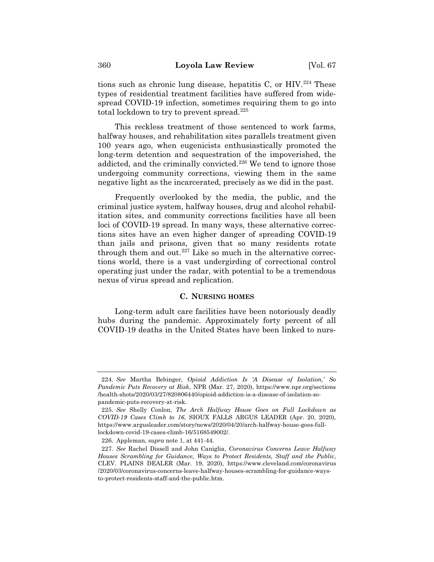tions such as chronic lung disease, hepatitis C, or  $H*IV*.<sup>224</sup>$  These types of residential treatment facilities have suffered from widespread COVID-19 infection, sometimes requiring them to go into total lockdown to try to prevent spread.<sup>225</sup>

This reckless treatment of those sentenced to work farms, halfway houses, and rehabilitation sites parallels treatment given 100 years ago, when eugenicists enthusiastically promoted the long-term detention and sequestration of the impoverished, the addicted, and the criminally convicted.<sup>226</sup> We tend to ignore those undergoing community corrections, viewing them in the same negative light as the incarcerated, precisely as we did in the past.

Frequently overlooked by the media, the public, and the criminal justice system, halfway houses, drug and alcohol rehabilitation sites, and community corrections facilities have all been loci of COVID-19 spread. In many ways, these alternative corrections sites have an even higher danger of spreading COVID-19 than jails and prisons, given that so many residents rotate through them and out. $227$  Like so much in the alternative corrections world, there is a vast undergirding of correctional control operating just under the radar, with potential to be a tremendous nexus of virus spread and replication.

## **C. NURSING HOMES**

Long-term adult care facilities have been notoriously deadly hubs during the pandemic. Approximately forty percent of all COVID-19 deaths in the United States have been linked to nurs-

<sup>224.</sup> *See* Martha Bebinger, *Opioid Addiction Is 'A Disease of Isolation,' So Pandemic Puts Recovery at Risk*, NPR (Mar. 27, 2020), https://www.npr.org/sections /health-shots/2020/03/27/820806440/opioid-addiction-is-a-disease-of-isolation-sopandemic-puts-recovery-at-risk.

<sup>225.</sup> *See* Shelly Conlon, *The Arch Halfway House Goes on Full Lockdown as COVID-19 Cases Climb to 16*, SIOUX FALLS ARGUS LEADER (Apr. 20, 2020), https://www.argusleader.com/story/news/2020/04/20/arch-halfway-house-goes-fulllockdown-covid-19-cases-climb-16/5168549002/.

<sup>226.</sup> Appleman, *supra* note 1, at 441-44.

<sup>227.</sup> *See* Rachel Dissell and John Caniglia, *Coronavirus Concerns Leave Halfway Houses Scrambling for Guidance, Ways to Protect Residents, Staff and the Public*, CLEV. PLAINS DEALER (Mar. 19, 2020), https://www.cleveland.com/coronavirus /2020/03/coronavirus-concerns-leave-halfway-houses-scrambling-for-guidance-waysto-protect-residents-staff-and-the-public.htm.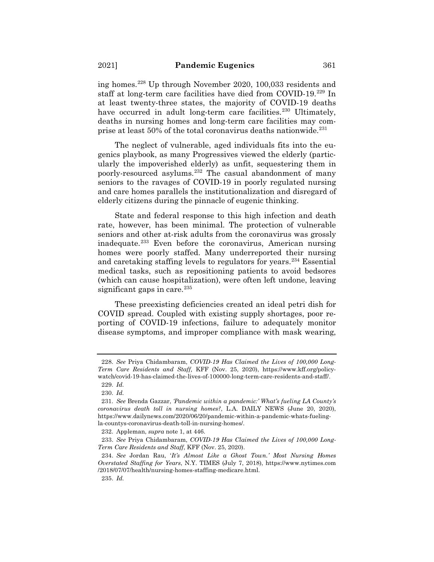ing homes.228 Up through November 2020, 100,033 residents and staff at long-term care facilities have died from COVID-19.229 In at least twenty-three states, the majority of COVID-19 deaths have occurred in adult long-term care facilities.<sup>230</sup> Ultimately, deaths in nursing homes and long-term care facilities may comprise at least 50% of the total coronavirus deaths nationwide.231

The neglect of vulnerable, aged individuals fits into the eugenics playbook, as many Progressives viewed the elderly (particularly the impoverished elderly) as unfit, sequestering them in poorly-resourced asylums.232 The casual abandonment of many seniors to the ravages of COVID-19 in poorly regulated nursing and care homes parallels the institutionalization and disregard of elderly citizens during the pinnacle of eugenic thinking.

State and federal response to this high infection and death rate, however, has been minimal. The protection of vulnerable seniors and other at-risk adults from the coronavirus was grossly inadequate.233 Even before the coronavirus, American nursing homes were poorly staffed. Many underreported their nursing and caretaking staffing levels to regulators for years.234 Essential medical tasks, such as repositioning patients to avoid bedsores (which can cause hospitalization), were often left undone, leaving significant gaps in care. $235$ 

These preexisting deficiencies created an ideal petri dish for COVID spread. Coupled with existing supply shortages, poor reporting of COVID-19 infections, failure to adequately monitor disease symptoms, and improper compliance with mask wearing,

<sup>228.</sup> *See* Priya Chidambaram, *COVID-19 Has Claimed the Lives of 100,000 Long-Term Care Residents and Staff,* KFF (Nov. 25, 2020), https://www.kff.org/policywatch/covid-19-has-claimed-the-lives-of-100000-long-term-care-residents-and-staff/. 229. *Id.*

<sup>230.</sup> *Id.*

<sup>231.</sup> *See* Brenda Gazzar, *'Pandemic within a pandemic:' What's fueling LA County's coronavirus death toll in nursing homes?*, L.A. DAILY NEWS (June 20, 2020), https://www.dailynews.com/2020/06/20/pandemic-within-a-pandemic-whats-fuelingla-countys-coronavirus-death-toll-in-nursing-homes/.

<sup>232.</sup> Appleman, *supra* note 1, at 446.

<sup>233.</sup> *See* Priya Chidambaram, *COVID-19 Has Claimed the Lives of 100,000 Long-Term Care Residents and Staff*, KFF (Nov. 25, 2020).

<sup>234.</sup> *See* Jordan Rau, '*It's Almost Like a Ghost Town.' Most Nursing Homes Overstated Staffing for Years*, N.Y. TIMES (July 7, 2018), https://www.nytimes.com /2018/07/07/health/nursing-homes-staffing-medicare.html.

<sup>235.</sup> *Id.*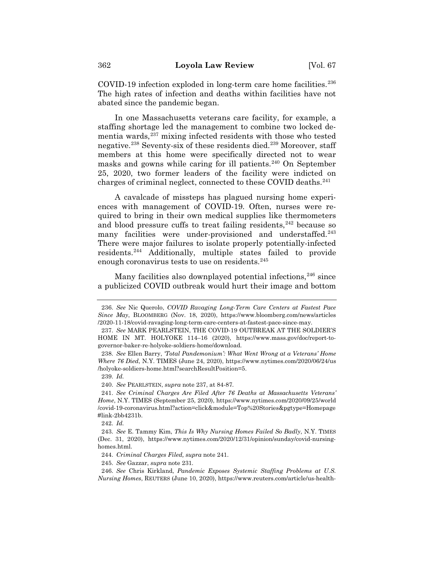COVID-19 infection exploded in long-term care home facilities.<sup>236</sup> The high rates of infection and deaths within facilities have not abated since the pandemic began.

In one Massachusetts veterans care facility, for example, a staffing shortage led the management to combine two locked dementia wards, $237$  mixing infected residents with those who tested negative.238 Seventy-six of these residents died.239 Moreover, staff members at this home were specifically directed not to wear masks and gowns while caring for ill patients. $240$  On September 25, 2020, two former leaders of the facility were indicted on charges of criminal neglect, connected to these COVID deaths.241

A cavalcade of missteps has plagued nursing home experiences with management of COVID-19. Often, nurses were required to bring in their own medical supplies like thermometers and blood pressure cuffs to treat failing residents,  $242$  because so many facilities were under-provisioned and understaffed.<sup>243</sup> There were major failures to isolate properly potentially-infected residents.244 Additionally, multiple states failed to provide enough coronavirus tests to use on residents.<sup>245</sup>

Many facilities also downplayed potential infections,  $246$  since a publicized COVID outbreak would hurt their image and bottom

239. *Id.*

240. *See* PEARLSTEIN, *supra* note 237, at 84-87*.*

<sup>236.</sup> *See* Nic Querolo, *COVID Ravaging Long-Term Care Centers at Fastest Pace Since May*, BLOOMBERG (Nov. 18, 2020), https://www.bloomberg.com/news/articles /2020-11-18/covid-ravaging-long-term-care-centers-at-fastest-pace-since-may.

<sup>237.</sup> *See* MARK PEARLSTEIN, THE COVID-19 OUTBREAK AT THE SOLDIER'S HOME IN MT. HOLYOKE 114–16 (2020), https://www.mass.gov/doc/report-togovernor-baker-re-holyoke-soldiers-home/download.

<sup>238.</sup> *See* Ellen Barry, *'Total Pandemonium': What Went Wrong at a Veterans' Home Where 76 Died*, N.Y. TIMES (June 24, 2020), https://www.nytimes.com/2020/06/24/us /holyoke-soldiers-home.html?searchResultPosition=5.

<sup>241.</sup> *See Criminal Charges Are Filed After 76 Deaths at Massachusetts Veterans' Home*, N.Y. TIMES (September 25, 2020), https://www.nytimes.com/2020/09/25/world /covid-19-coronavirus.html?action=click&module=Top%20Stories&pgtype=Homepage #link-2bb4231b.

<sup>242.</sup> *Id.*

<sup>243.</sup> *See* E. Tammy Kim, *This Is Why Nursing Homes Failed So Badly*, N.Y. TIMES (Dec. 31, 2020), https://www.nytimes.com/2020/12/31/opinion/sunday/covid-nursinghomes.html.

<sup>244.</sup> *Criminal Charges Filed, supra* note 241.

<sup>245.</sup> *See* Gazzar, *supra* note 231*.*

<sup>246.</sup> *See* Chris Kirkland, *Pandemic Exposes Systemic Staffing Problems at U.S. Nursing Homes*, REUTERS (June 10, 2020), https://www.reuters.com/article/us-health-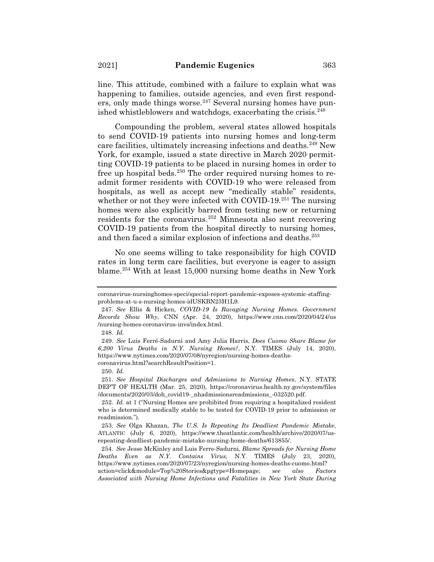line. This attitude, combined with a failure to explain what was happening to families, outside agencies, and even first responders, only made things worse. $247$  Several nursing homes have punished whistleblowers and watchdogs, exacerbating the crisis.<sup>248</sup>

Compounding the problem, several states allowed hospitals to send COVID-19 patients into nursing homes and long-term care facilities, ultimately increasing infections and deaths.249 New York, for example, issued a state directive in March 2020 permitting COVID-19 patients to be placed in nursing homes in order to free up hospital beds.250 The order required nursing homes to readmit former residents with COVID-19 who were released from hospitals, as well as accept new "medically stable" residents, whether or not they were infected with COVID-19.<sup>251</sup> The nursing homes were also explicitly barred from testing new or returning residents for the coronavirus.252 Minnesota also sent recovering COVID-19 patients from the hospital directly to nursing homes, and then faced a similar explosion of infections and deaths.253

No one seems willing to take responsibility for high COVID rates in long term care facilities, but everyone is eager to assign blame.254 With at least 15,000 nursing home deaths in New York

coronavirus-nursinghomes-speci/special-report-pandemic-exposes-systemic-staffingproblems-at-u-s-nursing-homes-idUSKBN23H1L9.

<sup>247.</sup> *See* Ellis & Hicken, *COVID-19 Is Ravaging Nursing Homes. Government Records Show Why*, CNN (Apr. 24, 2020), https://www.cnn.com/2020/04/24/us /nursing-homes-coronavirus-invs/index.html.

<sup>248.</sup> *Id.*

<sup>249.</sup> *See* Luis Ferré-Sadurní and Amy Julia Harris, *Does Cuomo Share Blame for 6,200 Virus Deaths in N.Y. Nursing Homes?*, N.Y. TIMES (July 14, 2020), https://www.nytimes.com/2020/07/08/nyregion/nursing-homes-deathscoronavirus.html?searchResultPosition=1.

<sup>250.</sup> *Id.*

<sup>251.</sup> *See Hospital Discharges and Admissions to Nursing Homes*, N.Y. STATE DEP'T OF HEALTH (Mar. 25, 2020), https://coronavirus.health.ny.gov/system/files /documents/2020/03/doh\_covid19-\_nhadmissionsreadmissions\_-032520.pdf.

<sup>252.</sup> *Id.* at 1 ("Nursing Homes are prohibited from requiring a hospitalized resident who is determined medically stable to be tested for COVID-19 prior to admission or readmission.").

<sup>253.</sup> *See* Olga Khazan, *The U.S. Is Repeating Its Deadliest Pandemic Mistake*, ATLANTIC (July 6, 2020), https://www.theatlantic.com/health/archive/2020/07/usrepeating-deadliest-pandemic-mistake-nursing-home-deaths/613855/.

<sup>254.</sup> *See* Jesse McKinley and Luis Ferre-Sadurni, *Blame Spreads for Nursing Home Deaths Even as N.Y. Contains Virus,* N.Y. TIMES (July 23, 2020), https://www.nytimes.com/2020/07/23/nyregion/nursing-homes-deaths-cuomo.html? action=click&module=Top%20Stories&pgtype=Homepage; s*ee also Factors Associated with Nursing Home Infections and Fatalities in New York State During*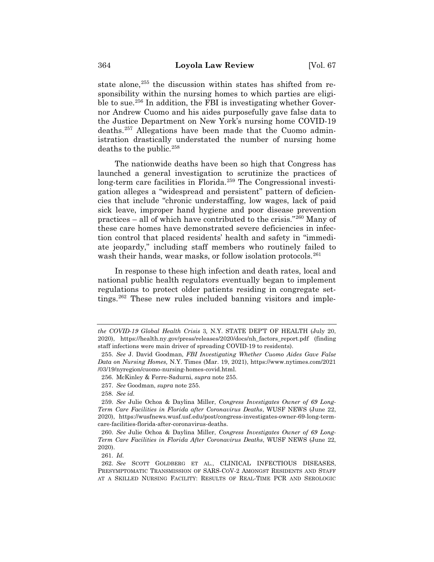state alone,<sup>255</sup> the discussion within states has shifted from responsibility within the nursing homes to which parties are eligible to sue.<sup>256</sup> In addition, the FBI is investigating whether Governor Andrew Cuomo and his aides purposefully gave false data to the Justice Department on New York's nursing home COVID-19 deaths.257 Allegations have been made that the Cuomo administration drastically understated the number of nursing home deaths to the public.258

The nationwide deaths have been so high that Congress has launched a general investigation to scrutinize the practices of long-term care facilities in Florida.<sup>259</sup> The Congressional investigation alleges a "widespread and persistent" pattern of deficiencies that include "chronic understaffing, low wages, lack of paid sick leave, improper hand hygiene and poor disease prevention practices – all of which have contributed to the crisis."260 Many of these care homes have demonstrated severe deficiencies in infection control that placed residents' health and safety in "immediate jeopardy," including staff members who routinely failed to wash their hands, wear masks, or follow isolation protocols.<sup>261</sup>

In response to these high infection and death rates, local and national public health regulators eventually began to implement regulations to protect older patients residing in congregate settings.<sup>262</sup> These new rules included banning visitors and imple-

261. *Id.*

*the COVID-19 Global Health Crisis* 3*,* N.Y. STATE DEP'T OF HEALTH (July 20, 2020), https://health.ny.gov/press/releases/2020/docs/nh\_factors\_report.pdf (finding staff infections were main driver of spreading COVID-19 to residents).

<sup>255.</sup> *See* J. David Goodman, *FBI Investigating Whether Cuomo Aides Gave False Data on Nursing Homes,* N.Y. Times (Mar. 19, 2021), https://www.nytimes.com/2021 /03/19/nyregion/cuomo-nursing-homes-covid.html.

<sup>256.</sup> McKinley & Ferre-Sadurni, *supra* note 255.

<sup>257.</sup> *See* Goodman, *supra* note 255.

<sup>258.</sup> *See id.*

<sup>259.</sup> *See* Julie Ochoa & Daylina Miller, *Congress Investigates Owner of 69 Long-Term Care Facilities in Florida after Coronavirus Deaths*, WUSF NEWS (June 22, 2020), https://wusfnews.wusf.usf.edu/post/congress-investigates-owner-69-long-termcare-facilities-florida-after-coronavirus-deaths.

<sup>260.</sup> *See* Julie Ochoa & Daylina Miller, *Congress Investigates Owner of 69 Long-Term Care Facilities in Florida After Coronavirus Deaths*, WUSF NEWS (June 22, 2020).

<sup>262.</sup> *See* SCOTT GOLDBERG ET AL., CLINICAL INFECTIOUS DISEASES, PRESYMPTOMATIC TRANSMISSION OF SARS-COV-2 AMONGST RESIDENTS AND STAFF AT A SKILLED NURSING FACILITY: RESULTS OF REAL-TIME PCR AND SEROLOGIC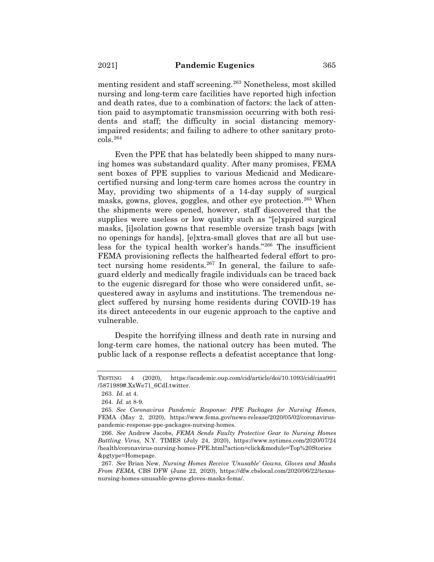menting resident and staff screening.263 Nonetheless, most skilled nursing and long-term care facilities have reported high infection and death rates, due to a combination of factors: the lack of attention paid to asymptomatic transmission occurring with both residents and staff; the difficulty in social distancing memoryimpaired residents; and failing to adhere to other sanitary protocols.264

Even the PPE that has belatedly been shipped to many nursing homes was substandard quality. After many promises, FEMA sent boxes of PPE supplies to various Medicaid and Medicarecertified nursing and long-term care homes across the country in May, providing two shipments of a 14-day supply of surgical masks, gowns, gloves, goggles, and other eye protection.<sup>265</sup> When the shipments were opened, however, staff discovered that the supplies were useless or low quality such as "[e]xpired surgical masks, [i]solation gowns that resemble oversize trash bags [with no openings for hands], [e]xtra-small gloves that are all but useless for the typical health worker's hands."266 The insufficient FEMA provisioning reflects the halfhearted federal effort to protect nursing home residents.<sup>267</sup> In general, the failure to safeguard elderly and medically fragile individuals can be traced back to the eugenic disregard for those who were considered unfit, sequestered away in asylums and institutions. The tremendous neglect suffered by nursing home residents during COVID-19 has its direct antecedents in our eugenic approach to the captive and vulnerable.

Despite the horrifying illness and death rate in nursing and long-term care homes, the national outcry has been muted. The public lack of a response reflects a defeatist acceptance that long-

TESTING 4 (2020), https://academic.oup.com/cid/article/doi/10.1093/cid/ciaa991 /5871989#.XxWe71\_6CdI.twitter.

<sup>263.</sup> *Id.* at 4.

<sup>264.</sup> *Id.* at 8-9.

<sup>265.</sup> *See Coronavirus Pandemic Response: PPE Packages for Nursing Homes*, FEMA (May 2, 2020), https://www.fema.gov/news-release/2020/05/02/coronaviruspandemic-response-ppe-packages-nursing-homes.

<sup>266.</sup> *See* Andrew Jacobs, *FEMA Sends Faulty Protective Gear to Nursing Homes Battling Virus,* N.Y. TIMES (July 24, 2020), https://www.nytimes.com/2020/07/24 /health/coronavirus-nursing-homes-PPE.html?action=click&module=Top%20Stories &pgtype=Homepage.

<sup>267.</sup> *See* Brian New, *Nursing Homes Receive 'Unusable' Gowns, Gloves and Masks From FEMA,* CBS DFW (June 22, 2020), https://dfw.cbslocal.com/2020/06/22/texasnursing-homes-unusable-gowns-gloves-masks-fema/.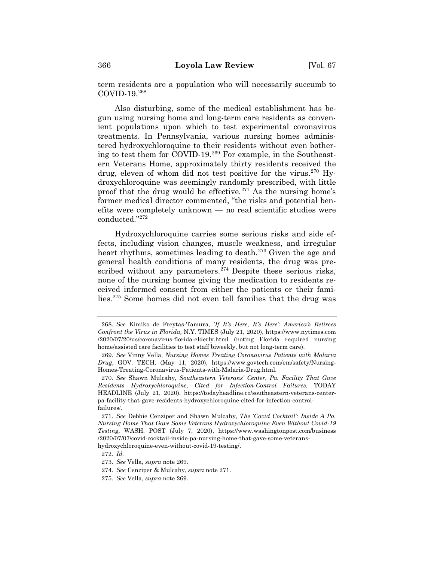term residents are a population who will necessarily succumb to COVID-19.268

Also disturbing, some of the medical establishment has begun using nursing home and long-term care residents as convenient populations upon which to test experimental coronavirus treatments. In Pennsylvania, various nursing homes administered hydroxychloroquine to their residents without even bothering to test them for COVID-19.269 For example, in the Southeastern Veterans Home, approximately thirty residents received the drug, eleven of whom did not test positive for the virus.<sup>270</sup> Hydroxychloroquine was seemingly randomly prescribed, with little proof that the drug would be effective.  $271$  As the nursing home's former medical director commented, "the risks and potential benefits were completely unknown — no real scientific studies were conducted."272

Hydroxychloroquine carries some serious risks and side effects, including vision changes, muscle weakness, and irregular heart rhythms, sometimes leading to death.<sup>273</sup> Given the age and general health conditions of many residents, the drug was prescribed without any parameters. $274$  Despite these serious risks, none of the nursing homes giving the medication to residents received informed consent from either the patients or their families.275 Some homes did not even tell families that the drug was

hydroxychloroquine-even-without-covid-19-testing/.

272. *Id.*

<sup>268.</sup> *See* Kimiko de Freytas-Tamura, *'If It's Here, It's Here': America's Retirees Confront the Virus in Florida,* N.Y. TIMES (July 21, 2020), https://www.nytimes.com /2020/07/20/us/coronavirus-florida-elderly.html (noting Florida required nursing home/assisted care facilities to test staff biweekly, but not long-term care).

<sup>269.</sup> *See* Vinny Vella, *Nursing Homes Treating Coronavirus Patients with Malaria Drug*, GOV. TECH. (May 11, 2020), https://www.govtech.com/em/safety/Nursing-Homes-Treating-Coronavirus-Patients-with-Malaria-Drug.html.

<sup>270.</sup> *See* Shawn Mulcahy, *Southeastern Veterans' Center*, *Pa. Facility That Gave Residents Hydroxychloroquine, Cited for Infection-Control Failures,* TODAY HEADLINE (July 21, 2020), https://todayheadline.co/southeastern-veterans-centerpa-facility-that-gave-residents-hydroxychloroquine-cited-for-infection-controlfailures/.

<sup>271.</sup> *See* Debbie Cenziper and Shawn Mulcahy, *The 'Covid Cocktail': Inside A Pa. Nursing Home That Gave Some Veterans Hydroxychloroquine Even Without Covid-19 Testing*, WASH. POST (July 7, 2020), https://www.washingtonpost.com/business /2020/07/07/covid-cocktail-inside-pa-nursing-home-that-gave-some-veterans-

<sup>273.</sup> *See* Vella, *supra* note 269.

<sup>274.</sup> *See* Cenziper & Mulcahy, *supra* note 271.

<sup>275.</sup> *See* Vella, *supra* note 269.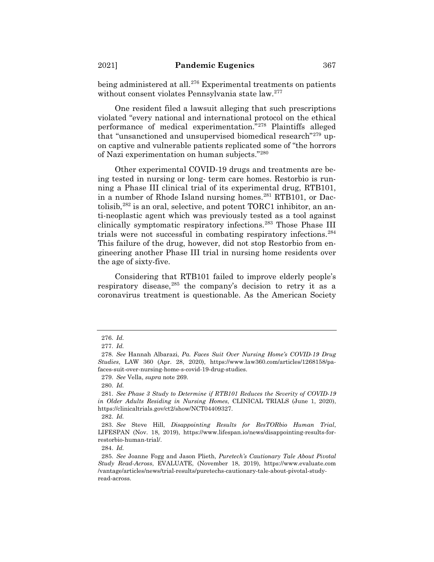being administered at all.<sup>276</sup> Experimental treatments on patients without consent violates Pennsylvania state law.277

One resident filed a lawsuit alleging that such prescriptions violated "every national and international protocol on the ethical performance of medical experimentation."278 Plaintiffs alleged that "unsanctioned and unsupervised biomedical research"<sup>279</sup> upon captive and vulnerable patients replicated some of "the horrors of Nazi experimentation on human subjects."280

Other experimental COVID-19 drugs and treatments are being tested in nursing or long- term care homes. Restorbio is running a Phase III clinical trial of its experimental drug, RTB101, in a number of Rhode Island nursing homes.<sup>281</sup> RTB101, or Dactolisib, $282$  is an oral, selective, and potent TORC1 inhibitor, an anti-neoplastic agent which was previously tested as a tool against clinically symptomatic respiratory infections.283 Those Phase III trials were not successful in combating respiratory infections.284 This failure of the drug, however, did not stop Restorbio from engineering another Phase III trial in nursing home residents over the age of sixty-five.

Considering that RTB101 failed to improve elderly people's respiratory disease,  $285$  the company's decision to retry it as a coronavirus treatment is questionable. As the American Society

<sup>276.</sup> *Id.*

<sup>277.</sup> *Id.*

<sup>278.</sup> *See* Hannah Albarazi, *Pa. Faces Suit Over Nursing Home's COVID-19 Drug Studies*, LAW 360 (Apr. 28, 2020), https://www.law360.com/articles/1268158/pafaces-suit-over-nursing-home-s-covid-19-drug-studies.

<sup>279.</sup> *See* Vella, *supra* note 269.

<sup>280.</sup> *Id.*

<sup>281.</sup> *See Phase 3 Study to Determine if RTB101 Reduces the Severity of COVID-19 in Older Adults Residing in Nursing Homes*, CLINICAL TRIALS (June 1, 2020), https://clinicaltrials.gov/ct2/show/NCT04409327.

<sup>282.</sup> *Id.*

<sup>283.</sup> *See* Steve Hill, *Disappointing Results for ResTORbio Human Trial*, LIFESPAN (Nov. 18, 2019), https://www.lifespan.io/news/disappointing-results-forrestorbio-human-trial/.

<sup>284.</sup> *Id.*

<sup>285.</sup> *See* Joanne Fogg and Jason Plieth, *Puretech's Cautionary Tale About Pivotal Study Read-Across*, EVALUATE, (November 18, 2019), https://www.evaluate.com /vantage/articles/news/trial-results/puretechs-cautionary-tale-about-pivotal-studyread-across.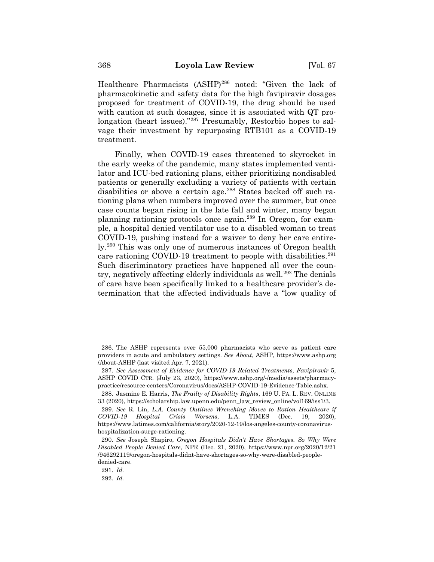Healthcare Pharmacists (ASHP)<sup>286</sup> noted: "Given the lack of pharmacokinetic and safety data for the high favipiravir dosages proposed for treatment of COVID-19, the drug should be used with caution at such dosages, since it is associated with QT prolongation (heart issues)."287 Presumably, Restorbio hopes to salvage their investment by repurposing RTB101 as a COVID-19 treatment.

Finally, when COVID-19 cases threatened to skyrocket in the early weeks of the pandemic, many states implemented ventilator and ICU-bed rationing plans, either prioritizing nondisabled patients or generally excluding a variety of patients with certain disabilities or above a certain age.<sup>288</sup> States backed off such rationing plans when numbers improved over the summer, but once case counts began rising in the late fall and winter, many began planning rationing protocols once again.289 In Oregon, for example, a hospital denied ventilator use to a disabled woman to treat COVID-19, pushing instead for a waiver to deny her care entirely.290 This was only one of numerous instances of Oregon health care rationing COVID-19 treatment to people with disabilities.<sup>291</sup> Such discriminatory practices have happened all over the country, negatively affecting elderly individuals as well.<sup>292</sup> The denials of care have been specifically linked to a healthcare provider's determination that the affected individuals have a "low quality of

<sup>286.</sup> The ASHP represents over 55,000 pharmacists who serve as patient care providers in acute and ambulatory settings. *See About*, ASHP, https://www.ashp.org /About-ASHP (last visited Apr. 7, 2021).

<sup>287.</sup> *See Assessment of Evidence for COVID-19 Related Treatments, Favipiravir* 5, ASHP COVID CTR. (July 23, 2020), https://www.ashp.org/-/media/assets/pharmacypractice/resource-centers/Coronavirus/docs/ASHP-COVID-19-Evidence-Table.ashx.

<sup>288.</sup> Jasmine E. Harris, *The Frailty of Disability Rights*, 169 U. PA. L. REV. ONLINE 33 (2020), https://scholarship.law.upenn.edu/penn\_law\_review\_online/vol169/iss1/3.

<sup>289.</sup> *See* R. Lin, *L.A. County Outlines Wrenching Moves to Ration Healthcare if COVID-19 Hospital Crisis Worsens*, L.A. TIMES (Dec. 19, 2020), https://www.latimes.com/california/story/2020-12-19/los-angeles-county-coronavirushospitalization-surge-rationing.

<sup>290.</sup> *See* Joseph Shapiro, *Oregon Hospitals Didn't Have Shortages. So Why Were Disabled People Denied Care*, NPR (Dec. 21, 2020), https://www.npr.org/2020/12/21 /946292119/oregon-hospitals-didnt-have-shortages-so-why-were-disabled-peopledenied-care.

<sup>291.</sup> *Id.*

<sup>292.</sup> *Id.*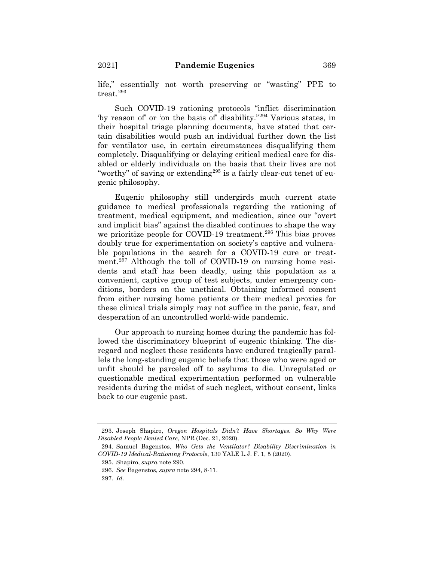life," essentially not worth preserving or "wasting" PPE to treat.293

Such COVID-19 rationing protocols "inflict discrimination 'by reason of' or 'on the basis of' disability."294 Various states, in their hospital triage planning documents, have stated that certain disabilities would push an individual further down the list for ventilator use, in certain circumstances disqualifying them completely. Disqualifying or delaying critical medical care for disabled or elderly individuals on the basis that their lives are not "worthy" of saving or extending<sup>295</sup> is a fairly clear-cut tenet of eugenic philosophy.

Eugenic philosophy still undergirds much current state guidance to medical professionals regarding the rationing of treatment, medical equipment, and medication, since our "overt and implicit bias" against the disabled continues to shape the way we prioritize people for COVID-19 treatment.<sup>296</sup> This bias proves doubly true for experimentation on society's captive and vulnerable populations in the search for a COVID-19 cure or treatment.297 Although the toll of COVID-19 on nursing home residents and staff has been deadly, using this population as a convenient, captive group of test subjects, under emergency conditions, borders on the unethical. Obtaining informed consent from either nursing home patients or their medical proxies for these clinical trials simply may not suffice in the panic, fear, and desperation of an uncontrolled world-wide pandemic.

Our approach to nursing homes during the pandemic has followed the discriminatory blueprint of eugenic thinking. The disregard and neglect these residents have endured tragically parallels the long-standing eugenic beliefs that those who were aged or unfit should be parceled off to asylums to die. Unregulated or questionable medical experimentation performed on vulnerable residents during the midst of such neglect, without consent, links back to our eugenic past.

<sup>293.</sup> Joseph Shapiro, *Oregon Hospitals Didn't Have Shortages. So Why Were Disabled People Denied Care*, NPR (Dec. 21, 2020).

<sup>294.</sup> Samuel Bagenstos, *Who Gets the Ventilator? Disability Discrimination in COVID-19 Medical-Rationing Protocols*, 130 YALE L.J. F. 1, 5 (2020).

<sup>295.</sup> Shapiro, *supra* note 290.

<sup>296.</sup> *See* Bagenstos, *supra* note 294, 8-11.

<sup>297.</sup> *Id*.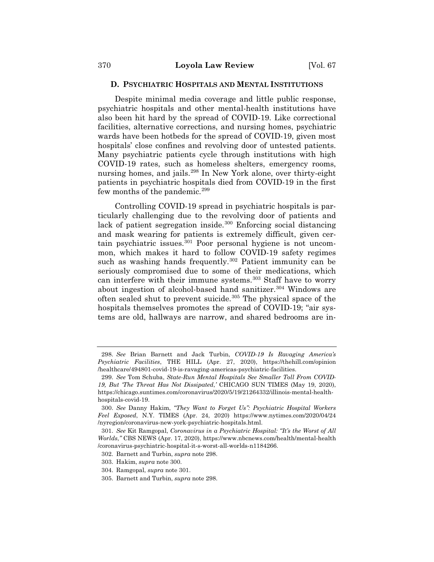### **D. PSYCHIATRIC HOSPITALS AND MENTAL INSTITUTIONS**

Despite minimal media coverage and little public response, psychiatric hospitals and other mental-health institutions have also been hit hard by the spread of COVID-19. Like correctional facilities, alternative corrections, and nursing homes, psychiatric wards have been hotbeds for the spread of COVID-19, given most hospitals' close confines and revolving door of untested patients. Many psychiatric patients cycle through institutions with high COVID-19 rates, such as homeless shelters, emergency rooms, nursing homes, and jails.298 In New York alone, over thirty-eight patients in psychiatric hospitals died from COVID-19 in the first few months of the pandemic.299

Controlling COVID-19 spread in psychiatric hospitals is particularly challenging due to the revolving door of patients and lack of patient segregation inside.<sup>300</sup> Enforcing social distancing and mask wearing for patients is extremely difficult, given certain psychiatric issues.301 Poor personal hygiene is not uncommon, which makes it hard to follow COVID-19 safety regimes such as washing hands frequently.<sup>302</sup> Patient immunity can be seriously compromised due to some of their medications, which can interfere with their immune systems.<sup>303</sup> Staff have to worry about ingestion of alcohol-based hand sanitizer.<sup>304</sup> Windows are often sealed shut to prevent suicide.305 The physical space of the hospitals themselves promotes the spread of COVID-19; "air systems are old, hallways are narrow, and shared bedrooms are in-

<sup>298.</sup> *See* Brian Barnett and Jack Turbin, *COVID-19 Is Ravaging America's Psychiatric Facilities*, THE HILL (Apr. 27, 2020), https://thehill.com/opinion /healthcare/494801-covid-19-is-ravaging-americas-psychiatric-facilities.

<sup>299.</sup> *See* Tom Schuba, *State-Run Mental Hospitals See Smaller Toll From COVID-19, But 'The Threat Has Not Dissipated*,*'* CHICAGO SUN TIMES (May 19, 2020), https://chicago.suntimes.com/coronavirus/2020/5/19/21264332/illinois-mental-healthhospitals-covid-19.

<sup>300.</sup> *See* Danny Hakim, *"They Want to Forget Us": Psychiatric Hospital Workers Feel Exposed*, N.Y. TIMES (Apr. 24, 2020) https://www.nytimes.com/2020/04/24 /nyregion/coronavirus-new-york-psychiatric-hospitals.html.

<sup>301.</sup> *See* Kit Ramgopal, *Coronavirus in a Psychiatric Hospital: "It's the Worst of All Worlds*,*"* CBS NEWS (Apr. 17, 2020), https://www.nbcnews.com/health/mental-health /coronavirus-psychiatric-hospital-it-s-worst-all-worlds-n1184266.

<sup>302.</sup> Barnett and Turbin, *supra* note 298.

<sup>303.</sup> Hakim, *supra* note 300.

<sup>304.</sup> Ramgopal, *supra* note 301.

<sup>305.</sup> Barnett and Turbin, *supra* note 298.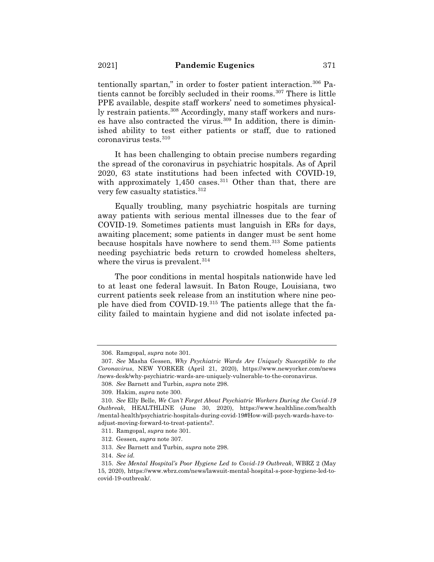tentionally spartan," in order to foster patient interaction.<sup>306</sup> Patients cannot be forcibly secluded in their rooms.<sup>307</sup> There is little PPE available, despite staff workers' need to sometimes physically restrain patients.<sup>308</sup> Accordingly, many staff workers and nurses have also contracted the virus. $309$  In addition, there is diminished ability to test either patients or staff, due to rationed coronavirus tests.310

It has been challenging to obtain precise numbers regarding the spread of the coronavirus in psychiatric hospitals. As of April 2020, 63 state institutions had been infected with COVID-19, with approximately 1,450 cases.<sup>311</sup> Other than that, there are very few casualty statistics.<sup>312</sup>

Equally troubling, many psychiatric hospitals are turning away patients with serious mental illnesses due to the fear of COVID-19. Sometimes patients must languish in ERs for days, awaiting placement; some patients in danger must be sent home because hospitals have nowhere to send them.313 Some patients needing psychiatric beds return to crowded homeless shelters, where the virus is prevalent.<sup>314</sup>

The poor conditions in mental hospitals nationwide have led to at least one federal lawsuit. In Baton Rouge, Louisiana, two current patients seek release from an institution where nine people have died from COVID-19.315 The patients allege that the facility failed to maintain hygiene and did not isolate infected pa-

308. *See* Barnett and Turbin, *supra* note 298.

<sup>306.</sup> Ramgopal, *supra* note 301.

<sup>307.</sup> *See* Masha Gessen, *Why Psychiatric Wards Are Uniquely Susceptible to the Coronavirus*, NEW YORKER (April 21, 2020), https://www.newyorker.com/news /news-desk/why-psychiatric-wards-are-uniquely-vulnerable-to-the-coronavirus.

<sup>309.</sup> Hakim, *supra* note 300.

<sup>310.</sup> *See* Elly Belle, *We Can't Forget About Psychiatric Workers During the Covid-19 Outbreak*, HEALTHLINE (June 30, 2020), https://www.healthline.com/health /mental-health/psychiatric-hospitals-during-covid-19#How-will-psych-wards-have-toadjust-moving-forward-to-treat-patients?.

<sup>311.</sup> Ramgopal, *supra* note 301.

<sup>312.</sup> Gessen, *supra* note 307.

<sup>313.</sup> *See* Barnett and Turbin, *supra* note 298.

<sup>314.</sup> *See id.*

<sup>315.</sup> *See Mental Hospital's Poor Hygiene Led to Covid-19 Outbreak*, WBRZ 2 (May 15, 2020), https://www.wbrz.com/news/lawsuit-mental-hospital-s-poor-hygiene-led-tocovid-19-outbreak/.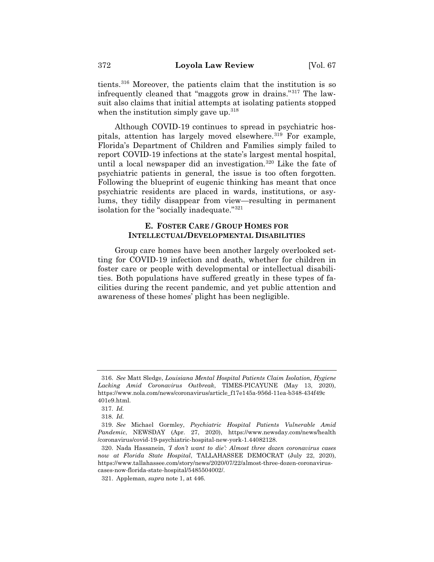tients.316 Moreover, the patients claim that the institution is so infrequently cleaned that "maggots grow in drains."317 The lawsuit also claims that initial attempts at isolating patients stopped when the institution simply gave up.<sup>318</sup>

Although COVID-19 continues to spread in psychiatric hospitals, attention has largely moved elsewhere.<sup>319</sup> For example, Florida's Department of Children and Families simply failed to report COVID-19 infections at the state's largest mental hospital, until a local newspaper did an investigation.<sup>320</sup> Like the fate of psychiatric patients in general, the issue is too often forgotten. Following the blueprint of eugenic thinking has meant that once psychiatric residents are placed in wards, institutions, or asylums, they tidily disappear from view—resulting in permanent isolation for the "socially inadequate."321

# **E. FOSTER CARE / GROUP HOMES FOR INTELLECTUAL/DEVELOPMENTAL DISABILITIES**

Group care homes have been another largely overlooked setting for COVID-19 infection and death, whether for children in foster care or people with developmental or intellectual disabilities. Both populations have suffered greatly in these types of facilities during the recent pandemic, and yet public attention and awareness of these homes' plight has been negligible.

<sup>316.</sup> *See* Matt Sledge, *Louisiana Mental Hospital Patients Claim Isolation, Hygiene Lacking Amid Coronavirus Outbreak*, TIMES-PICAYUNE (May 13, 2020), https://www.nola.com/news/coronavirus/article\_f17e145a-956d-11ea-b348-434f49c 401e9.html.

<sup>317.</sup> *Id.*

<sup>318.</sup> *Id.*

<sup>319.</sup> *See* Michael Gormley, *Psychiatric Hospital Patients Vulnerable Amid Pandemic*, NEWSDAY (Apr. 27, 2020), https://www.newsday.com/news/health /coronavirus/covid-19-psychiatric-hospital-new-york-1.44082128.

<sup>320.</sup> Nada Hassanein, *'I don't want to die': Almost three dozen coronavirus cases now at Florida State Hospital*, TALLAHASSEE DEMOCRAT (July 22, 2020), https://www.tallahassee.com/story/news/2020/07/22/almost-three-dozen-coronaviruscases-now-florida-state-hospital/5485504002/.

<sup>321.</sup> Appleman, *supra* note 1, at 446.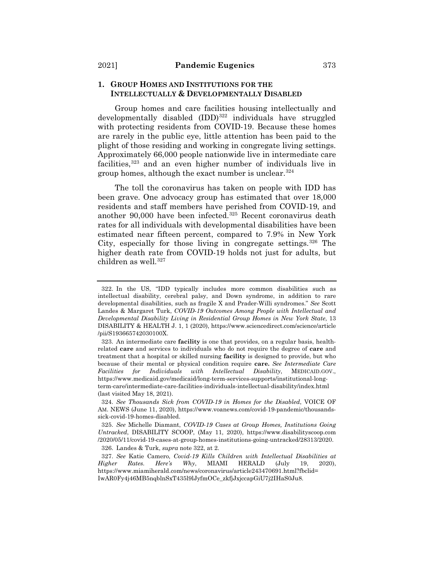# **1. GROUP HOMES AND INSTITUTIONS FOR THE INTELLECTUALLY & DEVELOPMENTALLY DISABLED**

Group homes and care facilities housing intellectually and developmentally disabled  $(IDD)^{322}$  individuals have struggled with protecting residents from COVID-19. Because these homes are rarely in the public eye, little attention has been paid to the plight of those residing and working in congregate living settings. Approximately 66,000 people nationwide live in intermediate care facilities,<sup>323</sup> and an even higher number of individuals live in group homes, although the exact number is unclear.324

The toll the coronavirus has taken on people with IDD has been grave. One advocacy group has estimated that over 18,000 residents and staff members have perished from COVID-19, and another 90,000 have been infected.<sup>325</sup> Recent coronavirus death rates for all individuals with developmental disabilities have been estimated near fifteen percent, compared to 7.9% in New York City, especially for those living in congregate settings.<sup>326</sup> The higher death rate from COVID-19 holds not just for adults, but children as well.<sup>327</sup>

326. Landes & Turk, *supra* note 322, at 2.

<sup>322.</sup> In the US, "IDD typically includes more common disabilities such as intellectual disability, cerebral palsy, and Down syndrome, in addition to rare developmental disabilities, such as fragile X and Prader-Willi syndromes." *See* Scott Landes & Margaret Turk, *COVID-19 Outcomes Among People with Intellectual and Developmental Disability Living in Residential Group Homes in New York State*, 13 DISABILITY & HEALTH J. 1, 1 (2020), https://www.sciencedirect.com/science/article /pii/S193665742030100X.

<sup>323.</sup> An intermediate care **facility** is one that provides, on a regular basis, healthrelated **care** and services to individuals who do not require the degree of **care** and treatment that a hospital or skilled nursing **facility** is designed to provide, but who because of their mental or physical condition require **care.** *See Intermediate Care Facilities for Individuals with Intellectual Disability*, MEDICAID.GOV., https://www.medicaid.gov/medicaid/long-term-services-supports/institutional-longterm-care/intermediate-care-facilities-individuals-intellectual-disability/index.html (last visited May 18, 2021).

<sup>324.</sup> *See Thousands Sick from COVID-19 in Homes for the Disabled*, VOICE OF AM. NEWS (June 11, 2020), https://www.voanews.com/covid-19-pandemic/thousandssick-covid-19-homes-disabled.

<sup>325.</sup> *See* Michelle Diamant, *COVID-19 Cases at Group Homes, Institutions Going Untracked*, DISABILITY SCOOP, (May 11, 2020), https://www.disabilityscoop.com /2020/05/11/covid-19-cases-at-group-homes-institutions-going-untracked/28313/2020.

<sup>327.</sup> *See* Katie Camero, *Covid-19 Kills Children with Intellectual Disabilities at Higher Rates. Here's Why*, MIAMI HERALD (July 19, 2020), https://www.miamiherald.com/news/coronavirus/article243470691.html?fbclid= IwAR0Fy4j46MB5nqblnSxT435l9lJyfmOCe\_zkfjJxjccapGiU7j2IHaS0Ju8.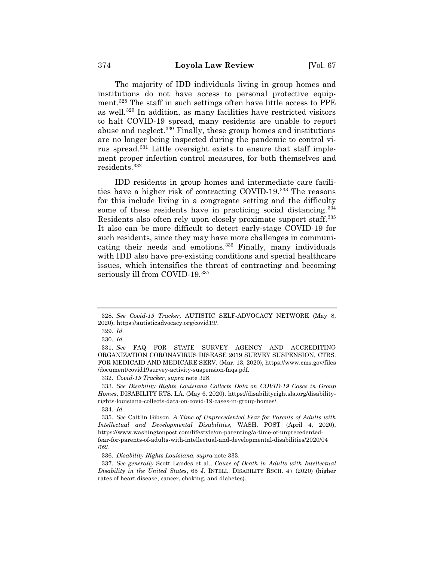The majority of IDD individuals living in group homes and institutions do not have access to personal protective equipment.328 The staff in such settings often have little access to PPE as well.329 In addition, as many facilities have restricted visitors to halt COVID-19 spread, many residents are unable to report abuse and neglect.330 Finally, these group homes and institutions are no longer being inspected during the pandemic to control virus spread.331 Little oversight exists to ensure that staff implement proper infection control measures, for both themselves and residents.332

IDD residents in group homes and intermediate care facilities have a higher risk of contracting COVID-19.333 The reasons for this include living in a congregate setting and the difficulty some of these residents have in practicing social distancing.<sup>334</sup> Residents also often rely upon closely proximate support staff.<sup>335</sup> It also can be more difficult to detect early-stage COVID-19 for such residents, since they may have more challenges in communicating their needs and emotions.336 Finally, many individuals with IDD also have pre-existing conditions and special healthcare issues, which intensifies the threat of contracting and becoming seriously ill from COVID-19.<sup>337</sup>

<sup>328.</sup> *See Covid-19 Tracker,* AUTISTIC SELF-ADVOCACY NETWORK (May 8, 2020), https://autisticadvocacy.org/covid19/.

<sup>329.</sup> *Id.*

<sup>330.</sup> *Id.*

<sup>331.</sup> *See* FAQ FOR STATE SURVEY AGENCY AND ACCREDITING ORGANIZATION CORONAVIRUS DISEASE 2019 SURVEY SUSPENSION, CTRS. FOR MEDICAID AND MEDICARE SERV. (Mar. 13, 2020), https://www.cms.gov/files /document/covid19survey-activity-suspension-faqs.pdf.

<sup>332.</sup> *Covid-19 Tracker*, *supra* note 328.

<sup>333.</sup> *See Disability Rights Louisiana Collects Data on COVID-19 Cases in Group Homes*, DISABILITY RTS. LA. (May 6, 2020), https://disabilityrightsla.org/disabilityrights-louisiana-collects-data-on-covid-19-cases-in-group-homes/.

<sup>334.</sup> *Id.*

<sup>335.</sup> *See* Caitlin Gibson, *A Time of Unprecedented Fear for Parents of Adults with Intellectual and Developmental Disabilities*, WASH. POST (April 4, 2020), https://www.washingtonpost.com/lifestyle/on-parenting/a-time-of-unprecedentedfear-for-parents-of-adults-with-intellectual-and-developmental-disabilities/2020/04 /02/.

<sup>336.</sup> *Disability Rights Louisiana, supra* note 333.

<sup>337.</sup> *See generally* Scott Landes et al., *Cause of Death in Adults with Intellectual Disability in the United States*, 65 J. INTELL. DISABILITY RSCH. 47 (2020) (higher rates of heart disease, cancer, choking, and diabetes).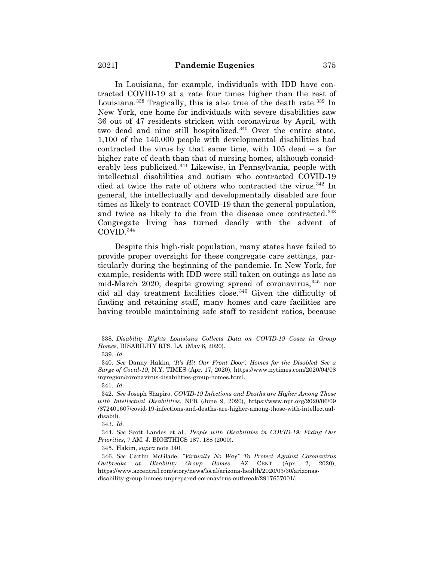In Louisiana, for example, individuals with IDD have contracted COVID-19 at a rate four times higher than the rest of Louisiana.<sup>338</sup> Tragically, this is also true of the death rate.<sup>339</sup> In New York, one home for individuals with severe disabilities saw 36 out of 47 residents stricken with coronavirus by April, with two dead and nine still hospitalized.<sup>340</sup> Over the entire state, 1,100 of the 140,000 people with developmental disabilities had contracted the virus by that same time, with 105 dead – a far higher rate of death than that of nursing homes, although considerably less publicized.341 Likewise, in Pennsylvania, people with intellectual disabilities and autism who contracted COVID-19 died at twice the rate of others who contracted the virus.<sup>342</sup> In general, the intellectually and developmentally disabled are four times as likely to contract COVID-19 than the general population, and twice as likely to die from the disease once contracted.<sup>343</sup> Congregate living has turned deadly with the advent of COVID.344

Despite this high-risk population, many states have failed to provide proper oversight for these congregate care settings, particularly during the beginning of the pandemic. In New York, for example, residents with IDD were still taken on outings as late as mid-March 2020, despite growing spread of coronavirus,<sup>345</sup> nor did all day treatment facilities close.<sup>346</sup> Given the difficulty of finding and retaining staff, many homes and care facilities are having trouble maintaining safe staff to resident ratios, because

<sup>338.</sup> *Disability Rights Louisiana Collects Data on COVID-19 Cases in Group Homes*, DISABILITY RTS. LA. (May 6, 2020).

<sup>339.</sup> *Id.*

<sup>340.</sup> *See* Danny Hakim, *'It's Hit Our Front Door': Homes for the Disabled See a Surge of Covid-19*, N.Y. TIMES (Apr. 17, 2020), https://www.nytimes.com/2020/04/08 /nyregion/coronavirus-disabilities-group-homes.html.

<sup>341.</sup> *Id.*

<sup>342.</sup> *See* Joseph Shapiro, *COVID-19 Infections and Deaths are Higher Among Those with Intellectual Disabilities*, NPR (June 9, 2020), https://www.npr.org/2020/06/09 /872401607/covid-19-infections-and-deaths-are-higher-among-those-with-intellectualdisabili.

<sup>343.</sup> *Id.*

<sup>344.</sup> *See* Scott Landes et al., *People with Disabilities in COVID-19: Fixing Our Priorities*, 7 AM. J. BIOETHICS 187, 188 (2000).

<sup>345.</sup> Hakim, *supra* note 340.

<sup>346.</sup> *See* Caitlin McGlade, *"Virtually No Way" To Protect Against Coronavirus Outbreaks at Disability Group Homes*, AZ CENT. (Apr. 2, 2020), https://www.azcentral.com/story/news/local/arizona-health/2020/03/30/arizonasdisability-group-homes-unprepared-coronavirus-outbreak/2917657001/.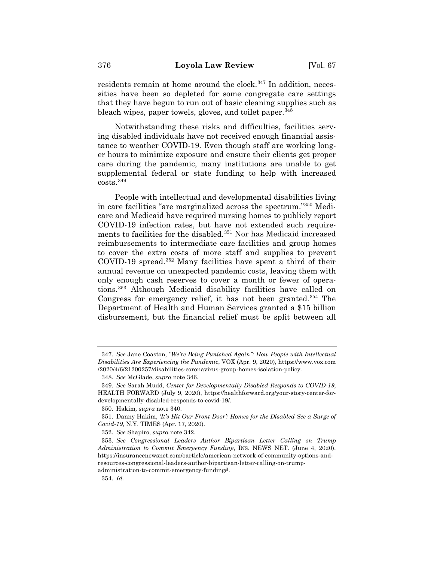residents remain at home around the clock.<sup>347</sup> In addition, necessities have been so depleted for some congregate care settings that they have begun to run out of basic cleaning supplies such as bleach wipes, paper towels, gloves, and toilet paper.<sup>348</sup>

Notwithstanding these risks and difficulties, facilities serving disabled individuals have not received enough financial assistance to weather COVID-19. Even though staff are working longer hours to minimize exposure and ensure their clients get proper care during the pandemic, many institutions are unable to get supplemental federal or state funding to help with increased  $costs.<sup>349</sup>$ 

People with intellectual and developmental disabilities living in care facilities "are marginalized across the spectrum."350 Medicare and Medicaid have required nursing homes to publicly report COVID-19 infection rates, but have not extended such requirements to facilities for the disabled.351 Nor has Medicaid increased reimbursements to intermediate care facilities and group homes to cover the extra costs of more staff and supplies to prevent COVID-19 spread.352 Many facilities have spent a third of their annual revenue on unexpected pandemic costs, leaving them with only enough cash reserves to cover a month or fewer of operations.353 Although Medicaid disability facilities have called on Congress for emergency relief, it has not been granted.<sup>354</sup> The Department of Health and Human Services granted a \$15 billion disbursement, but the financial relief must be split between all

<sup>347.</sup> *See* Jane Coaston, *"We're Being Punished Again": How People with Intellectual Disabilities Are Experiencing the Pandemic*, VOX (Apr. 9, 2020), https://www.vox.com /2020/4/6/21200257/disabilities-coronavirus-group-homes-isolation-policy.

<sup>348.</sup> *See* McGlade, *supra* note 346.

<sup>349.</sup> *See* Sarah Mudd, *Center for Developmentally Disabled Responds to COVID-19*, HEALTH FORWARD (July 9, 2020), https://healthforward.org/your-story-center-fordevelopmentally-disabled-responds-to-covid-19/.

<sup>350.</sup> Hakim*, supra* note 340.

<sup>351.</sup> Danny Hakim, *'It's Hit Our Front Door': Homes for the Disabled See a Surge of Covid-19*, N.Y. TIMES (Apr. 17, 2020).

<sup>352.</sup> *See* Shapiro, *supra* note 342.

<sup>353.</sup> *See Congressional Leaders Author Bipartisan Letter Calling on Trump Administration to Commit Emergency Funding*, INS. NEWS NET. (June 4, 2020), https://insurancenewsnet.com/oarticle/american-network-of-community-options-andresources-congressional-leaders-author-bipartisan-letter-calling-on-trumpadministration-to-commit-emergency-funding#.

<sup>354.</sup> *Id.*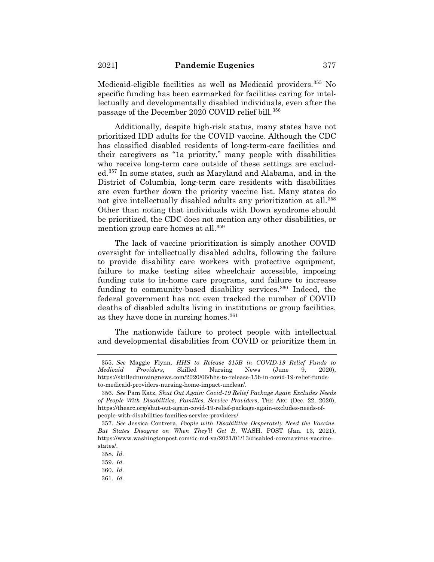Medicaid-eligible facilities as well as Medicaid providers.<sup>355</sup> No specific funding has been earmarked for facilities caring for intellectually and developmentally disabled individuals, even after the passage of the December 2020 COVID relief bill.<sup>356</sup>

Additionally, despite high-risk status, many states have not prioritized IDD adults for the COVID vaccine. Although the CDC has classified disabled residents of long-term-care facilities and their caregivers as "1a priority," many people with disabilities who receive long-term care outside of these settings are excluded.357 In some states, such as Maryland and Alabama, and in the District of Columbia, long-term care residents with disabilities are even further down the priority vaccine list. Many states do not give intellectually disabled adults any prioritization at all.<sup>358</sup> Other than noting that individuals with Down syndrome should be prioritized, the CDC does not mention any other disabilities, or mention group care homes at all.<sup>359</sup>

The lack of vaccine prioritization is simply another COVID oversight for intellectually disabled adults, following the failure to provide disability care workers with protective equipment, failure to make testing sites wheelchair accessible, imposing funding cuts to in-home care programs, and failure to increase funding to community-based disability services. $360$  Indeed, the federal government has not even tracked the number of COVID deaths of disabled adults living in institutions or group facilities, as they have done in nursing homes.  $361$ 

The nationwide failure to protect people with intellectual and developmental disabilities from COVID or prioritize them in

<sup>355.</sup> *See* Maggie Flynn, *HHS to Release \$15B in COVID-19 Relief Funds to Medicaid Providers*, Skilled Nursing News (June 9, 2020), https://skillednursingnews.com/2020/06/hhs-to-release-15b-in-covid-19-relief-fundsto-medicaid-providers-nursing-home-impact-unclear/.

<sup>356.</sup> *See* Pam Katz, *Shut Out Again: Covid-19 Relief Package Again Excludes Needs of People With Disabilities, Families, Service Providers*, THE ARC (Dec. 22, 2020), https://thearc.org/shut-out-again-covid-19-relief-package-again-excludes-needs-ofpeople-with-disabilities-families-service-providers/.

<sup>357.</sup> *See* Jessica Contrera, *People with Disabilities Desperately Need the Vaccine. But States Disagree on When They'll Get It*, WASH. POST (Jan. 13, 2021), https://www.washingtonpost.com/dc-md-va/2021/01/13/disabled-coronavirus-vaccinestates/.

<sup>358.</sup> *Id.*

<sup>359.</sup> *Id.*

<sup>360.</sup> *Id.*

<sup>361.</sup> *Id.*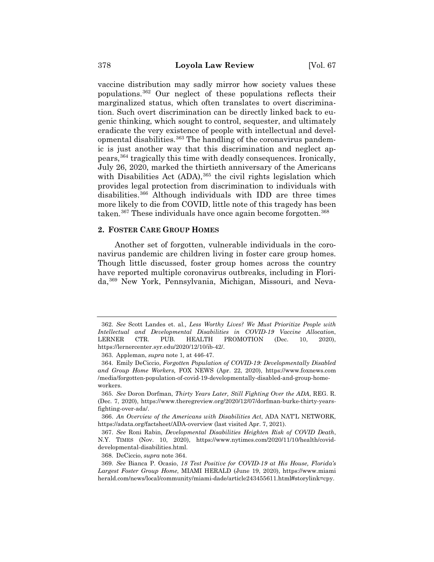vaccine distribution may sadly mirror how society values these populations.362 Our neglect of these populations reflects their marginalized status, which often translates to overt discrimination. Such overt discrimination can be directly linked back to eugenic thinking, which sought to control, sequester, and ultimately eradicate the very existence of people with intellectual and developmental disabilities.363 The handling of the coronavirus pandemic is just another way that this discrimination and neglect appears,364 tragically this time with deadly consequences. Ironically, July 26, 2020, marked the thirtieth anniversary of the Americans with Disabilities Act  $(ADA)$ ,  $365$  the civil rights legislation which provides legal protection from discrimination to individuals with disabilities.366 Although individuals with IDD are three times more likely to die from COVID, little note of this tragedy has been taken.<sup>367</sup> These individuals have once again become forgotten.<sup>368</sup>

### **2. FOSTER CARE GROUP HOMES**

Another set of forgotten, vulnerable individuals in the coronavirus pandemic are children living in foster care group homes. Though little discussed, foster group homes across the country have reported multiple coronavirus outbreaks, including in Florida,369 New York, Pennsylvania, Michigan, Missouri, and Neva-

368. DeCiccio, *supra* note 364.

<sup>362.</sup> *See* Scott Landes et. al*., Less Worthy Lives? We Must Prioritize People with Intellectual and Developmental Disabilities in COVID-19 Vaccine Allocation*, LERNER CTR. PUB. HEALTH PROMOTION (Dec. 10, 2020), https://lernercenter.syr.edu/2020/12/10/ib-42/.

<sup>363.</sup> Appleman, *supra* note 1*,* at 446-47.

<sup>364.</sup> Emily DeCiccio, *Forgotten Population of COVID-19: Developmentally Disabled and Group Home Workers,* FOX NEWS (Apr. 22, 2020), https://www.foxnews.com /media/forgotten-population-of-covid-19-developmentally-disabled-and-group-homeworkers.

<sup>365.</sup> *See* Doron Dorfman, *Thirty Years Later, Still Fighting Over the ADA*, REG. R. (Dec. 7, 2020), https://www.theregreview.org/2020/12/07/dorfman-burke-thirty-yearsfighting-over-ada/.

<sup>366.</sup> *An Overview of the Americans with Disabilities Act*, ADA NAT'L NETWORK, https://adata.org/factsheet/ADA-overview (last visited Apr. 7, 2021).

<sup>367.</sup> *See* Roni Rabin, *Developmental Disabilities Heighten Risk of COVID Death*, N.Y. TIMES (Nov. 10, 2020), https://www.nytimes.com/2020/11/10/health/coviddevelopmental-disabilities.html.

<sup>369.</sup> *See* Bianca P. Ocasio, *18 Test Positive for COVID-19 at His House, Florida's Largest Foster Group Home*, MIAMI HERALD (June 19, 2020), https://www.miami herald.com/news/local/community/miami-dade/article243455611.html#storylink=cpy.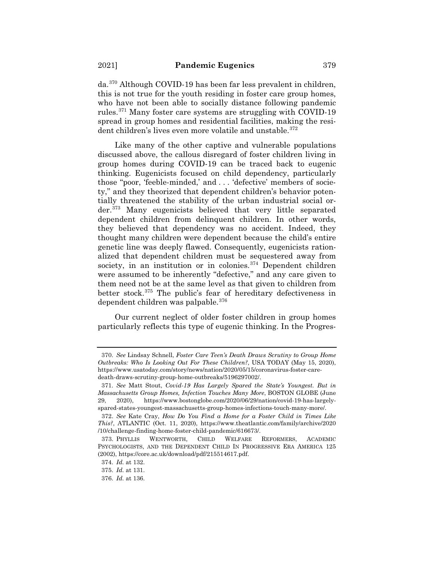da.370 Although COVID-19 has been far less prevalent in children, this is not true for the youth residing in foster care group homes, who have not been able to socially distance following pandemic rules.371 Many foster care systems are struggling with COVID-19 spread in group homes and residential facilities, making the resident children's lives even more volatile and unstable.<sup>372</sup>

Like many of the other captive and vulnerable populations discussed above, the callous disregard of foster children living in group homes during COVID-19 can be traced back to eugenic thinking. Eugenicists focused on child dependency, particularly those "poor, 'feeble-minded,' and . . . 'defective' members of society," and they theorized that dependent children's behavior potentially threatened the stability of the urban industrial social order.373 Many eugenicists believed that very little separated dependent children from delinquent children. In other words, they believed that dependency was no accident. Indeed, they thought many children were dependent because the child's entire genetic line was deeply flawed. Consequently, eugenicists rationalized that dependent children must be sequestered away from society, in an institution or in colonies. $374$  Dependent children were assumed to be inherently "defective," and any care given to them need not be at the same level as that given to children from better stock.375 The public's fear of hereditary defectiveness in dependent children was palpable.376

Our current neglect of older foster children in group homes particularly reflects this type of eugenic thinking. In the Progres-

<sup>370.</sup> *See* Lindsay Schnell, *Foster Care Teen's Death Draws Scrutiny to Group Home Outbreaks: Who Is Looking Out For These Children?*, USA TODAY (May 15, 2020), https://www.usatoday.com/story/news/nation/2020/05/15/coronavirus-foster-caredeath-draws-scrutiny-group-home-outbreaks/5196297002/.

<sup>371.</sup> *See* Matt Stout, *Covid-19 Has Largely Spared the State's Youngest. But in Massachusetts Group Homes, Infection Touches Many More*, BOSTON GLOBE (June 29, 2020), https://www.bostonglobe.com/2020/06/29/nation/covid-19-has-largelyspared-states-youngest-massachusetts-group-homes-infections-touch-many-more/.

<sup>372.</sup> *See* Kate Cray, *How Do You Find a Home for a Foster Child in Times Like This?*, ATLANTIC (Oct. 11, 2020), https://www.theatlantic.com/family/archive/2020 /10/challenge-finding-home-foster-child-pandemic/616673/.

<sup>373.</sup> PHYLLIS WENTWORTH, CHILD WELFARE REFORMERS, ACADEMIC PSYCHOLOGISTS, AND THE DEPENDENT CHILD IN PROGRESSIVE ERA AMERICA 125 (2002), https://core.ac.uk/download/pdf/215514617.pdf.

<sup>374.</sup> *Id.* at 132.

<sup>375.</sup> *Id.* at 131.

<sup>376.</sup> *Id.* at 136.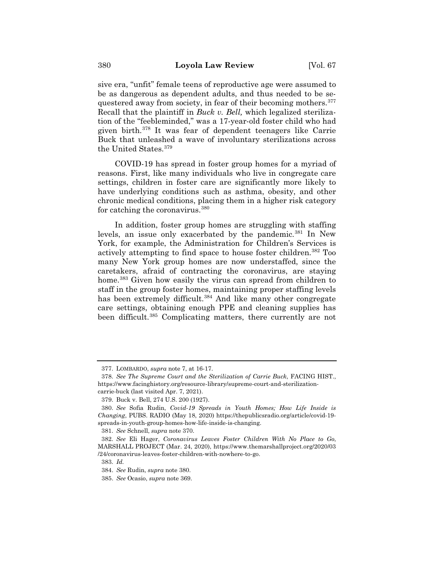sive era, "unfit" female teens of reproductive age were assumed to be as dangerous as dependent adults, and thus needed to be sequestered away from society, in fear of their becoming mothers.<sup>377</sup> Recall that the plaintiff in *Buck v. Bell,* which legalized sterilization of the "feebleminded," was a 17-year-old foster child who had given birth.378 It was fear of dependent teenagers like Carrie Buck that unleashed a wave of involuntary sterilizations across the United States.379

COVID-19 has spread in foster group homes for a myriad of reasons. First, like many individuals who live in congregate care settings, children in foster care are significantly more likely to have underlying conditions such as asthma, obesity, and other chronic medical conditions, placing them in a higher risk category for catching the coronavirus.<sup>380</sup>

In addition, foster group homes are struggling with staffing levels, an issue only exacerbated by the pandemic.<sup>381</sup> In New York, for example, the Administration for Children's Services is actively attempting to find space to house foster children.382 Too many New York group homes are now understaffed, since the caretakers, afraid of contracting the coronavirus, are staying home.<sup>383</sup> Given how easily the virus can spread from children to staff in the group foster homes, maintaining proper staffing levels has been extremely difficult.<sup>384</sup> And like many other congregate care settings, obtaining enough PPE and cleaning supplies has been difficult.385 Complicating matters, there currently are not

<sup>377.</sup> LOMBARDO, *supra* note 7, at 16-17.

<sup>378.</sup> *See The Supreme Court and the Sterilization of Carrie Buck*, FACING HIST., https://www.facinghistory.org/resource-library/supreme-court-and-sterilizationcarrie-buck (last visited Apr. 7, 2021).

<sup>379.</sup> Buck v. Bell, 274 U.S. 200 (1927).

<sup>380.</sup> *See* Sofia Rudin, *Covid-19 Spreads in Youth Homes; How Life Inside is Changing*, PUBS. RADIO (May 18, 2020) https://thepublicsradio.org/article/covid-19 spreads-in-youth-group-homes-how-life-inside-is-changing.

<sup>381.</sup> *See* Schnell, *supra* note 370.

<sup>382.</sup> *See* Eli Hager, *Coronavirus Leaves Foster Children With No Place to Go*, MARSHALL PROJECT (Mar. 24, 2020), https://www.themarshallproject.org/2020/03 /24/coronavirus-leaves-foster-children-with-nowhere-to-go.

<sup>383.</sup> *Id.*

<sup>384.</sup> *See* Rudin, *supra* note 380.

<sup>385.</sup> *See* Ocasio, *supra* note 369.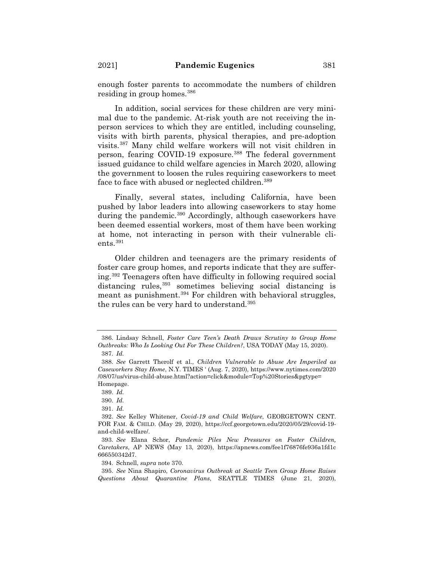enough foster parents to accommodate the numbers of children residing in group homes.386

In addition, social services for these children are very minimal due to the pandemic. At-risk youth are not receiving the inperson services to which they are entitled, including counseling, visits with birth parents, physical therapies, and pre-adoption visits.387 Many child welfare workers will not visit children in person, fearing COVID-19 exposure.<sup>388</sup> The federal government issued guidance to child welfare agencies in March 2020, allowing the government to loosen the rules requiring caseworkers to meet face to face with abused or neglected children.<sup>389</sup>

Finally, several states, including California, have been pushed by labor leaders into allowing caseworkers to stay home during the pandemic.<sup>390</sup> Accordingly, although caseworkers have been deemed essential workers, most of them have been working at home, not interacting in person with their vulnerable clients.<sup>391</sup>

Older children and teenagers are the primary residents of foster care group homes, and reports indicate that they are suffering.392 Teenagers often have difficulty in following required social distancing rules, <sup>393</sup> sometimes believing social distancing is meant as punishment.<sup>394</sup> For children with behavioral struggles, the rules can be very hard to understand.<sup>395</sup>

<sup>386.</sup> Lindsay Schnell, *Foster Care Teen's Death Draws Scrutiny to Group Home Outbreaks: Who Is Looking Out For These Children?*, USA TODAY (May 15, 2020). 387. *Id.*

<sup>388.</sup> *See* Garrett Therolf et al., *Children Vulnerable to Abuse Are Imperiled as Caseworkers Stay Home*, N.Y. TIMES ' (Aug. 7, 2020), https://www.nytimes.com/2020 /08/07/us/virus-child-abuse.html?action=click&module=Top%20Stories&pgtype= Homepage.

<sup>389.</sup> *Id.*

<sup>390.</sup> *Id.*

<sup>391.</sup> *Id.*

<sup>392.</sup> *See* Kelley Whitener, *Covid-19 and Child Welfare*, GEORGETOWN CENT. FOR FAM. & CHILD. (May 29, 2020), https://ccf.georgetown.edu/2020/05/29/covid-19 and-child-welfare/.

<sup>393.</sup> *See* Elana Schor, *Pandemic Piles New Pressures on Foster Children, Caretakers*, AP NEWS (May 13, 2020), https://apnews.com/fee1f76876fe936a1fd1c 666550342d7.

<sup>394.</sup> Schnell, *supra* note 370.

<sup>395.</sup> *See* Nina Shapiro, *Coronavirus Outbreak at Seattle Teen Group Home Raises Questions About Quarantine Plans*, SEATTLE TIMES (June 21, 2020),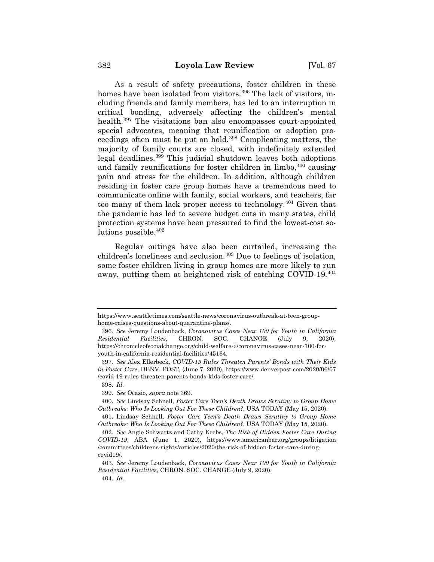As a result of safety precautions, foster children in these homes have been isolated from visitors.<sup>396</sup> The lack of visitors, including friends and family members, has led to an interruption in critical bonding, adversely affecting the children's mental health.<sup>397</sup> The visitations ban also encompasses court-appointed special advocates, meaning that reunification or adoption proceedings often must be put on hold.398 Complicating matters, the majority of family courts are closed, with indefinitely extended legal deadlines.399 This judicial shutdown leaves both adoptions and family reunifications for foster children in limbo,  $400$  causing pain and stress for the children. In addition, although children residing in foster care group homes have a tremendous need to communicate online with family, social workers, and teachers, far too many of them lack proper access to technology.401 Given that the pandemic has led to severe budget cuts in many states, child protection systems have been pressured to find the lowest-cost solutions possible.402

Regular outings have also been curtailed, increasing the children's loneliness and seclusion.<sup>403</sup> Due to feelings of isolation, some foster children living in group homes are more likely to run away, putting them at heightened risk of catching COVID-19.404

https://www.seattletimes.com/seattle-news/coronavirus-outbreak-at-teen-grouphome-raises-questions-about-quarantine-plans/.

<sup>396.</sup> *See* Jeremy Loudenback, *Coronavirus Cases Near 100 for Youth in California Residential Facilities*, CHRON. SOC. CHANGE (July 9, 2020), https://chronicleofsocialchange.org/child-welfare-2/coronavirus-cases-near-100-foryouth-in-california-residential-facilities/45164.

<sup>397.</sup> *See* Alex Ellerbeck, *COVID-19 Rules Threaten Parents' Bonds with Their Kids in Foster Care*, DENV. POST, (June 7, 2020), https://www.denverpost.com/2020/06/07 /covid-19-rules-threaten-parents-bonds-kids-foster-care/.

<sup>398.</sup> *Id.*

<sup>399.</sup> *See* Ocasio, *supra* note 369.

<sup>400.</sup> *See* Lindsay Schnell, *Foster Care Teen's Death Draws Scrutiny to Group Home Outbreaks: Who Is Looking Out For These Children?*, USA TODAY (May 15, 2020).

<sup>401.</sup> Lindsay Schnell, *Foster Care Teen's Death Draws Scrutiny to Group Home Outbreaks: Who Is Looking Out For These Children?*, USA TODAY (May 15, 2020).

<sup>402.</sup> *See* Angie Schwartz and Cathy Krebs, *The Risk of Hidden Foster Care During COVID-19*, ABA (June 1, 2020), https://www.americanbar.org/groups/litigation /committees/childrens-rights/articles/2020/the-risk-of-hidden-foster-care-duringcovid19/.

<sup>403.</sup> *See* Jeremy Loudenback, *Coronavirus Cases Near 100 for Youth in California Residential Facilities*, CHRON. SOC. CHANGE (July 9, 2020). 404. *Id.*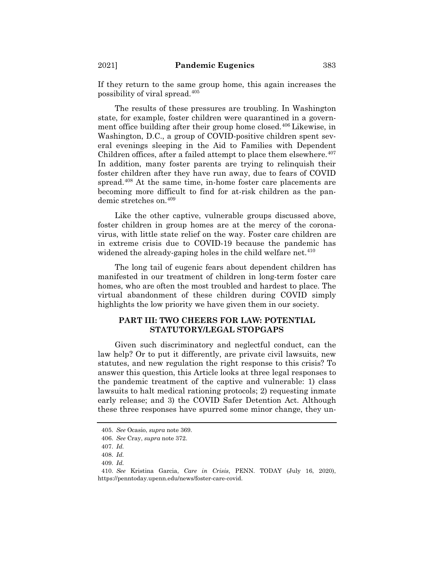If they return to the same group home, this again increases the possibility of viral spread.405

The results of these pressures are troubling. In Washington state, for example, foster children were quarantined in a government office building after their group home closed.<sup>406</sup> Likewise, in Washington, D.C., a group of COVID-positive children spent several evenings sleeping in the Aid to Families with Dependent Children offices, after a failed attempt to place them elsewhere. $407$ In addition, many foster parents are trying to relinquish their foster children after they have run away, due to fears of COVID spread.<sup>408</sup> At the same time, in-home foster care placements are becoming more difficult to find for at-risk children as the pandemic stretches on.409

Like the other captive, vulnerable groups discussed above, foster children in group homes are at the mercy of the coronavirus, with little state relief on the way. Foster care children are in extreme crisis due to COVID-19 because the pandemic has widened the already-gaping holes in the child welfare net.  $410$ 

The long tail of eugenic fears about dependent children has manifested in our treatment of children in long-term foster care homes, who are often the most troubled and hardest to place. The virtual abandonment of these children during COVID simply highlights the low priority we have given them in our society.

# **PART III: TWO CHEERS FOR LAW: POTENTIAL STATUTORY/LEGAL STOPGAPS**

Given such discriminatory and neglectful conduct, can the law help? Or to put it differently, are private civil lawsuits, new statutes, and new regulation the right response to this crisis? To answer this question, this Article looks at three legal responses to the pandemic treatment of the captive and vulnerable: 1) class lawsuits to halt medical rationing protocols; 2) requesting inmate early release; and 3) the COVID Safer Detention Act. Although these three responses have spurred some minor change, they un-

<sup>405.</sup> *See* Ocasio, *supra* note 369.

<sup>406.</sup> *See* Cray, *supra* note 372.

<sup>407.</sup> *Id.*

<sup>408.</sup> *Id.*

<sup>409.</sup> *Id.*

<sup>410.</sup> *See* Kristina Garcia, *Care in Crisis*, PENN. TODAY (July 16, 2020), https://penntoday.upenn.edu/news/foster-care-covid.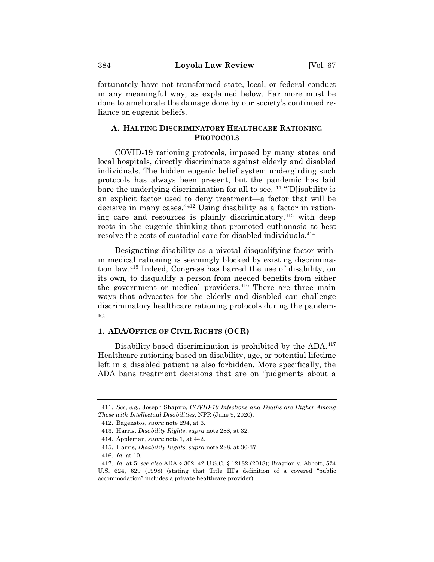fortunately have not transformed state, local, or federal conduct in any meaningful way, as explained below. Far more must be done to ameliorate the damage done by our society's continued reliance on eugenic beliefs.

# **A. HALTING DISCRIMINATORY HEALTHCARE RATIONING PROTOCOLS**

COVID-19 rationing protocols, imposed by many states and local hospitals, directly discriminate against elderly and disabled individuals. The hidden eugenic belief system undergirding such protocols has always been present, but the pandemic has laid bare the underlying discrimination for all to see.<sup>411</sup> "[D] isability is an explicit factor used to deny treatment—a factor that will be decisive in many cases."412 Using disability as a factor in rationing care and resources is plainly discriminatory,  $413$  with deep roots in the eugenic thinking that promoted euthanasia to best resolve the costs of custodial care for disabled individuals.414

Designating disability as a pivotal disqualifying factor within medical rationing is seemingly blocked by existing discrimination law.415 Indeed, Congress has barred the use of disability, on its own, to disqualify a person from needed benefits from either the government or medical providers.<sup>416</sup> There are three main ways that advocates for the elderly and disabled can challenge discriminatory healthcare rationing protocols during the pandemic.

### **1. ADA/OFFICE OF CIVIL RIGHTS (OCR)**

Disability-based discrimination is prohibited by the ADA.<sup>417</sup> Healthcare rationing based on disability, age, or potential lifetime left in a disabled patient is also forbidden. More specifically, the ADA bans treatment decisions that are on "judgments about a

<sup>411.</sup> *See, e.g.*, Joseph Shapiro, *COVID-19 Infections and Deaths are Higher Among Those with Intellectual Disabilities*, NPR (June 9, 2020).

<sup>412.</sup> Bagenstos, *supra* note 294, at 6.

<sup>413.</sup> Harris, *Disability Rights*, *supra* note 288, at 32.

<sup>414.</sup> Appleman, *supra* note 1, at 442.

<sup>415.</sup> Harris, *Disability Rights*, *supra* note 288, at 36-37.

<sup>416.</sup> *Id.* at 10.

<sup>417.</sup> *Id.* at 5; *see also* ADA § 302, 42 U.S.C. § 12182 (2018); Bragdon v. Abbott, 524 U.S. 624, 629 (1998) (stating that Title III's definition of a covered "public accommodation" includes a private healthcare provider).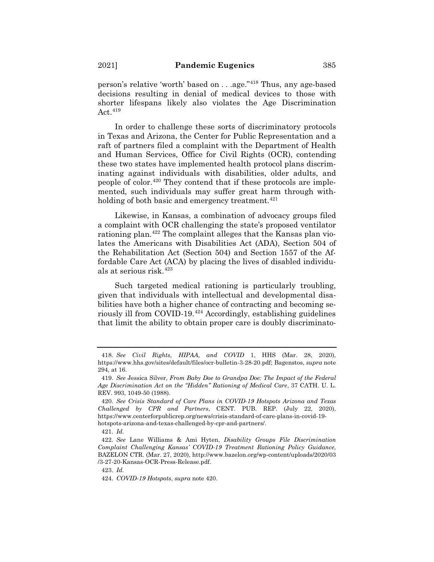person's relative 'worth' based on . . .age."418 Thus, any age-based decisions resulting in denial of medical devices to those with shorter lifespans likely also violates the Age Discrimination Act. $419$ 

In order to challenge these sorts of discriminatory protocols in Texas and Arizona, the Center for Public Representation and a raft of partners filed a complaint with the Department of Health and Human Services, Office for Civil Rights (OCR), contending these two states have implemented health protocol plans discriminating against individuals with disabilities, older adults, and people of color.420 They contend that if these protocols are implemented, such individuals may suffer great harm through withholding of both basic and emergency treatment.<sup> $421$ </sup>

Likewise, in Kansas, a combination of advocacy groups filed a complaint with OCR challenging the state's proposed ventilator rationing plan.<sup>422</sup> The complaint alleges that the Kansas plan violates the Americans with Disabilities Act (ADA), Section 504 of the Rehabilitation Act (Section 504) and Section 1557 of the Affordable Care Act (ACA) by placing the lives of disabled individuals at serious risk.423

Such targeted medical rationing is particularly troubling, given that individuals with intellectual and developmental disabilities have both a higher chance of contracting and becoming seriously ill from COVID-19.424 Accordingly, establishing guidelines that limit the ability to obtain proper care is doubly discriminato-

423. *Id.*

<sup>418.</sup> *See Civil Rights, HIPAA, and COVID* 1, HHS (Mar. 28, 2020), https://www.hhs.gov/sites/default/files/ocr-bulletin-3-28-20.pdf; Bagenstos, *supra* note 294, at 16.

<sup>419.</sup> *See* Jessica Silver, *From Baby Doe to Grandpa Doe: The Impact of the Federal Age Discrimination Act on the "Hidden" Rationing of Medical Care*, 37 CATH. U. L. REV. 993, 1049-50 (1988).

<sup>420.</sup> *See Crisis Standard of Care Plans in COVID-19 Hotspots Arizona and Texas Challenged by CPR and Partners*, CENT. PUB. REP. (July 22, 2020), https://www.centerforpublicrep.org/news/crisis-standard-of-care-plans-in-covid-19 hotspots-arizona-and-texas-challenged-by-cpr-and-partners/.

<sup>421.</sup> *Id.*

<sup>422.</sup> *See* Lane Williams & Ami Hyten, *Disability Groups File Discrimination Complaint Challenging Kansas' COVID-19 Treatment Rationing Policy Guidance*, BAZELON CTR. (Mar. 27, 2020), http://www.bazelon.org/wp-content/uploads/2020/03 /3-27-20-Kansas-OCR-Press-Release.pdf.

<sup>424.</sup> *COVID-19 Hotspots*, *supra* note 420.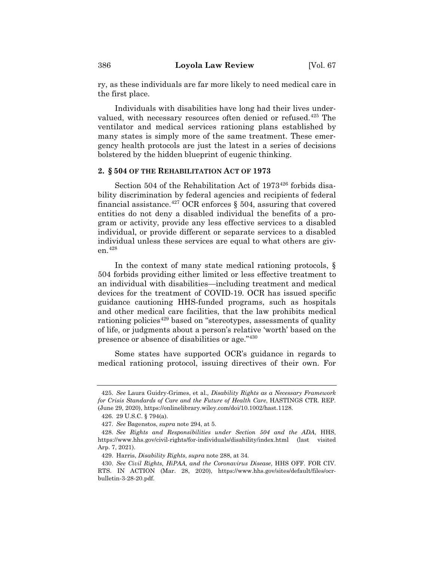ry, as these individuals are far more likely to need medical care in the first place.

Individuals with disabilities have long had their lives undervalued, with necessary resources often denied or refused.<sup>425</sup> The ventilator and medical services rationing plans established by many states is simply more of the same treatment. These emergency health protocols are just the latest in a series of decisions bolstered by the hidden blueprint of eugenic thinking.

### **2. § 504 OF THE REHABILITATION ACT OF 1973**

Section 504 of the Rehabilitation Act of 1973<sup>426</sup> forbids disability discrimination by federal agencies and recipients of federal financial assistance.<sup>427</sup> OCR enforces  $\S$  504, assuring that covered entities do not deny a disabled individual the benefits of a program or activity, provide any less effective services to a disabled individual, or provide different or separate services to a disabled individual unless these services are equal to what others are given.428

In the context of many state medical rationing protocols, § 504 forbids providing either limited or less effective treatment to an individual with disabilities—including treatment and medical devices for the treatment of COVID-19. OCR has issued specific guidance cautioning HHS-funded programs, such as hospitals and other medical care facilities, that the law prohibits medical rationing policies<sup>429</sup> based on "stereotypes, assessments of quality of life, or judgments about a person's relative 'worth' based on the presence or absence of disabilities or age."430

Some states have supported OCR's guidance in regards to medical rationing protocol, issuing directives of their own. For

<sup>425.</sup> *See* Laura Guidry-Grimes, et al.*, Disability Rights as a Necessary Framework for Crisis Standards of Care and the Future of Health Care*, HASTINGS CTR. REP. (June 29, 2020), https://onlinelibrary.wiley.com/doi/10.1002/hast.1128.

<sup>426. 29</sup> U.S.C. § 794(a).

<sup>427.</sup> *See* Bagenstos, *supra* note 294, at 5.

<sup>428.</sup> *See Rights and Responsibilities under Section 504 and the ADA*, HHS, https://www.hhs.gov/civil-rights/for-individuals/disability/index.html (last visited Arp. 7, 2021).

<sup>429.</sup> Harris, *Disability Rights*, *supra* note 288, at 34.

<sup>430.</sup> *See Civil Rights, HiPAA, and the Coronavirus Disease*, HHS OFF. FOR CIV. RTS. IN ACTION (Mar. 28, 2020), https://www.hhs.gov/sites/default/files/ocrbulletin-3-28-20.pdf.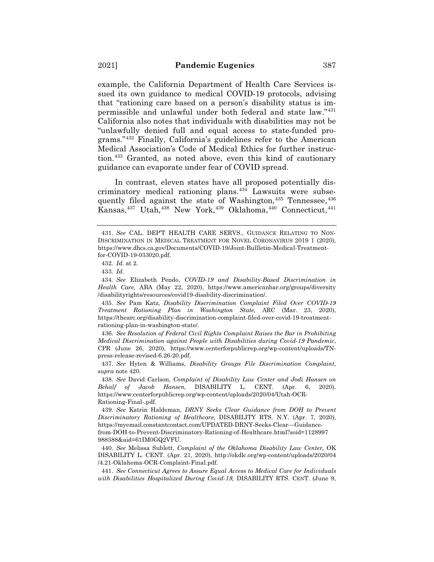example, the California Department of Health Care Services issued its own guidance to medical COVID-19 protocols, advising that "rationing care based on a person's disability status is impermissible and unlawful under both federal and state law."431 California also notes that individuals with disabilities may not be "unlawfully denied full and equal access to state-funded programs."432 Finally, California's guidelines refer to the American Medical Association's Code of Medical Ethics for further instruction.433 Granted, as noted above, even this kind of cautionary guidance can evaporate under fear of COVID spread.

In contrast, eleven states have all proposed potentially discriminatory medical rationing plans.434 Lawsuits were subsequently filed against the state of Washington,<sup>435</sup> Tennessee,<sup>436</sup>  $K$ ansas,<sup>437</sup> Utah,<sup>438</sup> New York,<sup>439</sup> Oklahoma,<sup>440</sup> Connecticut,<sup>441</sup>

432. *Id.* at 2.

434. *See* Elizabeth Pendo, *COVID-19 and Disability-Based Discrimination in Health Care,* ABA (May 22, 2020), https://www.americanbar.org/groups/diversity /disabilityrights/resources/covid19-disability-discrimination/.

435. *See* Pam Katz, *Disability Discrimination Complaint Filed Over COVID-19 Treatment Rationing Plan in Washington State,* ARC (Mar. 23, 2020), https://thearc.org/disability-discrimination-complaint-filed-over-covid-19-treatmentrationing-plan-in-washington-state/.

436. *See Resolution of Federal Civil Rights Complaint Raises the Bar in Prohibiting Medical Discrimination against People with Disabilities during Covid-19 Pandemic*, CPR (June 26, 2020), https://www.centerforpublicrep.org/wp-content/uploads/TNpress-release-revised-6.26-20.pdf.

437. *See* Hyten & Williams, *Disability Groups File Discrimination Complaint*, *supra* note 420.

438. *See* David Carlson, *Complaint of Disability Law Center and Jodi Hansen on Behalf of Jacob Hansen*, DISABILITY L. CENT. (Apr. 6, 2020), https://www.centerforpublicrep.org/wp-content/uploads/2020/04/Utah-OCR-Rationing-Final-.pdf.

439. *See* Katrin Haldeman, *DRNY Seeks Clear Guidance from DOH to Prevent Discriminatory Rationing of Healthcare*, DISABILITY RTS. N.Y. (Apr. 7, 2020), https://myemail.constantcontact.com/UPDATED-DRNY-Seeks-Clear—Guidancefrom-DOH-to-Prevent-Discriminatory-Rationing-of-Healthcare.html?soid=1128997 988588&aid=61IM0GQ2VFU.

440. *See* Melissa Sublett, *Complaint of the Oklahoma Disability Law Center,* OK DISABILITY L. CENT. (Apr. 21, 2020), http://okdlc.org/wp-content/uploads/2020/04 /4.21-Oklahoma-OCR-Complaint-Final.pdf.

441. *See Connecticut Agrees to Assure Equal Access to Medical Care for Individuals with Disabilities Hospitalized During Covid-19,* DISABILITY RTS. CENT. (June 9,

<sup>431.</sup> *See* CAL. DEP'T HEALTH CARE SERVS., GUIDANCE RELATING TO NON-DISCRIMINATION IN MEDICAL TREATMENT FOR NOVEL CORONAVIRUS 2019 1 (2020), https://www.dhcs.ca.gov/Documents/COVID-19/Joint-Bullletin-Medical-Treatmentfor-COVID-19-033020.pdf.

<sup>433.</sup> *Id*.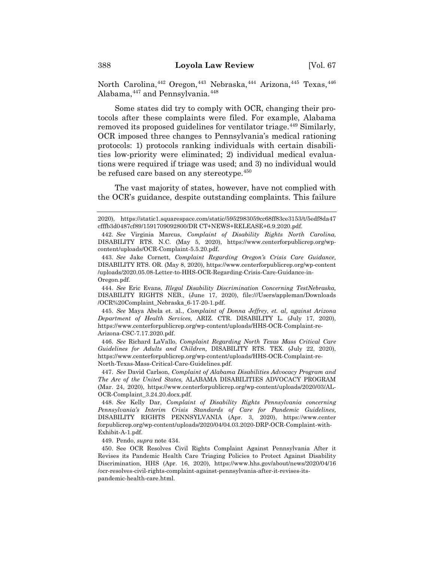North Carolina,<sup>442</sup> Oregon,<sup>443</sup> Nebraska,<sup>444</sup> Arizona,<sup>445</sup> Texas,<sup>446</sup> Alabama,  $447$  and Pennsylvania.  $448$ 

Some states did try to comply with OCR, changing their protocols after these complaints were filed. For example, Alabama removed its proposed guidelines for ventilator triage.<sup>449</sup> Similarly, OCR imposed three changes to Pennsylvania's medical rationing protocols: 1) protocols ranking individuals with certain disabilities low-priority were eliminated; 2) individual medical evaluations were required if triage was used; and 3) no individual would be refused care based on any stereotype.<sup>450</sup>

The vast majority of states, however, have not complied with the OCR's guidance, despite outstanding complaints. This failure

444. *See* Eric Evans, *Illegal Disability Discrimination Concerning TestNebraska,*  DISABILITY RIGHTS NEB., (June 17, 2020), file:///Users/appleman/Downloads /OCR%20Complaint\_Nebraska\_6-17-20-1.pdf.

445. *See* Maya Abela et. al., *Complaint of Donna Jeffrey, et. al, against Arizona Department of Health Services,* ARIZ. CTR. DISABILITY L. (July 17, 2020), https://www.centerforpublicrep.org/wp-content/uploads/HHS-OCR-Complaint-re-Arizona-CSC-7.17.2020.pdf.

446. *See* Richard LaVallo, *Complaint Regarding North Texas Mass Critical Care Guidelines for Adults and Children,* DISABILITY RTS. TEX. (July 22, 2020), https://www.centerforpublicrep.org/wp-content/uploads/HHS-OCR-Complaint-re-North-Texas-Mass-Critical-Care-Guidelines.pdf.

447. *See* David Carlson, *Complaint of Alabama Disabilities Advocacy Program and The Arc of the United States,* ALABAMA DISABILITIES ADVOCACY PROGRAM (Mar. 24, 2020), https://www.centerforpublicrep.org/wp-content/uploads/2020/03/AL-OCR-Complaint\_3.24.20.docx.pdf.

448. *See* Kelly Dar, *Complaint of Disability Rights Pennsylvania concerning Pennsylvania's Interim Crisis Standards of Care for Pandemic Guidelines,*  DISABILITY RIGHTS PENNSYLVANIA (Apr. 3, 2020), https://www.center forpublicrep.org/wp-content/uploads/2020/04/04.03.2020-DRP-OCR-Complaint-with-Exhibit-A-1.pdf.

449. Pendo, *supra* note 434.

450. See OCR Resolves Civil Rights Complaint Against Pennsylvania After it Revises its Pandemic Health Care Triaging Policies to Protect Against Disability Discrimination, HHS (Apr. 16, 2020), https://www.hhs.gov/about/news/2020/04/16 /ocr-resolves-civil-rights-complaint-against-pennsylvania-after-it-revises-itspandemic-health-care.html.

<sup>2020),</sup> https://static1.squarespace.com/static/5952983059cc68ff83ce3153/t/5edf8da47 cfffb3d0487cf89/1591709092800/DR CT+NEWS+RELEASE+6.9.2020.pdf.

<sup>442.</sup> *See* Virginia Marcus, *Complaint of Disability Rights North Carolina*, DISABILITY RTS. N.C. (May 5, 2020), https://www.centerforpublicrep.org/wpcontent/uploads/OCR-Complaint-5.5.20.pdf.

<sup>443.</sup> *See* Jake Cornett, *Complaint Regarding Oregon's Crisis Care Guidance,*  DISABILITY RTS. OR. (May 8, 2020), https://www.centerforpublicrep.org/wp-content /uploads/2020.05.08-Letter-to-HHS-OCR-Regarding-Crisis-Care-Guidance-in-Oregon.pdf.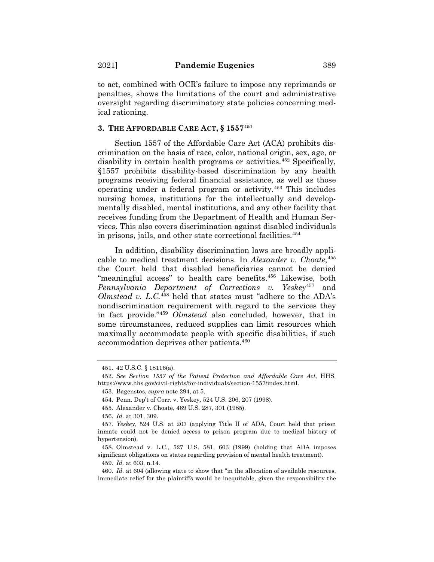to act, combined with OCR's failure to impose any reprimands or penalties, shows the limitations of the court and administrative oversight regarding discriminatory state policies concerning medical rationing.

### **3. THE AFFORDABLE CARE ACT, § 1557451**

Section 1557 of the Affordable Care Act (ACA) prohibits discrimination on the basis of race, color, national origin, sex, age, or disability in certain health programs or activities.<sup> $452$ </sup> Specifically, §1557 prohibits disability-based discrimination by any health programs receiving federal financial assistance, as well as those operating under a federal program or activity.453 This includes nursing homes, institutions for the intellectually and developmentally disabled, mental institutions, and any other facility that receives funding from the Department of Health and Human Services. This also covers discrimination against disabled individuals in prisons, jails, and other state correctional facilities.<sup>454</sup>

In addition, disability discrimination laws are broadly applicable to medical treatment decisions. In *Alexander v. Choate*, 455 the Court held that disabled beneficiaries cannot be denied "meaningful access" to health care benefits.<sup>456</sup> Likewise, both *Pennsylvania Department of Corrections v. Yeskey*<sup>457</sup> and *Olmstead v. L.C.*<sup>458</sup> held that states must "adhere to the ADA's nondiscrimination requirement with regard to the services they in fact provide."459 *Olmstead* also concluded, however, that in some circumstances, reduced supplies can limit resources which maximally accommodate people with specific disabilities, if such accommodation deprives other patients.<sup>460</sup>

<sup>451. 42</sup> U.S.C. § 18116(a).

<sup>452.</sup> *See Section 1557 of the Patient Protection and Affordable Care Act*, HHS, https://www.hhs.gov/civil-rights/for-individuals/section-1557/index.html.

<sup>453.</sup> Bagenstos, *supra* note 294, at 5.

<sup>454.</sup> Penn. Dep't of Corr. v. Yeskey*,* 524 U.S. 206, 207 (1998).

<sup>455.</sup> Alexander v. Choate, 469 U.S. 287, 301 (1985).

<sup>456.</sup> *Id.* at 301, 309.

<sup>457.</sup> *Yeskey*, 524 U.S. at 207 (applying Title II of ADA, Court held that prison inmate could not be denied access to prison program due to medical history of hypertension).

<sup>458.</sup> Olmstead v. L.C., 527 U.S. 581, 603 (1999) (holding that ADA imposes significant obligations on states regarding provision of mental health treatment).

<sup>459.</sup> *Id.* at 603, n.14.

<sup>460.</sup> *Id.* at 604 (allowing state to show that "in the allocation of available resources, immediate relief for the plaintiffs would be inequitable, given the responsibility the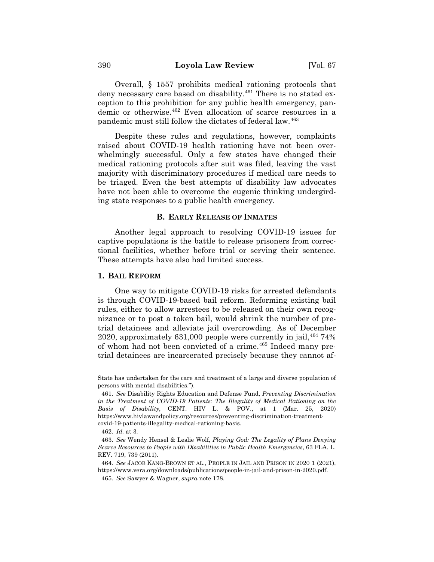Overall, § 1557 prohibits medical rationing protocols that deny necessary care based on disability.<sup>461</sup> There is no stated exception to this prohibition for any public health emergency, pandemic or otherwise.462 Even allocation of scarce resources in a pandemic must still follow the dictates of federal law.463

Despite these rules and regulations, however, complaints raised about COVID-19 health rationing have not been overwhelmingly successful. Only a few states have changed their medical rationing protocols after suit was filed, leaving the vast majority with discriminatory procedures if medical care needs to be triaged. Even the best attempts of disability law advocates have not been able to overcome the eugenic thinking undergirding state responses to a public health emergency.

#### **B. EARLY RELEASE OF INMATES**

Another legal approach to resolving COVID-19 issues for captive populations is the battle to release prisoners from correctional facilities, whether before trial or serving their sentence. These attempts have also had limited success.

#### **1. BAIL REFORM**

One way to mitigate COVID-19 risks for arrested defendants is through COVID-19-based bail reform. Reforming existing bail rules, either to allow arrestees to be released on their own recognizance or to post a token bail, would shrink the number of pretrial detainees and alleviate jail overcrowding. As of December 2020, approximately 631,000 people were currently in jail. $46474\%$ of whom had not been convicted of a crime.465 Indeed many pretrial detainees are incarcerated precisely because they cannot af-

State has undertaken for the care and treatment of a large and diverse population of persons with mental disabilities.").

<sup>461.</sup> *See* Disability Rights Education and Defense Fund, *Preventing Discrimination*  in the Treatment of COVID-19 Patients: The Illegality of Medical Rationing on the *Basis of Disability*, CENT. HIV L. & POV., at 1 (Mar. 25, 2020) https://www.hivlawandpolicy.org/resources/preventing-discrimination-treatmentcovid-19-patients-illegality-medical-rationing-basis.

<sup>462.</sup> *Id.* at 3*.*

<sup>463.</sup> *See* Wendy Hensel & Leslie Wolf, *Playing God: The Legality of Plans Denying Scarce Resources to People with Disabilities in Public Health Emergencies*, 63 FLA. L. REV. 719, 739 (2011).

<sup>464.</sup> *See* JACOB KANG-BROWN ET AL., PEOPLE IN JAIL AND PRISON IN 2020 1 (2021), https://www.vera.org/downloads/publications/people-in-jail-and-prison-in-2020.pdf.

<sup>465.</sup> *See* Sawyer & Wagner, *supra* note 178.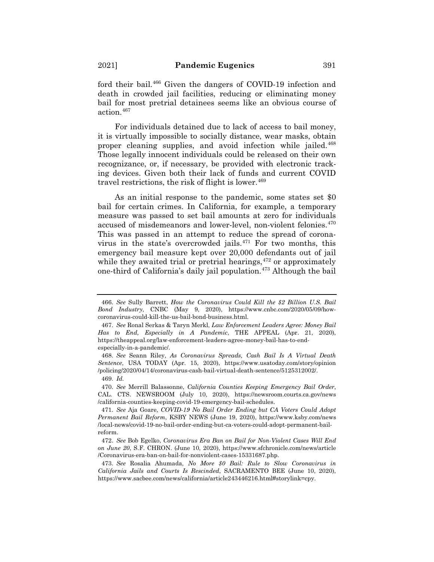ford their bail.<sup>466</sup> Given the dangers of COVID-19 infection and death in crowded jail facilities, reducing or eliminating money bail for most pretrial detainees seems like an obvious course of action.467

For individuals detained due to lack of access to bail money, it is virtually impossible to socially distance, wear masks, obtain proper cleaning supplies, and avoid infection while jailed.<sup>468</sup> Those legally innocent individuals could be released on their own recognizance, or, if necessary, be provided with electronic tracking devices. Given both their lack of funds and current COVID travel restrictions, the risk of flight is lower.<sup>469</sup>

As an initial response to the pandemic, some states set \$0 bail for certain crimes. In California, for example, a temporary measure was passed to set bail amounts at zero for individuals accused of misdemeanors and lower-level, non-violent felonies.470 This was passed in an attempt to reduce the spread of coronavirus in the state's overcrowded jails. $471$  For two months, this emergency bail measure kept over 20,000 defendants out of jail while they awaited trial or pretrial hearings,  $472$  or approximately one-third of California's daily jail population.473 Although the bail

<sup>466.</sup> *See* Sully Barrett, *How the Coronavirus Could Kill the \$2 Billion U.S. Bail Bond Industry*, CNBC (May 9, 2020), https://www.cnbc.com/2020/05/09/howcoronavirus-could-kill-the-us-bail-bond-business.html.

<sup>467.</sup> *See* Ronal Serkas & Taryn Merkl, *Law Enforcement Leaders Agree: Money Bail Has to End, Especially in A Pandemic*, THE APPEAL (Apr. 21, 2020), https://theappeal.org/law-enforcement-leaders-agree-money-bail-has-to-endespecially-in-a-pandemic/.

<sup>468.</sup> *See* Seann Riley, *As Coronavirus Spreads, Cash Bail Is A Virtual Death Sentence*, USA TODAY (Apr. 15, 2020), https://www.usatoday.com/story/opinion /policing/2020/04/14/coronavirus-cash-bail-virtual-death-sentence/5125312002/.

<sup>469.</sup> *Id.*

<sup>470.</sup> *See* Merrill Balassonne, *California Counties Keeping Emergency Bail Order*, CAL. CTS. NEWSROOM (July 10, 2020), https://newsroom.courts.ca.gov/news /california-counties-keeping-covid-19-emergency-bail-schedules.

<sup>471.</sup> *See* Aja Goare, *COVID-19 No Bail Order Ending but CA Voters Could Adopt Permanent Bail Reform*, KSBY NEWS (June 19, 2020), https://www.ksby.com/news /local-news/covid-19-no-bail-order-ending-but-ca-voters-could-adopt-permanent-bailreform.

<sup>472.</sup> *See* Bob Egelko, *Coronavirus Era Ban on Bail for Non-Violent Cases Will End on June 20*, S.F. CHRON. (June 10, 2020), https://www.sfchronicle.com/news/article /Coronavirus-era-ban-on-bail-for-nonviolent-cases-15331687.php.

<sup>473.</sup> *See* Rosalia Ahumada, *No More \$0 Bail: Rule to Slow Coronavirus in California Jails and Courts Is Rescinded*, SACRAMENTO BEE (June 10, 2020), https://www.sacbee.com/news/california/article243446216.html#storylink=cpy.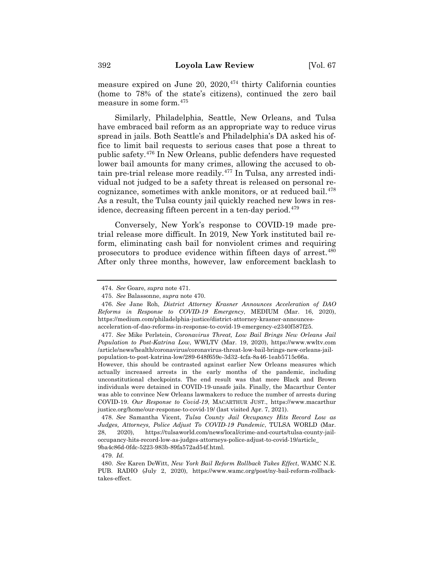measure expired on June 20,  $2020$ ,  $474$  thirty California counties (home to 78% of the state's citizens), continued the zero bail measure in some form.475

Similarly, Philadelphia, Seattle, New Orleans, and Tulsa have embraced bail reform as an appropriate way to reduce virus spread in jails. Both Seattle's and Philadelphia's DA asked his office to limit bail requests to serious cases that pose a threat to public safety.476 In New Orleans, public defenders have requested lower bail amounts for many crimes, allowing the accused to obtain pre-trial release more readily.477 In Tulsa, any arrested individual not judged to be a safety threat is released on personal recognizance, sometimes with ankle monitors, or at reduced bail.<sup>478</sup> As a result, the Tulsa county jail quickly reached new lows in residence, decreasing fifteen percent in a ten-day period.<sup>479</sup>

Conversely, New York's response to COVID-19 made pretrial release more difficult. In 2019, New York instituted bail reform, eliminating cash bail for nonviolent crimes and requiring prosecutors to produce evidence within fifteen days of arrest.480 After only three months, however, law enforcement backlash to

However, this should be contrasted against earlier New Orleans measures which actually increased arrests in the early months of the pandemic, including unconstitutional checkpoints. The end result was that more Black and Brown individuals were detained in COVID-19-unsafe jails. Finally, the Macarthur Center was able to convince New Orleans lawmakers to reduce the number of arrests during COVID-19. *Our Response to Covid-19*, MACARTHUR JUST., https://www.macarthur justice.org/home/our-response-to-covid-19/ (last visited Apr. 7, 2021).

479. *Id.*

<sup>474.</sup> *See* Goare, *supra* note 471.

<sup>475.</sup> *See* Balassonne, *supra* note 470.

<sup>476.</sup> *See* Jane Roh, *District Attorney Krasner Announces Acceleration of DAO Reforms in Response to COVID-19 Emergency*, MEDIUM (Mar. 16, 2020), https://medium.com/philadelphia-justice/district-attorney-krasner-announcesacceleration-of-dao-reforms-in-response-to-covid-19-emergency-e2340f587f25.

<sup>477.</sup> *See* Mike Perlstein, *Coronavirus Threat, Low Bail Brings New Orleans Jail Population to Post-Katrina Low*, WWLTV (Mar. 19, 2020), https://www.wwltv.com /article/news/health/coronavirus/coronavirus-threat-low-bail-brings-new-orleans-jailpopulation-to-post-katrina-low/289-648f659e-3d32-4cfa-8a46-1eab5715c66a.

<sup>478.</sup> *See* Samantha Vicent, *Tulsa County Jail Occupancy Hits Record Low as Judges, Attorneys, Police Adjust To COVID-19 Pandemic*, TULSA WORLD (Mar. 28, 2020), https://tulsaworld.com/news/local/crime-and-courts/tulsa-county-jailoccupancy-hits-record-low-as-judges-attorneys-police-adjust-to-covid-19/article\_ 9ba4c86d-0fdc-5223-983b-89fa572ad54f.html.

<sup>480.</sup> *See* Karen DeWitt, *New York Bail Reform Rollback Takes Effect*, WAMC N.E. PUB. RADIO (July 2, 2020), https://www.wamc.org/post/ny-bail-reform-rollbacktakes-effect.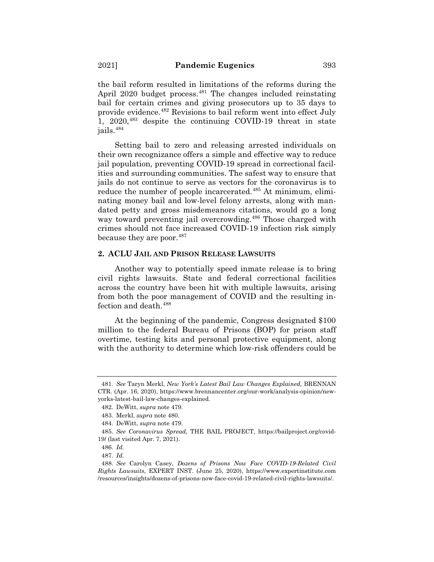the bail reform resulted in limitations of the reforms during the April 2020 budget process.<sup>481</sup> The changes included reinstating bail for certain crimes and giving prosecutors up to 35 days to provide evidence.482 Revisions to bail reform went into effect July 1,  $2020$ <sup>483</sup> despite the continuing COVID-19 threat in state jails.484

Setting bail to zero and releasing arrested individuals on their own recognizance offers a simple and effective way to reduce jail population, preventing COVID-19 spread in correctional facilities and surrounding communities. The safest way to ensure that jails do not continue to serve as vectors for the coronavirus is to reduce the number of people incarcerated.<sup>485</sup> At minimum, eliminating money bail and low-level felony arrests, along with mandated petty and gross misdemeanors citations, would go a long way toward preventing jail overcrowding.<sup>486</sup> Those charged with crimes should not face increased COVID-19 infection risk simply because they are poor.<sup>487</sup>

# **2. ACLU JAIL AND PRISON RELEASE LAWSUITS**

Another way to potentially speed inmate release is to bring civil rights lawsuits. State and federal correctional facilities across the country have been hit with multiple lawsuits, arising from both the poor management of COVID and the resulting infection and death.488

At the beginning of the pandemic, Congress designated \$100 million to the federal Bureau of Prisons (BOP) for prison staff overtime, testing kits and personal protective equipment, along with the authority to determine which low-risk offenders could be

<sup>481.</sup> *See* Taryn Merkl, *New York's Latest Bail Law Changes Explained,* BRENNAN CTR. (Apr. 16, 2020), https://www.brennancenter.org/our-work/analysis-opinion/newyorks-latest-bail-law-changes-explained.

<sup>482.</sup> DeWitt, *supra* note 479.

<sup>483.</sup> Merkl, *supra* note 480.

<sup>484.</sup> DeWitt, *supra* note 479.

<sup>485.</sup> *See Coronavirus Spread,* THE BAIL PROJECT, https://bailproject.org/covid-19/ (last visited Apr. 7, 2021).

<sup>486.</sup> *Id.*

<sup>487.</sup> *Id.*

<sup>488.</sup> *See* Carolyn Casey, *Dozens of Prisons Now Face COVID-19-Related Civil Rights Lawsuits*, EXPERT INST. (June 25, 2020), https://www.expertinstitute.com /resources/insights/dozens-of-prisons-now-face-covid-19-related-civil-rights-lawsuits/.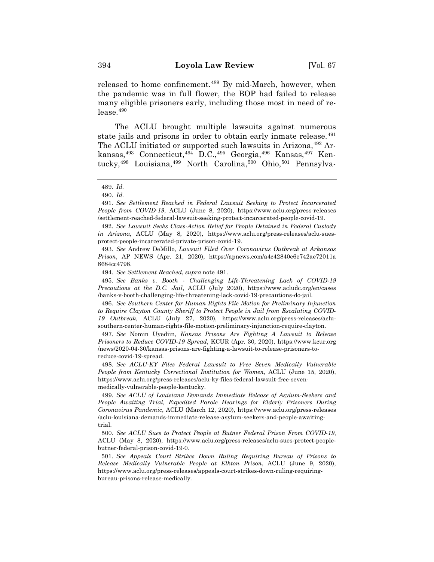released to home confinement.<sup>489</sup> By mid-March, however, when the pandemic was in full flower, the BOP had failed to release many eligible prisoners early, including those most in need of re $lease.<sup>490</sup>$ 

The ACLU brought multiple lawsuits against numerous state jails and prisons in order to obtain early inmate release.<sup>491</sup> The ACLU initiated or supported such lawsuits in Arizona, <sup>492</sup> Arkansas,<sup>493</sup> Connecticut,<sup>494</sup> D.C.,<sup>495</sup> Georgia,<sup>496</sup> Kansas,<sup>497</sup> Kentucky,<sup>498</sup> Louisiana,<sup>499</sup> North Carolina,<sup>500</sup> Ohio,<sup>501</sup> Pennsylva-

491. *See Settlement Reached in Federal Lawsuit Seeking to Protect Incarcerated People from COVID-19*, ACLU (June 8, 2020), https://www.aclu.org/press-releases /settlement-reached-federal-lawsuit-seeking-protect-incarcerated-people-covid-19.

492. *See Lawsuit Seeks Class-Action Relief for People Detained in Federal Custody in Arizona*, ACLU (May 8, 2020), https://www.aclu.org/press-releases/aclu-suesprotect-people-incarcerated-private-prison-covid-19.

493. *See* Andrew DeMillo, *Lawsuit Filed Over Coronavirus Outbreak at Arkansas Prison*, AP NEWS (Apr. 21, 2020), https://apnews.com/a4c42840e6e742ae72011a 8684cc4798.

494. *See Settlement Reached*, *supra* note 491.

495. *See Banks v. Booth - Challenging Life-Threatening Lack of COVID-19 Precautions at the D.C. Jail*, ACLU (July 2020), https://www.acludc.org/en/cases /banks-v-booth-challenging-life-threatening-lack-covid-19-precautions-dc-jail.

496. *See Southern Center for Human Rights File Motion for Preliminary Injunction to Require Clayton County Sheriff to Protect People in Jail from Escalating COVID-19 Outbreak,* ACLU (July 27, 2020), https://www.aclu.org/press-releases/aclusouthern-center-human-rights-file-motion-preliminary-injunction-require-clayton.

497. *See* Nomin Uyediin, *Kansas Prisons Are Fighting A Lawsuit to Release Prisoners to Reduce COVID-19 Spread*, KCUR (Apr. 30, 2020), https://www.kcur.org /news/2020-04-30/kansas-prisons-are-fighting-a-lawsuit-to-release-prisoners-toreduce-covid-19-spread.

498. *See ACLU-KY Files Federal Lawsuit to Free Seven Medically Vulnerable People from Kentucky Correctional Institution for Women*, ACLU (June 15, 2020), https://www.aclu.org/press-releases/aclu-ky-files-federal-lawsuit-free-sevenmedically-vulnerable-people-kentucky.

499. *See ACLU of Louisiana Demands Immediate Release of Asylum-Seekers and People Awaiting Trial, Expedited Parole Hearings for Elderly Prisoners During Coronavirus Pandemic*, ACLU (March 12, 2020), https://www.aclu.org/press-releases /aclu-louisiana-demands-immediate-release-asylum-seekers-and-people-awaitingtrial.

500. *See ACLU Sues to Protect People at Butner Federal Prison From COVID-19*, ACLU (May 8, 2020), https://www.aclu.org/press-releases/aclu-sues-protect-peoplebutner-federal-prison-covid-19-0.

501. *See Appeals Court Strikes Down Ruling Requiring Bureau of Prisons to Release Medically Vulnerable People at Elkton Prison*, ACLU (June 9, 2020), https://www.aclu.org/press-releases/appeals-court-strikes-down-ruling-requiringbureau-prisons-release-medically.

<sup>489.</sup> *Id.*

<sup>490.</sup> *Id.*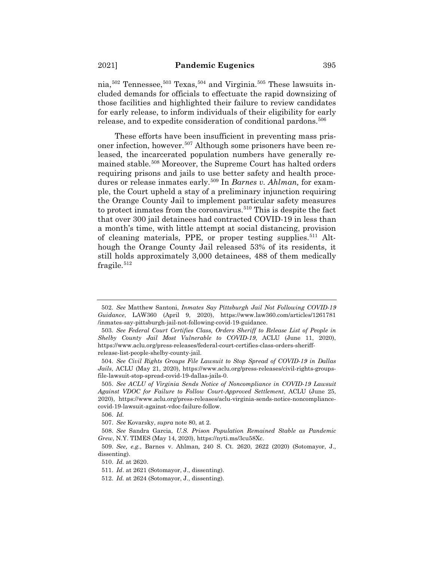nia,  $502$  Tennessee,  $503$  Texas,  $504$  and Virginia.  $505$  These lawsuits included demands for officials to effectuate the rapid downsizing of those facilities and highlighted their failure to review candidates for early release, to inform individuals of their eligibility for early release, and to expedite consideration of conditional pardons.<sup>506</sup>

These efforts have been insufficient in preventing mass prisoner infection, however.507 Although some prisoners have been released, the incarcerated population numbers have generally remained stable.508 Moreover, the Supreme Court has halted orders requiring prisons and jails to use better safety and health procedures or release inmates early.<sup>509</sup> In *Barnes v. Ahlman*, for example, the Court upheld a stay of a preliminary injunction requiring the Orange County Jail to implement particular safety measures to protect inmates from the coronavirus.<sup>510</sup> This is despite the fact that over 300 jail detainees had contracted COVID-19 in less than a month's time, with little attempt at social distancing, provision of cleaning materials, PPE, or proper testing supplies.<sup>511</sup> Although the Orange County Jail released 53% of its residents, it still holds approximately 3,000 detainees, 488 of them medically fragile. $512$ 

<sup>502.</sup> *See* Matthew Santoni, *Inmates Say Pittsburgh Jail Not Following COVID-19 Guidance*, LAW360 (April 9, 2020), https://www.law360.com/articles/1261781 /inmates-say-pittsburgh-jail-not-following-covid-19-guidance.

<sup>503.</sup> *See Federal Court Certifies Class, Orders Sheriff to Release List of People in Shelby County Jail Most Vulnerable to COVID-19*, ACLU (June 11, 2020), https://www.aclu.org/press-releases/federal-court-certifies-class-orders-sheriffrelease-list-people-shelby-county-jail.

<sup>504.</sup> *See Civil Rights Groups File Lawsuit to Stop Spread of COVID-19 in Dallas Jails*, ACLU (May 21, 2020), https://www.aclu.org/press-releases/civil-rights-groupsfile-lawsuit-stop-spread-covid-19-dallas-jails-0.

<sup>505.</sup> *See ACLU of Virginia Sends Notice of Noncompliance in COVID-19 Lawsuit Against VDOC for Failure to Follow Court-Approved Settlement*, ACLU (June 25, 2020), https://www.aclu.org/press-releases/aclu-virginia-sends-notice-noncompliancecovid-19-lawsuit-against-vdoc-failure-follow.

<sup>506.</sup> *Id.*

<sup>507.</sup> *See* Kovarsky, *supra* note 80, at 2.

<sup>508.</sup> *See* Sandra Garcia, *U.S. Prison Population Remained Stable as Pandemic Grew*, N.Y. TIMES (May 14, 2020), https://nyti.ms/3cu58Xc.

<sup>509.</sup> *See, e.g.*, Barnes v. Ahlman*,* 240 S. Ct. 2620, 2622 (2020) (Sotomayor, J., dissenting).

<sup>510.</sup> *Id.* at 2620.

<sup>511.</sup> *Id*. at 2621 (Sotomayor, J., dissenting).

<sup>512.</sup> *Id.* at 2624 (Sotomayor, J., dissenting).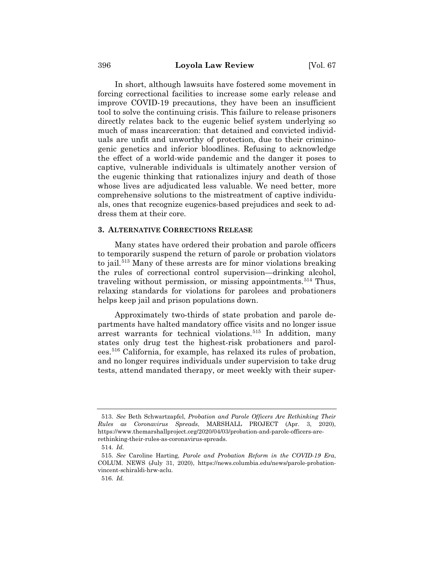In short, although lawsuits have fostered some movement in forcing correctional facilities to increase some early release and improve COVID-19 precautions, they have been an insufficient tool to solve the continuing crisis. This failure to release prisoners directly relates back to the eugenic belief system underlying so much of mass incarceration: that detained and convicted individuals are unfit and unworthy of protection, due to their criminogenic genetics and inferior bloodlines. Refusing to acknowledge the effect of a world-wide pandemic and the danger it poses to captive, vulnerable individuals is ultimately another version of the eugenic thinking that rationalizes injury and death of those whose lives are adjudicated less valuable. We need better, more comprehensive solutions to the mistreatment of captive individuals, ones that recognize eugenics-based prejudices and seek to address them at their core.

### **3. ALTERNATIVE CORRECTIONS RELEASE**

Many states have ordered their probation and parole officers to temporarily suspend the return of parole or probation violators to jail.<sup>513</sup> Many of these arrests are for minor violations breaking the rules of correctional control supervision—drinking alcohol, traveling without permission, or missing appointments.<sup>514</sup> Thus, relaxing standards for violations for parolees and probationers helps keep jail and prison populations down.

Approximately two-thirds of state probation and parole departments have halted mandatory office visits and no longer issue arrest warrants for technical violations.<sup>515</sup> In addition, many states only drug test the highest-risk probationers and parolees.516 California, for example, has relaxed its rules of probation, and no longer requires individuals under supervision to take drug tests, attend mandated therapy, or meet weekly with their super-

<sup>513.</sup> *See* Beth Schwartzapfel, *Probation and Parole Officers Are Rethinking Their Rules as Coronavirus Spreads*, MARSHALL PROJECT (Apr. 3, 2020), https://www.themarshallproject.org/2020/04/03/probation-and-parole-officers-arerethinking-their-rules-as-coronavirus-spreads.

<sup>514.</sup> *Id.*

<sup>515.</sup> *See* Caroline Harting, *Parole and Probation Reform in the COVID-19 Era*, COLUM. NEWS (July 31, 2020), https://news.columbia.edu/news/parole-probationvincent-schiraldi-hrw-aclu.

<sup>516.</sup> *Id.*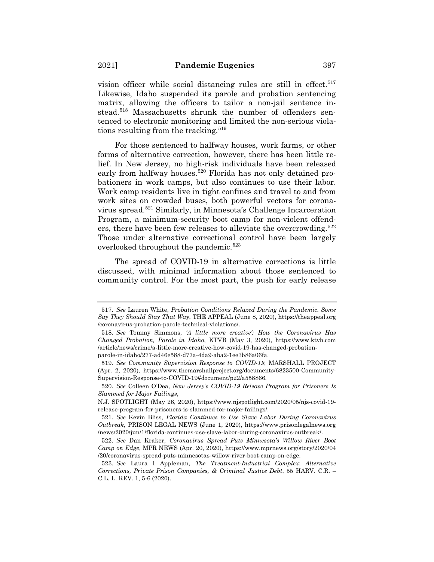vision officer while social distancing rules are still in effect.<sup>517</sup> Likewise, Idaho suspended its parole and probation sentencing matrix, allowing the officers to tailor a non-jail sentence instead.<sup>518</sup> Massachusetts shrunk the number of offenders sentenced to electronic monitoring and limited the non-serious violations resulting from the tracking.<sup>519</sup>

For those sentenced to halfway houses, work farms, or other forms of alternative correction, however, there has been little relief. In New Jersey, no high-risk individuals have been released early from halfway houses.<sup>520</sup> Florida has not only detained probationers in work camps, but also continues to use their labor. Work camp residents live in tight confines and travel to and from work sites on crowded buses, both powerful vectors for coronavirus spread.521 Similarly, in Minnesota's Challenge Incarceration Program, a minimum-security boot camp for non-violent offenders, there have been few releases to alleviate the overcrowding.522 Those under alternative correctional control have been largely overlooked throughout the pandemic.<sup>523</sup>

The spread of COVID-19 in alternative corrections is little discussed, with minimal information about those sentenced to community control. For the most part, the push for early release

<sup>517.</sup> *See* Lauren White, *Probation Conditions Relaxed During the Pandemic. Some Say They Should Stay That Way*, THE APPEAL (June 8, 2020), https://theappeal.org /coronavirus-probation-parole-technical-violations/.

<sup>518.</sup> *See* Tommy Simmons, *'A little more creative': How the Coronavirus Has Changed Probation, Parole in Idaho*, KTVB (May 3, 2020), https://www.ktvb.com /article/news/crime/a-little-more-creative-how-covid-19-has-changed-probationparole-in-idaho/277-ad46e588-d77a-4da9-aba2-1ee3b86a06fa.

<sup>519.</sup> *See Community Supervision Response to COVID-19*, MARSHALL PROJECT (Apr. 2, 2020), https://www.themarshallproject.org/documents/6823500-Community-Supervision-Response-to-COVID-19#document/p22/a558866*.*

<sup>520.</sup> *See* Colleen O'Dea, *New Jersey's COVID-19 Release Program for Prisoners Is Slammed for Major Failings*,

N.J. SPOTLIGHT (May 26, 2020), https://www.njspotlight.com/2020/05/njs-covid-19 release-program-for-prisoners-is-slammed-for-major-failings/.

<sup>521.</sup> *See* Kevin Bliss, *Florida Continues to Use Slave Labor During Coronavirus Outbreak*, PRISON LEGAL NEWS (June 1, 2020), https://www.prisonlegalnews.org /news/2020/jun/1/florida-continues-use-slave-labor-during-coronavirus-outbreak/.

<sup>522.</sup> *See* Dan Kraker, *Coronavirus Spread Puts Minnesota's Willow River Boot Camp on Edge*, MPR NEWS (Apr. 20, 2020), https://www.mprnews.org/story/2020/04 /20/coronavirus-spread-puts-minnesotas-willow-river-boot-camp-on-edge.

<sup>523.</sup> *See* Laura I Appleman, *The Treatment-Industrial Complex: Alternative Corrections, Private Prison Companies, & Criminal Justice Debt*, 55 HARV. C.R. – C.L. L. REV. 1, 5-6 (2020).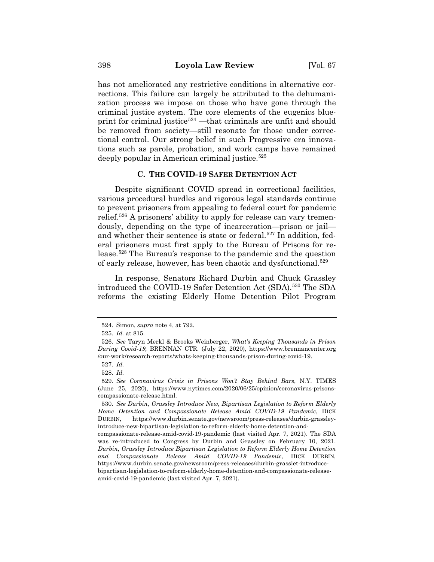has not ameliorated any restrictive conditions in alternative corrections. This failure can largely be attributed to the dehumanization process we impose on those who have gone through the criminal justice system. The core elements of the eugenics blueprint for criminal justice<sup>524</sup> —that criminals are unfit and should be removed from society—still resonate for those under correctional control. Our strong belief in such Progressive era innovations such as parole, probation, and work camps have remained deeply popular in American criminal justice.<sup>525</sup>

#### **C. THE COVID-19 SAFER DETENTION ACT**

Despite significant COVID spread in correctional facilities, various procedural hurdles and rigorous legal standards continue to prevent prisoners from appealing to federal court for pandemic relief.526 A prisoners' ability to apply for release can vary tremendously, depending on the type of incarceration—prison or jail and whether their sentence is state or federal.<sup>527</sup> In addition, federal prisoners must first apply to the Bureau of Prisons for release.528 The Bureau's response to the pandemic and the question of early release, however, has been chaotic and dysfunctional.<sup>529</sup>

In response, Senators Richard Durbin and Chuck Grassley introduced the COVID-19 Safer Detention Act (SDA).530 The SDA reforms the existing Elderly Home Detention Pilot Program

<sup>524.</sup> Simon, *supra* note 4, at 792.

<sup>525.</sup> *Id.* at 815.

<sup>526.</sup> *See* Taryn Merkl & Brooks Weinberger, *What's Keeping Thousands in Prison During Covid-19,* BRENNAN CTR. (July 22, 2020), https://www.brennancenter.org /our-work/research-reports/whats-keeping-thousands-prison-during-covid-19.

<sup>527.</sup> *Id.*

<sup>528.</sup> *Id.*

<sup>529.</sup> *See Coronavirus Crisis in Prisons Won't Stay Behind Bars*, N.Y. TIMES (June 25, 2020), https://www.nytimes.com/2020/06/25/opinion/coronavirus-prisonscompassionate-release.html.

<sup>530.</sup> *See Durbin, Grassley Introduce New, Bipartisan Legislation to Reform Elderly Home Detention and Compassionate Release Amid COVID-19 Pandemic*, DICK DURBIN, https://www.durbin.senate.gov/newsroom/press-releases/durbin-grassleyintroduce-new-bipartisan-legislation-to-reform-elderly-home-detention-and-

compassionate-release-amid-covid-19-pandemic (last visited Apr. 7, 2021). The SDA was re-introduced to Congress by Durbin and Grassley on February 10, 2021. *Durbin, Grassley Introduce Bipartisan Legislation to Reform Elderly Home Detention and Compassionate Release Amid COVID-19 Pandemic*, DICK DURBIN, https://www.durbin.senate.gov/newsroom/press-releases/durbin-grasslet-introducebipartisan-legislation-to-reform-elderly-home-detention-and-compassionate-releaseamid-covid-19-pandemic (last visited Apr. 7, 2021).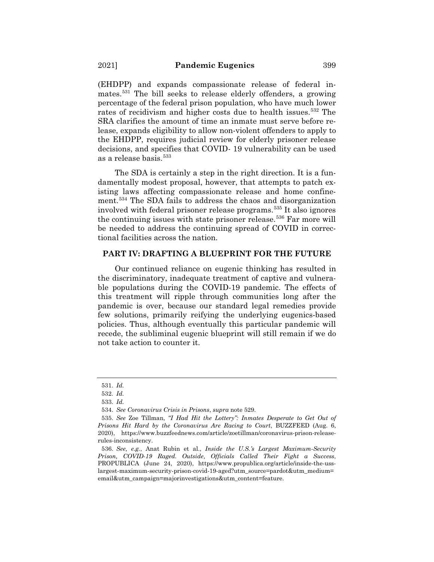(EHDPP) and expands compassionate release of federal inmates.531 The bill seeks to release elderly offenders, a growing percentage of the federal prison population, who have much lower rates of recidivism and higher costs due to health issues.<sup>532</sup> The SRA clarifies the amount of time an inmate must serve before release, expands eligibility to allow non-violent offenders to apply to the EHDPP, requires judicial review for elderly prisoner release decisions, and specifies that COVID- 19 vulnerability can be used as a release basis.533

The SDA is certainly a step in the right direction. It is a fundamentally modest proposal, however, that attempts to patch existing laws affecting compassionate release and home confinement.534 The SDA fails to address the chaos and disorganization involved with federal prisoner release programs.535 It also ignores the continuing issues with state prisoner release.<sup>536</sup> Far more will be needed to address the continuing spread of COVID in correctional facilities across the nation.

### **PART IV: DRAFTING A BLUEPRINT FOR THE FUTURE**

Our continued reliance on eugenic thinking has resulted in the discriminatory, inadequate treatment of captive and vulnerable populations during the COVID-19 pandemic. The effects of this treatment will ripple through communities long after the pandemic is over, because our standard legal remedies provide few solutions, primarily reifying the underlying eugenics-based policies. Thus, although eventually this particular pandemic will recede, the subliminal eugenic blueprint will still remain if we do not take action to counter it.

<sup>531.</sup> *Id.*

<sup>532.</sup> *Id.*

<sup>533.</sup> *Id.*

<sup>534.</sup> *See Coronavirus Crisis in Prisons*, *supra* note 529.

<sup>535.</sup> *See* Zoe Tillman, *"I Had Hit the Lottery": Inmates Desperate to Get Out of Prisons Hit Hard by the Coronavirus Are Racing to Court*, BUZZFEED (Aug. 6, 2020), https://www.buzzfeednews.com/article/zoetillman/coronavirus-prison-releaserules-inconsistency.

<sup>536.</sup> *See, e.g.*, Anat Rubin et al., *Inside the U.S.'s Largest Maximum-Security Prison, COVID-19 Raged. Outside, Officials Called Their Fight a Success*, PROPUBLICA (June 24, 2020), https://www.propublica.org/article/inside-the-usslargest-maximum-security-prison-covid-19-aged?utm\_source=pardot&utm\_medium= email&utm\_campaign=majorinvestigations&utm\_content=feature.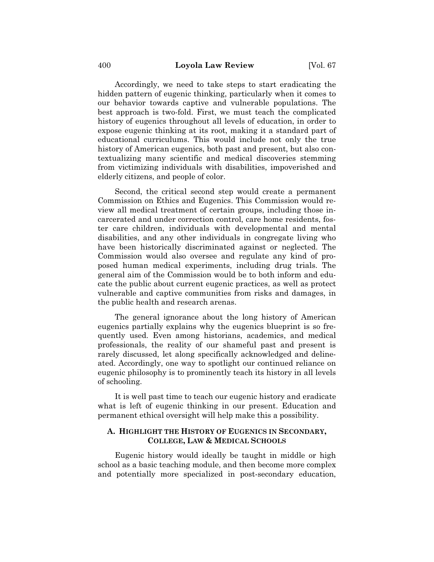Accordingly, we need to take steps to start eradicating the hidden pattern of eugenic thinking, particularly when it comes to our behavior towards captive and vulnerable populations. The best approach is two-fold. First, we must teach the complicated history of eugenics throughout all levels of education, in order to expose eugenic thinking at its root, making it a standard part of educational curriculums. This would include not only the true history of American eugenics, both past and present, but also contextualizing many scientific and medical discoveries stemming from victimizing individuals with disabilities, impoverished and elderly citizens, and people of color.

Second, the critical second step would create a permanent Commission on Ethics and Eugenics. This Commission would review all medical treatment of certain groups, including those incarcerated and under correction control, care home residents, foster care children, individuals with developmental and mental disabilities, and any other individuals in congregate living who have been historically discriminated against or neglected. The Commission would also oversee and regulate any kind of proposed human medical experiments, including drug trials. The general aim of the Commission would be to both inform and educate the public about current eugenic practices, as well as protect vulnerable and captive communities from risks and damages, in the public health and research arenas.

The general ignorance about the long history of American eugenics partially explains why the eugenics blueprint is so frequently used. Even among historians, academics, and medical professionals, the reality of our shameful past and present is rarely discussed, let along specifically acknowledged and delineated. Accordingly, one way to spotlight our continued reliance on eugenic philosophy is to prominently teach its history in all levels of schooling.

It is well past time to teach our eugenic history and eradicate what is left of eugenic thinking in our present. Education and permanent ethical oversight will help make this a possibility.

# **A. HIGHLIGHT THE HISTORY OF EUGENICS IN SECONDARY, COLLEGE, LAW & MEDICAL SCHOOLS**

Eugenic history would ideally be taught in middle or high school as a basic teaching module, and then become more complex and potentially more specialized in post-secondary education,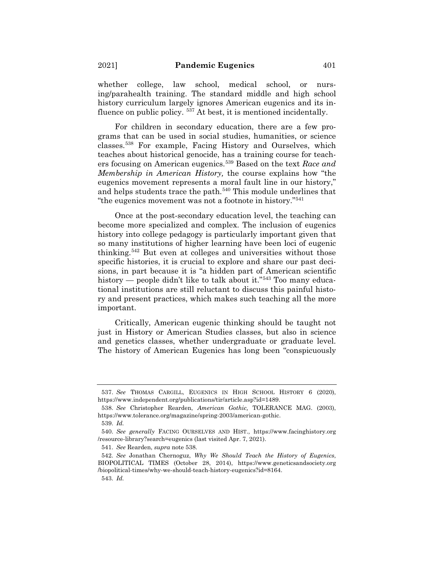whether college, law school, medical school, or nursing/parahealth training. The standard middle and high school history curriculum largely ignores American eugenics and its influence on public policy. <sup>537</sup> At best, it is mentioned incidentally.

For children in secondary education, there are a few programs that can be used in social studies, humanities, or science classes.538 For example, Facing History and Ourselves, which teaches about historical genocide, has a training course for teachers focusing on American eugenics.539 Based on the text *Race and Membership in American History,* the course explains how "the eugenics movement represents a moral fault line in our history," and helps students trace the path.<sup>540</sup> This module underlines that "the eugenics movement was not a footnote in history."541

Once at the post-secondary education level, the teaching can become more specialized and complex. The inclusion of eugenics history into college pedagogy is particularly important given that so many institutions of higher learning have been loci of eugenic thinking.542 But even at colleges and universities without those specific histories, it is crucial to explore and share our past decisions, in part because it is "a hidden part of American scientific history — people didn't like to talk about it."543 Too many educational institutions are still reluctant to discuss this painful history and present practices, which makes such teaching all the more important.

Critically, American eugenic thinking should be taught not just in History or American Studies classes, but also in science and genetics classes, whether undergraduate or graduate level. The history of American Eugenics has long been "conspicuously

<sup>537.</sup> *See* THOMAS CARGILL, EUGENICS IN HIGH SCHOOL HISTORY 6 (2020), https://www.independent.org/publications/tir/article.asp?id=1489.

<sup>538.</sup> *See* Christopher Rearden, *American Gothic,* TOLERANCE MAG. (2003), https://www.tolerance.org/magazine/spring-2003/american-gothic.

<sup>539.</sup> *Id.*

<sup>540.</sup> *See generally* FACING OURSELVES AND HIST., https://www.facinghistory.org /resource-library?search=eugenics (last visited Apr. 7, 2021).

<sup>541.</sup> *See* Rearden, *supra* note 538.

<sup>542.</sup> *See* Jonathan Chernoguz, *Why We Should Teach the History of Eugenics*, BIOPOLITICAL TIMES (October 28, 2014), https://www.geneticsandsociety.org /biopolitical-times/why-we-should-teach-history-eugenics?id=8164. 543. *Id.*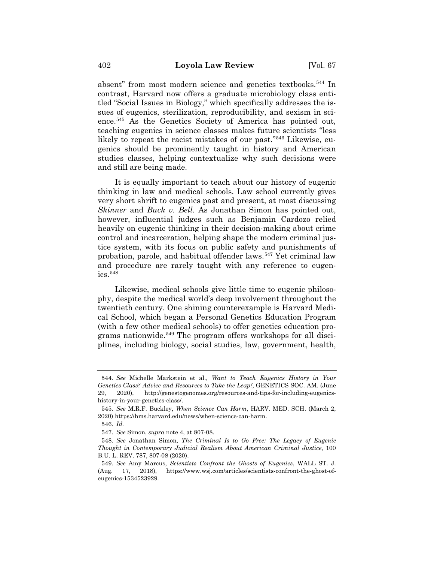absent" from most modern science and genetics textbooks.<sup>544</sup> In contrast, Harvard now offers a graduate microbiology class entitled "Social Issues in Biology," which specifically addresses the issues of eugenics, sterilization, reproducibility, and sexism in science.545 As the Genetics Society of America has pointed out, teaching eugenics in science classes makes future scientists "less likely to repeat the racist mistakes of our past."546 Likewise, eugenics should be prominently taught in history and American studies classes, helping contextualize why such decisions were and still are being made.

It is equally important to teach about our history of eugenic thinking in law and medical schools. Law school currently gives very short shrift to eugenics past and present, at most discussing *Skinner* and *Buck v. Bell.* As Jonathan Simon has pointed out, however, influential judges such as Benjamin Cardozo relied heavily on eugenic thinking in their decision-making about crime control and incarceration, helping shape the modern criminal justice system, with its focus on public safety and punishments of probation, parole, and habitual offender laws.547 Yet criminal law and procedure are rarely taught with any reference to eugen $ics.548$ 

Likewise, medical schools give little time to eugenic philosophy, despite the medical world's deep involvement throughout the twentieth century. One shining counterexample is Harvard Medical School, which began a Personal Genetics Education Program (with a few other medical schools) to offer genetics education programs nationwide.<sup>549</sup> The program offers workshops for all disciplines, including biology, social studies, law, government, health,

<sup>544.</sup> *See* Michelle Markstein et al., *Want to Teach Eugenics History in Your Genetics Class? Advice and Resources to Take the Leap!*, GENETICS SOC. AM. (June 29, 2020), http://genestogenomes.org/resources-and-tips-for-including-eugenicshistory-in-your-genetics-class/.

<sup>545.</sup> *See* M.R.F. Buckley, *When Science Can Harm*, HARV. MED. SCH. (March 2, 2020) https://hms.harvard.edu/news/when-science-can-harm.

<sup>546.</sup> *Id.*

<sup>547.</sup> *See* Simon, *supra* note 4, at 807-08.

<sup>548.</sup> *See* Jonathan Simon, *The Criminal Is to Go Free: The Legacy of Eugenic Thought in Contemporary Judicial Realism About American Criminal Justice*, 100 B.U. L. REV. 787, 807-08 (2020).

<sup>549.</sup> *See* Amy Marcus, *Scientists Confront the Ghosts of Eugenics*, WALL ST. J. (Aug. 17, 2018), https://www.wsj.com/articles/scientists-confront-the-ghost-ofeugenics-1534523929.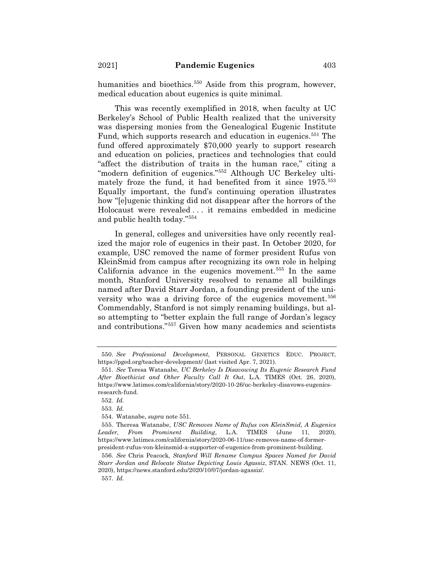humanities and bioethics.<sup>550</sup> Aside from this program, however, medical education about eugenics is quite minimal.

This was recently exemplified in 2018, when faculty at UC Berkeley's School of Public Health realized that the university was dispersing monies from the Genealogical Eugenic Institute Fund, which supports research and education in eugenics.<sup>551</sup> The fund offered approximately \$70,000 yearly to support research and education on policies, practices and technologies that could "affect the distribution of traits in the human race," citing a "modern definition of eugenics."552 Although UC Berkeley ultimately froze the fund, it had benefited from it since 1975.<sup>553</sup> Equally important, the fund's continuing operation illustrates how "[e]ugenic thinking did not disappear after the horrors of the Holocaust were revealed . . . it remains embedded in medicine and public health today."554

In general, colleges and universities have only recently realized the major role of eugenics in their past. In October 2020, for example, USC removed the name of former president Rufus von KleinSmid from campus after recognizing its own role in helping California advance in the eugenics movement.555 In the same month, Stanford University resolved to rename all buildings named after David Starr Jordan, a founding president of the university who was a driving force of the eugenics movement.<sup>556</sup> Commendably, Stanford is not simply renaming buildings, but also attempting to "better explain the full range of Jordan's legacy and contributions."557 Given how many academics and scientists

<sup>550.</sup> *See Professional Development*, PERSONAL GENETICS EDUC. PROJECT, https://pged.org/teacher-development/ (last visited Apr. 7, 2021).

<sup>551.</sup> *See* Teresa Watanabe, *UC Berkeley Is Disavowing Its Eugenic Research Fund After Bioethicist and Other Faculty Call It Out*, L.A. TIMES (Oct. 26, 2020), https://www.latimes.com/california/story/2020-10-26/uc-berkeley-disavows-eugenicsresearch-fund.

<sup>552.</sup> *Id.*

<sup>553.</sup> *Id.*

<sup>554.</sup> Watanabe, *supra* note 551.

<sup>555.</sup> Theresa Watanabe, *USC Removes Name of Rufus von KleinSmid, A Eugenics Leader, From Prominent Building*, L.A. TIMES (June 11, 2020), https://www.latimes.com/california/story/2020-06-11/usc-removes-name-of-formerpresident-rufus-von-kleinsmid-a-supporter-of-eugenics-from-prominent-building.

<sup>556.</sup> *See* Chris Peacock*, Stanford Will Rename Campus Spaces Named for David Starr Jordan and Relocate Statue Depicting Louis Agassiz*, STAN. NEWS (Oct. 11, 2020), https://news.stanford.edu/2020/10/07/jordan-agassiz/.

<sup>557.</sup> *Id.*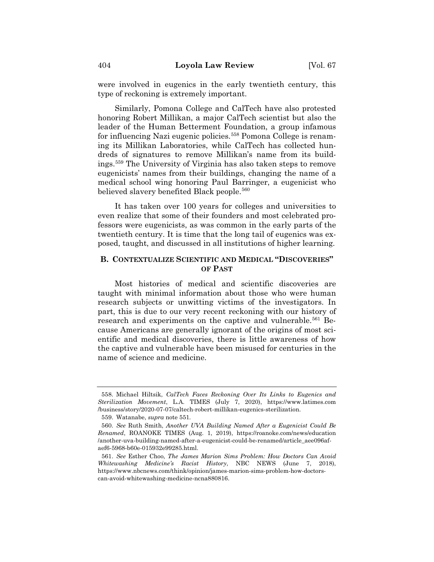were involved in eugenics in the early twentieth century, this type of reckoning is extremely important.

Similarly, Pomona College and CalTech have also protested honoring Robert Millikan, a major CalTech scientist but also the leader of the Human Betterment Foundation, a group infamous for influencing Nazi eugenic policies.<sup>558</sup> Pomona College is renaming its Millikan Laboratories, while CalTech has collected hundreds of signatures to remove Millikan's name from its buildings.559 The University of Virginia has also taken steps to remove eugenicists' names from their buildings, changing the name of a medical school wing honoring Paul Barringer, a eugenicist who believed slavery benefited Black people.<sup>560</sup>

It has taken over 100 years for colleges and universities to even realize that some of their founders and most celebrated professors were eugenicists, as was common in the early parts of the twentieth century. It is time that the long tail of eugenics was exposed, taught, and discussed in all institutions of higher learning.

## **B. CONTEXTUALIZE SCIENTIFIC AND MEDICAL "DISCOVERIES" OF PAST**

Most histories of medical and scientific discoveries are taught with minimal information about those who were human research subjects or unwitting victims of the investigators. In part, this is due to our very recent reckoning with our history of research and experiments on the captive and vulnerable.<sup>561</sup> Because Americans are generally ignorant of the origins of most scientific and medical discoveries, there is little awareness of how the captive and vulnerable have been misused for centuries in the name of science and medicine.

<sup>558.</sup> Michael Hiltsik, *CalTech Faces Reckoning Over Its Links to Eugenics and Sterilization Movement*, L.A. TIMES (July 7, 2020), https://www.latimes.com /business/story/2020-07-07/caltech-robert-millikan-eugenics-sterilization.

<sup>559.</sup> Watanabe, *supra* note 551*.*

<sup>560.</sup> *See* Ruth Smith, *Another UVA Building Named After a Eugenicist Could Be Renamed*, ROANOKE TIMES (Aug. 1, 2019), https://roanoke.com/news/education /another-uva-building-named-after-a-eugenicist-could-be-renamed/article\_aee096afaef6-5968-b60e-015932e99285.html.

<sup>561.</sup> *See* Esther Choo, *The James Marion Sims Problem: How Doctors Can Avoid Whitewashing Medicine's Racist History*, NBC NEWS (June 7, 2018), https://www.nbcnews.com/think/opinion/james-marion-sims-problem-how-doctorscan-avoid-whitewashing-medicine-ncna880816.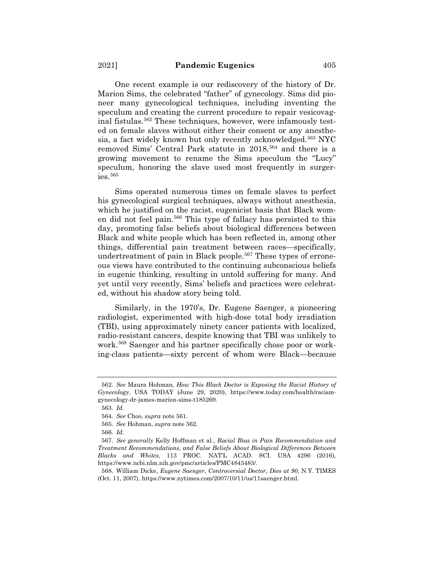One recent example is our rediscovery of the history of Dr. Marion Sims, the celebrated "father" of gynecology. Sims did pioneer many gynecological techniques, including inventing the speculum and creating the current procedure to repair vesicovaginal fistulas.562 These techniques, however, were infamously tested on female slaves without either their consent or any anesthesia, a fact widely known but only recently acknowledged.<sup>563</sup> NYC removed Sims' Central Park statute in 2018,<sup>564</sup> and there is a growing movement to rename the Sims speculum the "Lucy" speculum, honoring the slave used most frequently in surger $i$ es.<sup>565</sup>

Sims operated numerous times on female slaves to perfect his gynecological surgical techniques, always without anesthesia, which he justified on the racist, eugenicist basis that Black women did not feel pain.566 This type of fallacy has persisted to this day, promoting false beliefs about biological differences between Black and white people which has been reflected in, among other things, differential pain treatment between races—specifically, undertreatment of pain in Black people.<sup>567</sup> These types of erroneous views have contributed to the continuing subconscious beliefs in eugenic thinking, resulting in untold suffering for many. And yet until very recently, Sims' beliefs and practices were celebrated, without his shadow story being told.

Similarly, in the 1970's, Dr. Eugene Saenger, a pioneering radiologist, experimented with high-dose total body irradiation (TBI), using approximately ninety cancer patients with localized, radio-resistant cancers, despite knowing that TBI was unlikely to work.<sup>568</sup> Saenger and his partner specifically chose poor or working-class patients—sixty percent of whom were Black—because

<sup>562.</sup> *See* Maura Hohman, *How This Black Doctor is Exposing the Racist History of Gynecology*, USA TODAY (June 29, 2020), https://www.today.com/health/racismgynecology-dr-james-marion-sims-t185269.

<sup>563.</sup> *Id.*

<sup>564.</sup> *See* Choo, *supra* note 561.

<sup>565.</sup> *See* Hohman, *supra* note 562.

<sup>566.</sup> *Id.*

<sup>567.</sup> *See generally* Kelly Hoffman et al., *Racial Bias in Pain Recommendation and Treatment Recommendations, and False Beliefs About Biological Differences Between Blacks and Whites*, 113 PROC. NAT'L ACAD. SCI. USA 4296 (2016), https://www.ncbi.nlm.nih.gov/pmc/articles/PMC4843483/.

<sup>568.</sup> William Dicke, *Eugene Saenger, Controversial Doctor, Dies at 90*, N.Y. TIMES (Oct. 11, 2007), https://www.nytimes.com/2007/10/11/us/11saenger.html.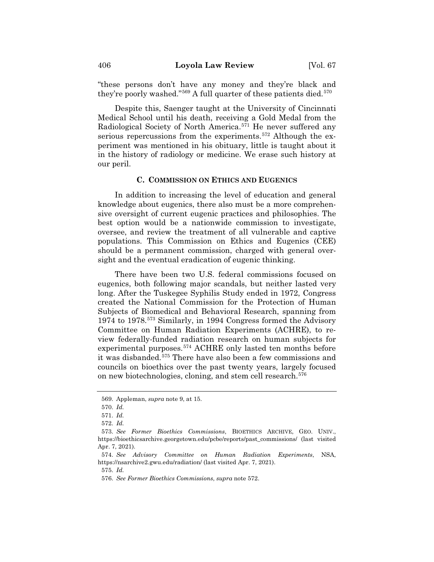"these persons don't have any money and they're black and they're poorly washed." $569$  A full quarter of these patients died. $570$ 

Despite this, Saenger taught at the University of Cincinnati Medical School until his death, receiving a Gold Medal from the Radiological Society of North America.<sup>571</sup> He never suffered any serious repercussions from the experiments.<sup>572</sup> Although the experiment was mentioned in his obituary, little is taught about it in the history of radiology or medicine. We erase such history at our peril.

## **C. COMMISSION ON ETHICS AND EUGENICS**

In addition to increasing the level of education and general knowledge about eugenics, there also must be a more comprehensive oversight of current eugenic practices and philosophies. The best option would be a nationwide commission to investigate, oversee, and review the treatment of all vulnerable and captive populations. This Commission on Ethics and Eugenics (CEE) should be a permanent commission, charged with general oversight and the eventual eradication of eugenic thinking.

There have been two U.S. federal commissions focused on eugenics, both following major scandals, but neither lasted very long. After the Tuskegee Syphilis Study ended in 1972, Congress created the National Commission for the Protection of Human Subjects of Biomedical and Behavioral Research, spanning from 1974 to 1978.573 Similarly, in 1994 Congress formed the Advisory Committee on Human Radiation Experiments (ACHRE), to review federally-funded radiation research on human subjects for experimental purposes.574 ACHRE only lasted ten months before it was disbanded.<sup>575</sup> There have also been a few commissions and councils on bioethics over the past twenty years, largely focused on new biotechnologies, cloning, and stem cell research.576

575. *Id.* 

<sup>569.</sup> Appleman, *supra* note 9, at 15.

<sup>570.</sup> *Id.*

<sup>571.</sup> *Id.*

<sup>572.</sup> *Id.*

<sup>573.</sup> *See Former Bioethics Commissions*, BIOETHICS ARCHIVE, GEO. UNIV., https://bioethicsarchive.georgetown.edu/pcbe/reports/past\_commissions/ (last visited Apr. 7, 2021).

<sup>574.</sup> *See Advisory Committee on Human Radiation Experiments*, NSA, https://nsarchive2.gwu.edu/radiation/ (last visited Apr. 7, 2021).

<sup>576.</sup> *See Former Bioethics Commissions*, *supra* note 572.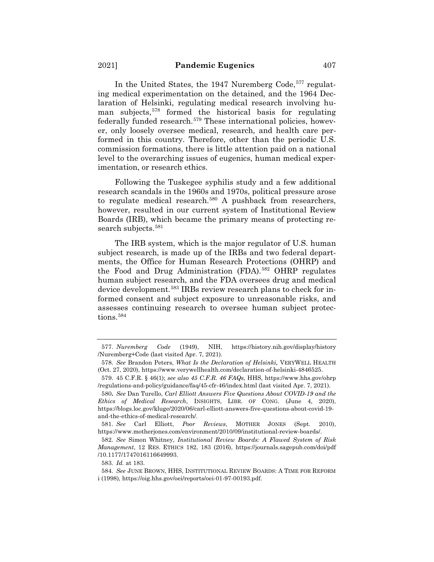In the United States, the 1947 Nuremberg Code,<sup>577</sup> regulating medical experimentation on the detained, and the 1964 Declaration of Helsinki, regulating medical research involving human subjects,<sup>578</sup> formed the historical basis for regulating federally funded research.<sup>579</sup> These international policies, however, only loosely oversee medical, research, and health care performed in this country. Therefore, other than the periodic U.S. commission formations, there is little attention paid on a national level to the overarching issues of eugenics, human medical experimentation, or research ethics.

Following the Tuskegee syphilis study and a few additional research scandals in the 1960s and 1970s, political pressure arose to regulate medical research.<sup>580</sup> A pushback from researchers, however, resulted in our current system of Institutional Review Boards (IRB), which became the primary means of protecting research subjects.<sup>581</sup>

The IRB system, which is the major regulator of U.S. human subject research, is made up of the IRBs and two federal departments, the Office for Human Research Protections (OHRP) and the Food and Drug Administration (FDA).582 OHRP regulates human subject research, and the FDA oversees drug and medical device development.<sup>583</sup> IRBs review research plans to check for informed consent and subject exposure to unreasonable risks, and assesses continuing research to oversee human subject protections.<sup>584</sup>

<sup>577.</sup> *Nuremberg Code* (1949), NIH, https://history.nih.gov/display/history /Nuremberg+Code (last visited Apr. 7, 2021).

<sup>578.</sup> *See* Brandon Peters, *What Is the Declaration of Helsinki,* VERYWELL HEALTH (Oct. 27, 2020), https://www.verywellhealth.com/declaration-of-helsinki-4846525.

<sup>579. 45</sup> C.F.R. § 46(1); *see also 45 C.F.R. 46 FAQs*, HHS, https://www.hhs.gov/ohrp /regulations-and-policy/guidance/faq/45-cfr-46/index.html (last visited Apr. 7, 2021).

<sup>580</sup>**.** *See* Dan Turello, *Carl Elliott Answers Five Questions About COVID-19 and the Ethics of Medical Research*, INSIGHTS, LIBR. OF CONG. (June 4, 2020), https://blogs.loc.gov/kluge/2020/06/carl-elliott-answers-five-questions-about-covid-19 and-the-ethics-of-medical-research/.

<sup>581.</sup> *See* Carl Elliott, *Poor Reviews*, MOTHER JONES (Sept. 2010), https://www.motherjones.com/environment/2010/09/institutional-review-boards/.

<sup>582.</sup> *See* Simon Whitney, *Institutional Review Boards: A Flawed System of Risk Management*, 12 RES. ETHICS 182, 183 (2016), https://journals.sagepub.com/doi/pdf /10.1177/1747016116649993.

<sup>583.</sup> *Id.* at 183.

<sup>584.</sup> *See* JUNE BROWN, HHS, INSTITUTIONAL REVIEW BOARDS:ATIME FOR REFORM i (1998), https://oig.hhs.gov/oei/reports/oei-01-97-00193.pdf.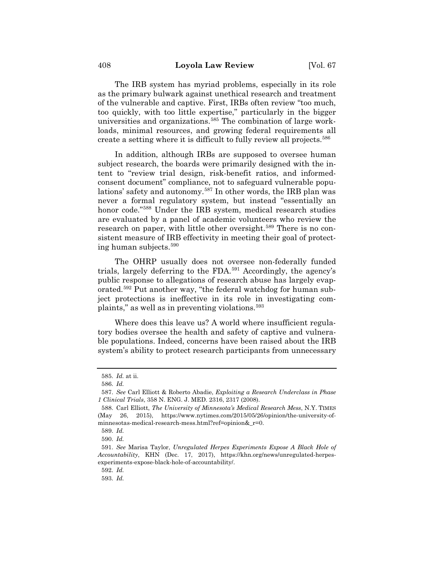The IRB system has myriad problems, especially in its role as the primary bulwark against unethical research and treatment of the vulnerable and captive. First, IRBs often review "too much, too quickly, with too little expertise," particularly in the bigger universities and organizations.<sup>585</sup> The combination of large workloads, minimal resources, and growing federal requirements all create a setting where it is difficult to fully review all projects.586

In addition, although IRBs are supposed to oversee human subject research, the boards were primarily designed with the intent to "review trial design, risk-benefit ratios, and informedconsent document" compliance, not to safeguard vulnerable populations' safety and autonomy.587 In other words, the IRB plan was never a formal regulatory system, but instead "essentially an honor code."588 Under the IRB system, medical research studies are evaluated by a panel of academic volunteers who review the research on paper, with little other oversight.<sup>589</sup> There is no consistent measure of IRB effectivity in meeting their goal of protecting human subjects.590

The OHRP usually does not oversee non-federally funded trials, largely deferring to the FDA.591 Accordingly, the agency's public response to allegations of research abuse has largely evaporated.592 Put another way, "the federal watchdog for human subject protections is ineffective in its role in investigating complaints," as well as in preventing violations.<sup>593</sup>

Where does this leave us? A world where insufficient regulatory bodies oversee the health and safety of captive and vulnerable populations. Indeed, concerns have been raised about the IRB system's ability to protect research participants from unnecessary

<sup>585.</sup> *Id.* at ii.

<sup>586.</sup> *Id.*

<sup>587.</sup> *See* Carl Elliott & Roberto Abadie, *Exploiting a Research Underclass in Phase 1 Clinical Trials*, 358 N. ENG. J. MED. 2316, 2317 (2008).

<sup>588.</sup> Carl Elliott, *The University of Minnesota's Medical Research Mess*, N.Y. TIMES (May 26, 2015), https://www.nytimes.com/2015/05/26/opinion/the-university-ofminnesotas-medical-research-mess.html?ref=opinion&\_r=0.

<sup>589.</sup> *Id.*

<sup>590.</sup> *Id.*

<sup>591.</sup> *See* Marisa Taylor, *Unregulated Herpes Experiments Expose A Black Hole of Accountability*, KHN (Dec. 17, 2017), https://khn.org/news/unregulated-herpesexperiments-expose-black-hole-of-accountability/.

<sup>592.</sup> *Id.*

<sup>593.</sup> *Id.*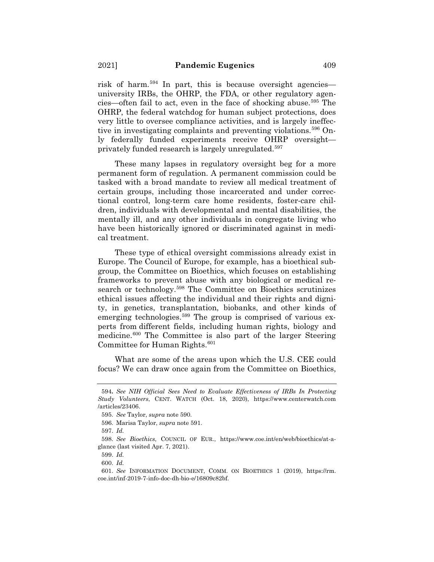risk of harm.594 In part, this is because oversight agencies university IRBs, the OHRP, the FDA, or other regulatory agencies—often fail to act, even in the face of shocking abuse.595 The OHRP, the federal watchdog for human subject protections, does very little to oversee compliance activities, and is largely ineffective in investigating complaints and preventing violations.596 Only federally funded experiments receive OHRP oversight privately funded research is largely unregulated.597

These many lapses in regulatory oversight beg for a more permanent form of regulation. A permanent commission could be tasked with a broad mandate to review all medical treatment of certain groups, including those incarcerated and under correctional control, long-term care home residents, foster-care children, individuals with developmental and mental disabilities, the mentally ill, and any other individuals in congregate living who have been historically ignored or discriminated against in medical treatment.

These type of ethical oversight commissions already exist in Europe. The Council of Europe, for example, has a bioethical subgroup, the Committee on Bioethics, which focuses on establishing frameworks to prevent abuse with any biological or medical research or technology.<sup>598</sup> The Committee on Bioethics scrutinizes ethical issues affecting the individual and their rights and dignity, in genetics, transplantation, biobanks, and other kinds of emerging technologies.<sup>599</sup> The group is comprised of various experts from different fields, including human rights, biology and medicine.600 The Committee is also part of the larger Steering Committee for Human Rights.<sup>601</sup>

What are some of the areas upon which the U.S. CEE could focus? We can draw once again from the Committee on Bioethics,

<sup>594</sup>**.** *See NIH Official Sees Need to Evaluate Effectiveness of IRBs In Protecting Study Volunteers*, CENT. WATCH (Oct. 18, 2020), https://www.centerwatch.com /articles/23406.

<sup>595.</sup> *See* Taylor, *supra* note 590.

<sup>596.</sup> Marisa Taylor, *supra* note 591.

<sup>597.</sup> *Id.*

<sup>598.</sup> *See Bioethics*, COUNCIL OF EUR., https://www.coe.int/en/web/bioethics/at-aglance (last visited Apr. 7, 2021).

<sup>599.</sup> *Id.*

<sup>600.</sup> *Id.*

<sup>601.</sup> *See* INFORMATION DOCUMENT, COMM. ON BIOETHICS 1 (2019), https://rm. coe.int/inf-2019-7-info-doc-dh-bio-e/16809c82bf.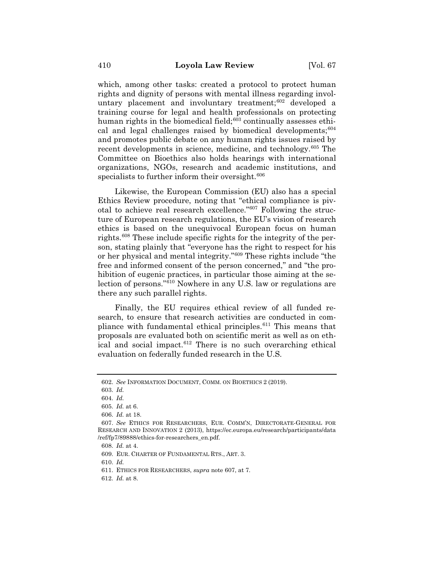which, among other tasks: created a protocol to protect human rights and dignity of persons with mental illness regarding involuntary placement and involuntary treatment;602 developed a training course for legal and health professionals on protecting human rights in the biomedical field;<sup>603</sup> continually assesses ethical and legal challenges raised by biomedical developments;<sup>604</sup> and promotes public debate on any human rights issues raised by recent developments in science, medicine, and technology.<sup>605</sup> The Committee on Bioethics also holds hearings with international organizations, NGOs, research and academic institutions, and specialists to further inform their oversight.<sup>606</sup>

Likewise, the European Commission (EU) also has a special Ethics Review procedure, noting that "ethical compliance is pivotal to achieve real research excellence."607 Following the structure of European research regulations, the EU's vision of research ethics is based on the unequivocal European focus on human rights.608 These include specific rights for the integrity of the person, stating plainly that "everyone has the right to respect for his or her physical and mental integrity."609 These rights include "the free and informed consent of the person concerned," and "the prohibition of eugenic practices, in particular those aiming at the selection of persons."610 Nowhere in any U.S. law or regulations are there any such parallel rights.

Finally, the EU requires ethical review of all funded research, to ensure that research activities are conducted in compliance with fundamental ethical principles.<sup>611</sup> This means that proposals are evaluated both on scientific merit as well as on ethical and social impact.<sup>612</sup> There is no such overarching ethical evaluation on federally funded research in the U.S.

610. *Id.*

<sup>602.</sup> *See* INFORMATION DOCUMENT, COMM. ON BIOETHICS 2 (2019).

<sup>603.</sup> *Id.*

<sup>604.</sup> *Id.*

<sup>605.</sup> *Id.* at 6.

<sup>606.</sup> *Id.* at 18.

<sup>607.</sup> *See* ETHICS FOR RESEARCHERS, EUR. COMM'N, DIRECTORATE-GENERAL FOR RESEARCH AND INNOVATION 2 (2013), https://ec.europa.eu/research/participants/data /ref/fp7/89888/ethics-for-researchers\_en.pdf.

<sup>608.</sup> *Id.* at 4.

<sup>609.</sup> EUR. CHARTER OF FUNDAMENTAL RTS., ART. 3.

<sup>611.</sup> ETHICS FOR RESEARCHERS, *supra* note 607, at 7.

<sup>612.</sup> *Id.* at 8.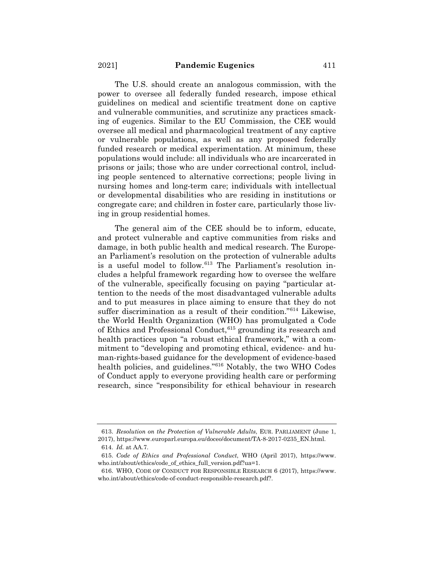The U.S. should create an analogous commission, with the power to oversee all federally funded research, impose ethical guidelines on medical and scientific treatment done on captive and vulnerable communities, and scrutinize any practices smacking of eugenics. Similar to the EU Commission, the CEE would oversee all medical and pharmacological treatment of any captive or vulnerable populations, as well as any proposed federally funded research or medical experimentation. At minimum, these populations would include: all individuals who are incarcerated in prisons or jails; those who are under correctional control, including people sentenced to alternative corrections; people living in nursing homes and long-term care; individuals with intellectual or developmental disabilities who are residing in institutions or congregate care; and children in foster care, particularly those living in group residential homes.

The general aim of the CEE should be to inform, educate, and protect vulnerable and captive communities from risks and damage, in both public health and medical research. The European Parliament's resolution on the protection of vulnerable adults is a useful model to follow.<sup>613</sup> The Parliament's resolution includes a helpful framework regarding how to oversee the welfare of the vulnerable, specifically focusing on paying "particular attention to the needs of the most disadvantaged vulnerable adults and to put measures in place aiming to ensure that they do not suffer discrimination as a result of their condition."614 Likewise, the World Health Organization (WHO) has promulgated a Code of Ethics and Professional Conduct, <sup>615</sup> grounding its research and health practices upon "a robust ethical framework," with a commitment to "developing and promoting ethical, evidence- and human-rights-based guidance for the development of evidence-based health policies, and guidelines."616 Notably, the two WHO Codes of Conduct apply to everyone providing health care or performing research, since "responsibility for ethical behaviour in research

<sup>613.</sup> *Resolution on the Protection of Vulnerable Adults*, EUR. PARLIAMENT (June 1, 2017), https://www.europarl.europa.eu/doceo/document/TA-8-2017-0235\_EN.html.

<sup>614.</sup> *Id.* at AA.7.

<sup>615.</sup> *Code of Ethics and Professional Conduct*, WHO (April 2017), https://www. who.int/about/ethics/code\_of\_ethics\_full\_version.pdf?ua=1.

<sup>616.</sup> WHO, CODE OF CONDUCT FOR RESPONSIBLE RESEARCH 6 (2017), https://www. who.int/about/ethics/code-of-conduct-responsible-research.pdf?.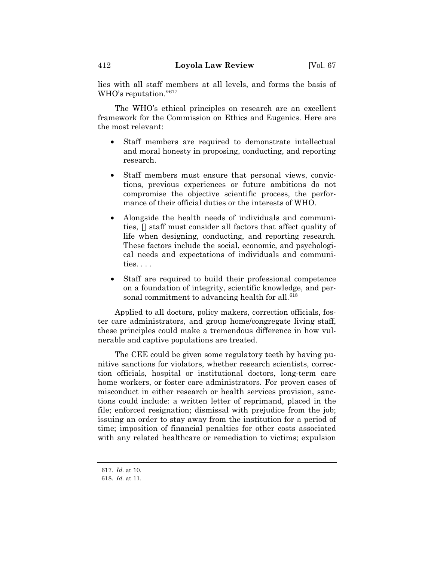lies with all staff members at all levels, and forms the basis of WHO's reputation."617

The WHO's ethical principles on research are an excellent framework for the Commission on Ethics and Eugenics. Here are the most relevant:

- Staff members are required to demonstrate intellectual and moral honesty in proposing, conducting, and reporting research.
- Staff members must ensure that personal views, convictions, previous experiences or future ambitions do not compromise the objective scientific process, the performance of their official duties or the interests of WHO.
- Alongside the health needs of individuals and communities, [] staff must consider all factors that affect quality of life when designing, conducting, and reporting research. These factors include the social, economic, and psychological needs and expectations of individuals and communities. . . .
- Staff are required to build their professional competence on a foundation of integrity, scientific knowledge, and personal commitment to advancing health for all.<sup>618</sup>

Applied to all doctors, policy makers, correction officials, foster care administrators, and group home/congregate living staff, these principles could make a tremendous difference in how vulnerable and captive populations are treated.

The CEE could be given some regulatory teeth by having punitive sanctions for violators, whether research scientists, correction officials, hospital or institutional doctors, long-term care home workers, or foster care administrators. For proven cases of misconduct in either research or health services provision, sanctions could include: a written letter of reprimand, placed in the file; enforced resignation; dismissal with prejudice from the job; issuing an order to stay away from the institution for a period of time; imposition of financial penalties for other costs associated with any related healthcare or remediation to victims; expulsion

<sup>617</sup>*. Id.* at 10.

<sup>618.</sup> *Id.* at 11.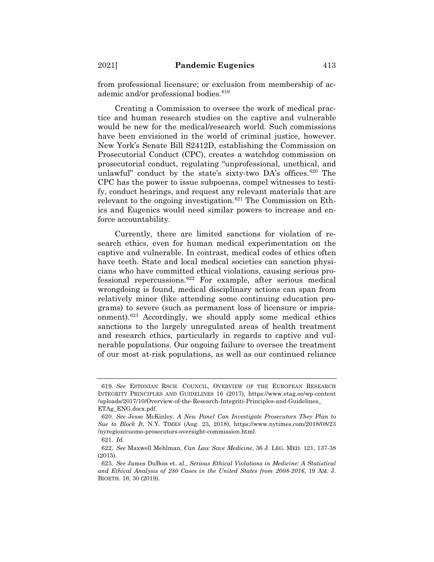from professional licensure; or exclusion from membership of academic and/or professional bodies.<sup>619</sup>

Creating a Commission to oversee the work of medical practice and human research studies on the captive and vulnerable would be new for the medical/research world. Such commissions have been envisioned in the world of criminal justice, however. New York's Senate Bill S2412D, establishing the Commission on Prosecutorial Conduct (CPC), creates a watchdog commission on prosecutorial conduct, regulating "unprofessional, unethical, and unlawful" conduct by the state's sixty-two DA's offices.<sup>620</sup> The CPC has the power to issue subpoenas, compel witnesses to testify, conduct hearings, and request any relevant materials that are relevant to the ongoing investigation.<sup>621</sup> The Commission on Ethics and Eugenics would need similar powers to increase and enforce accountability.

Currently, there are limited sanctions for violation of research ethics, even for human medical experimentation on the captive and vulnerable. In contrast, medical codes of ethics often have teeth. State and local medical societies can sanction physicians who have committed ethical violations, causing serious professional repercussions.622 For example, after serious medical wrongdoing is found, medical disciplinary actions can span from relatively minor (like attending some continuing education programs) to severe (such as permanent loss of licensure or imprisonment).623 Accordingly, we should apply some medical ethics sanctions to the largely unregulated areas of health treatment and research ethics, particularly in regards to captive and vulnerable populations. Our ongoing failure to oversee the treatment of our most at-risk populations, as well as our continued reliance

<sup>619.</sup> *See* ESTONIAN RSCH. COUNCIL, OVERVIEW OF THE EUROPEAN RESEARCH INTEGRITY PRINCIPLES AND GUIDELINES 16 (2017), https://www.etag.ee/wp-content /uploads/2017/10/Overview-of-the-Research-Integriti-Principles-and-Guidelines\_ ETAg\_ENG.docx.pdf.

<sup>620.</sup> *See* Jesse McKinley, *A New Panel Can Investigate Prosecutors They Plan to Sue to Block It*, N.Y. TIMES (Aug. 23, 2018), https://www.nytimes.com/2018/08/23 /nyregion/cuomo-prosecutors-oversight-commission.html.

<sup>621.</sup> *Id.*

<sup>622.</sup> *See* Maxwell Mehlman, *Can Law Save Medicine*, 36 J. LEG. MED. 121, 137-38 (2015).

<sup>623.</sup> *See* James DuBois et. al., *Serious Ethical Violations in Medicine: A Statistical and Ethical Analysis of 280 Cases in the United States from 2008-2016*, 19 AM. J. BIOETH. 16, 30 (2019).